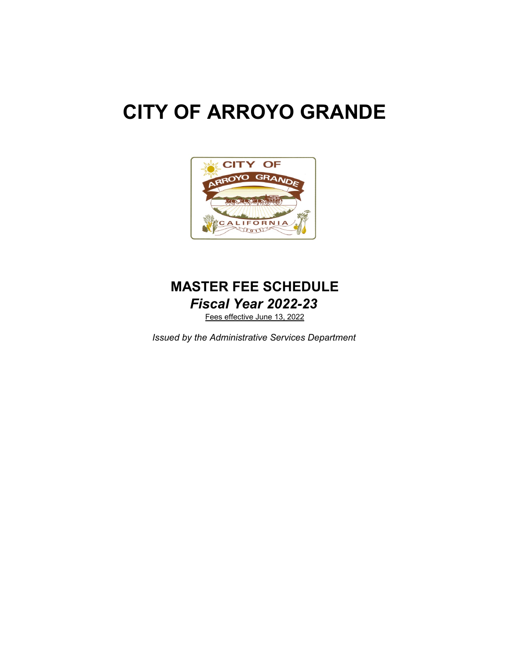# **CITY OF ARROYO GRANDE**



# *Fiscal Year 2022-23* **MASTER FEE SCHEDULE**

Fees effective June 13, 2022

*Issued by the Administrative Services Department*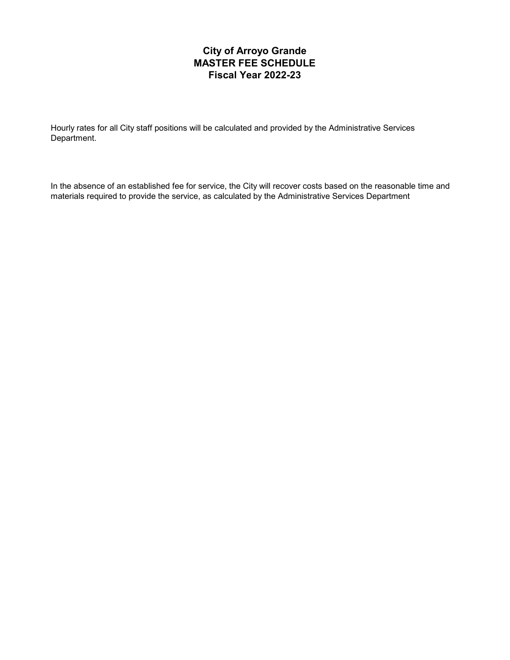# **City of Arroyo Grande MASTER FEE SCHEDULE Fiscal Year 2022-23**

Hourly rates for all City staff positions will be calculated and provided by the Administrative Services Department.

In the absence of an established fee for service, the City will recover costs based on the reasonable time and materials required to provide the service, as calculated by the Administrative Services Department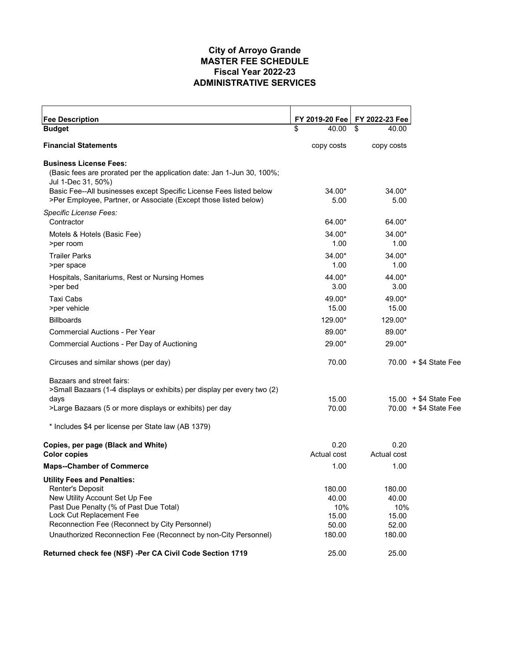#### **City of Arroyo Grande ADMINISTRATIVE SERVICES Fiscal Year 2022-23 MASTER FEE SCHEDULE**

| <b>Fee Description</b>                                                                                                                  | FY 2019-20 Fee      | FY 2022-23 Fee      |                                                 |
|-----------------------------------------------------------------------------------------------------------------------------------------|---------------------|---------------------|-------------------------------------------------|
| <b>Budget</b>                                                                                                                           | \$<br>40.00         | \$<br>40.00         |                                                 |
| <b>Financial Statements</b>                                                                                                             | copy costs          | copy costs          |                                                 |
| <b>Business License Fees:</b>                                                                                                           |                     |                     |                                                 |
| (Basic fees are prorated per the application date: Jan 1-Jun 30, 100%;<br>Jul 1-Dec 31, 50%)                                            |                     |                     |                                                 |
| Basic Fee--All businesses except Specific License Fees listed below<br>>Per Employee, Partner, or Associate (Except those listed below) | 34.00*<br>5.00      | $34.00*$<br>5.00    |                                                 |
| Specific License Fees:<br>Contractor                                                                                                    | 64.00*              | 64.00*              |                                                 |
| Motels & Hotels (Basic Fee)<br>>per room                                                                                                | 34.00*<br>1.00      | $34.00*$<br>1.00    |                                                 |
| <b>Trailer Parks</b><br>>per space                                                                                                      | 34.00*<br>1.00      | 34.00*<br>1.00      |                                                 |
| Hospitals, Sanitariums, Rest or Nursing Homes<br>>per bed                                                                               | 44.00*<br>3.00      | 44.00*<br>3.00      |                                                 |
| Taxi Cabs<br>>per vehicle                                                                                                               | 49.00*<br>15.00     | 49.00*<br>15.00     |                                                 |
| <b>Billboards</b>                                                                                                                       | 129.00*             | 129.00*             |                                                 |
| <b>Commercial Auctions - Per Year</b>                                                                                                   | 89.00*              | 89.00*              |                                                 |
| Commercial Auctions - Per Day of Auctioning                                                                                             | 29.00*              | 29.00*              |                                                 |
| Circuses and similar shows (per day)                                                                                                    | 70.00               |                     | $70.00 + $4$ State Fee                          |
| Bazaars and street fairs:<br>>Small Bazaars (1-4 displays or exhibits) per display per every two (2)                                    |                     |                     |                                                 |
| days<br>>Large Bazaars (5 or more displays or exhibits) per day                                                                         | 15.00<br>70.00      |                     | $15.00 + $4$ State Fee<br>70.00 + \$4 State Fee |
| * Includes \$4 per license per State law (AB 1379)                                                                                      |                     |                     |                                                 |
| Copies, per page (Black and White)<br><b>Color copies</b>                                                                               | 0.20<br>Actual cost | 0.20<br>Actual cost |                                                 |
| <b>Maps--Chamber of Commerce</b>                                                                                                        | 1.00                | 1.00                |                                                 |
| <b>Utility Fees and Penalties:</b>                                                                                                      |                     |                     |                                                 |
| Renter's Deposit                                                                                                                        | 180.00              | 180.00              |                                                 |
| New Utility Account Set Up Fee                                                                                                          | 40.00               | 40.00               |                                                 |
| Past Due Penalty (% of Past Due Total)<br>Lock Cut Replacement Fee                                                                      | 10%                 | 10%                 |                                                 |
| Reconnection Fee (Reconnect by City Personnel)                                                                                          | 15.00<br>50.00      | 15.00<br>52.00      |                                                 |
| Unauthorized Reconnection Fee (Reconnect by non-City Personnel)                                                                         | 180.00              | 180.00              |                                                 |
| Returned check fee (NSF) -Per CA Civil Code Section 1719                                                                                | 25.00               | 25.00               |                                                 |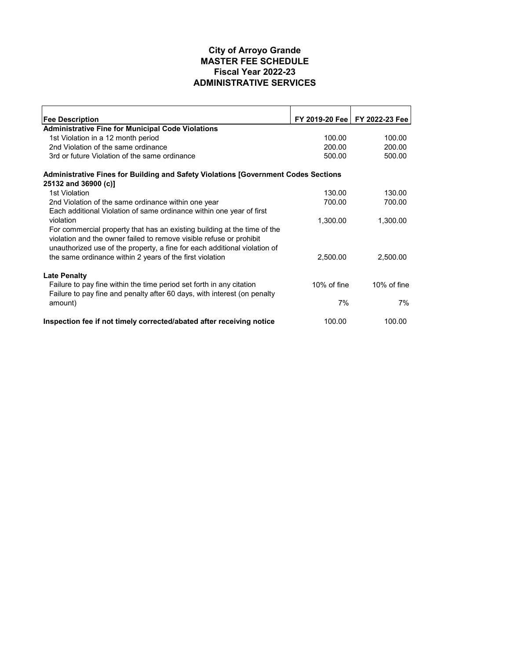#### **City of Arroyo Grande ADMINISTRATIVE SERVICES Fiscal Year 2022-23 MASTER FEE SCHEDULE**

| <b>Fee Description</b>                                                             |             | FY 2019-20 Fee   FY 2022-23 Fee |
|------------------------------------------------------------------------------------|-------------|---------------------------------|
| <b>Administrative Fine for Municipal Code Violations</b>                           |             |                                 |
| 1st Violation in a 12 month period                                                 | 100.00      | 100.00                          |
| 2nd Violation of the same ordinance                                                | 200.00      | 200.00                          |
| 3rd or future Violation of the same ordinance                                      | 500.00      | 500.00                          |
| Administrative Fines for Building and Safety Violations [Government Codes Sections |             |                                 |
| 25132 and 36900 (c)]                                                               |             |                                 |
| 1st Violation                                                                      | 130.00      | 130.00                          |
| 2nd Violation of the same ordinance within one year                                | 700.00      | 700.00                          |
| Each additional Violation of same ordinance within one year of first               |             |                                 |
| violation                                                                          | 1,300.00    | 1,300.00                        |
| For commercial property that has an existing building at the time of the           |             |                                 |
| violation and the owner failed to remove visible refuse or prohibit                |             |                                 |
| unauthorized use of the property, a fine for each additional violation of          |             |                                 |
| the same ordinance within 2 years of the first violation                           | 2,500.00    | 2,500.00                        |
| <b>Late Penalty</b>                                                                |             |                                 |
| Failure to pay fine within the time period set forth in any citation               | 10% of fine | 10% of fine                     |
| Failure to pay fine and penalty after 60 days, with interest (on penalty           |             |                                 |
| amount)                                                                            | 7%          | 7%                              |
|                                                                                    |             |                                 |
| Inspection fee if not timely corrected/abated after receiving notice               | 100.00      | 100.00                          |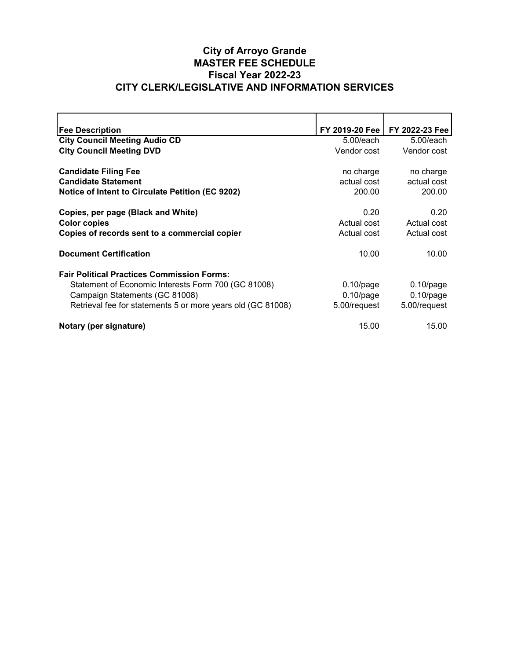# **City of Arroyo Grande CITY CLERK/LEGISLATIVE AND INFORMATION SERVICES Fiscal Year 2022-23 MASTER FEE SCHEDULE**

| <b>Fee Description</b>                                      | FY 2019-20 Fee | FY 2022-23 Fee |
|-------------------------------------------------------------|----------------|----------------|
| <b>City Council Meeting Audio CD</b>                        | $5.00$ /each   | $5.00$ /each   |
| <b>City Council Meeting DVD</b>                             | Vendor cost    | Vendor cost    |
|                                                             |                |                |
| <b>Candidate Filing Fee</b>                                 | no charge      | no charge      |
| <b>Candidate Statement</b>                                  | actual cost    | actual cost    |
| Notice of Intent to Circulate Petition (EC 9202)            | 200.00         | 200.00         |
|                                                             |                |                |
| Copies, per page (Black and White)                          | 0.20           | 0.20           |
| <b>Color copies</b>                                         | Actual cost    | Actual cost    |
| Copies of records sent to a commercial copier               | Actual cost    | Actual cost    |
|                                                             |                |                |
| <b>Document Certification</b>                               | 10.00          | 10.00          |
|                                                             |                |                |
| <b>Fair Political Practices Commission Forms:</b>           |                |                |
| Statement of Economic Interests Form 700 (GC 81008)         | $0.10$ /page   | $0.10$ /page   |
| Campaign Statements (GC 81008)                              | $0.10$ /page   | $0.10$ /page   |
| Retrieval fee for statements 5 or more years old (GC 81008) | 5.00/request   | 5.00/request   |
|                                                             |                |                |
| Notary (per signature)                                      | 15.00          | 15.00          |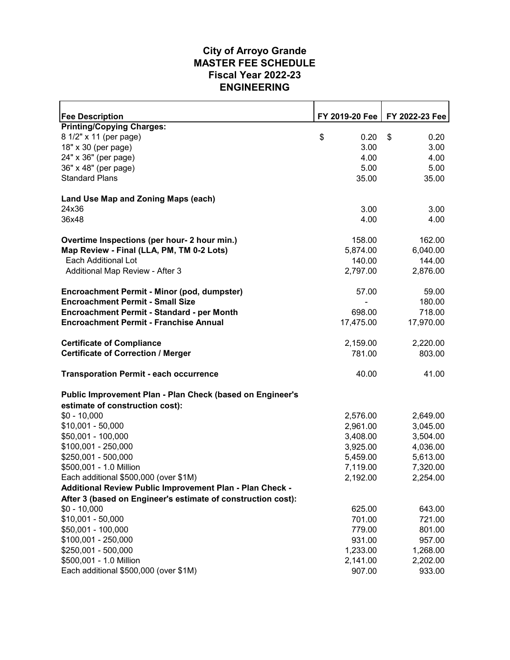#### **ENGINEERING Fiscal Year 2022-23 MASTER FEE SCHEDULE City of Arroyo Grande**

| <b>Fee Description</b>                                       | FY 2019-20 Fee | FY 2022-23 Fee |
|--------------------------------------------------------------|----------------|----------------|
| <b>Printing/Copying Charges:</b>                             |                |                |
| 8 1/2" x 11 (per page)                                       | \$<br>0.20     | \$<br>0.20     |
| 18" x 30 (per page)                                          | 3.00           | 3.00           |
| 24" x 36" (per page)                                         | 4.00           | 4.00           |
| 36" x 48" (per page)                                         | 5.00           | 5.00           |
| <b>Standard Plans</b>                                        | 35.00          | 35.00          |
| Land Use Map and Zoning Maps (each)                          |                |                |
| 24x36                                                        | 3.00           | 3.00           |
| 36x48                                                        | 4.00           | 4.00           |
|                                                              |                |                |
| Overtime Inspections (per hour- 2 hour min.)                 | 158.00         | 162.00         |
| Map Review - Final (LLA, PM, TM 0-2 Lots)                    | 5,874.00       | 6,040.00       |
| <b>Each Additional Lot</b>                                   | 140.00         | 144.00         |
| Additional Map Review - After 3                              | 2,797.00       | 2,876.00       |
|                                                              |                |                |
| Encroachment Permit - Minor (pod, dumpster)                  | 57.00          | 59.00          |
| <b>Encroachment Permit - Small Size</b>                      |                | 180.00         |
| Encroachment Permit - Standard - per Month                   | 698.00         | 718.00         |
| <b>Encroachment Permit - Franchise Annual</b>                | 17,475.00      | 17,970.00      |
|                                                              |                |                |
| <b>Certificate of Compliance</b>                             | 2,159.00       | 2,220.00       |
| <b>Certificate of Correction / Merger</b>                    | 781.00         | 803.00         |
| <b>Transporation Permit - each occurrence</b>                | 40.00          | 41.00          |
| Public Improvement Plan - Plan Check (based on Engineer's    |                |                |
| estimate of construction cost):                              |                |                |
| $$0 - 10,000$                                                | 2,576.00       | 2,649.00       |
| $$10,001 - 50,000$                                           | 2,961.00       | 3,045.00       |
| \$50,001 - 100,000                                           | 3,408.00       | 3,504.00       |
| \$100,001 - 250,000                                          | 3,925.00       | 4,036.00       |
| \$250,001 - 500,000                                          | 5,459.00       | 5,613.00       |
| \$500,001 - 1.0 Million                                      | 7,119.00       | 7,320.00       |
| Each additional \$500,000 (over \$1M)                        | 2,192.00       | 2,254.00       |
| Additional Review Public Improvement Plan - Plan Check -     |                |                |
| After 3 (based on Engineer's estimate of construction cost): |                |                |
| $$0 - 10,000$                                                | 625.00         | 643.00         |
| $$10,001 - 50,000$                                           | 701.00         | 721.00         |
| \$50,001 - 100,000                                           | 779.00         | 801.00         |
| \$100,001 - 250,000                                          | 931.00         | 957.00         |
| \$250,001 - 500,000                                          | 1,233.00       | 1,268.00       |
| \$500,001 - 1.0 Million                                      | 2,141.00       | 2,202.00       |
| Each additional \$500,000 (over \$1M)                        | 907.00         | 933.00         |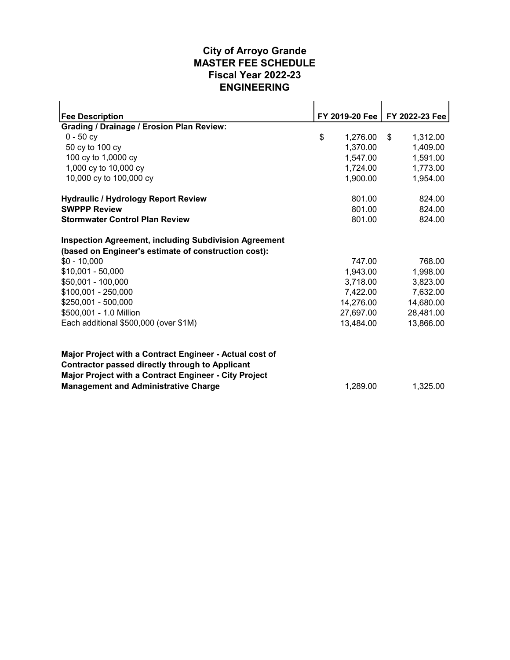#### **ENGINEERING Fiscal Year 2022-23 MASTER FEE SCHEDULE City of Arroyo Grande**

| <b>Fee Description</b>                                                                                                                                                     | FY 2019-20 Fee | FY 2022-23 Fee |
|----------------------------------------------------------------------------------------------------------------------------------------------------------------------------|----------------|----------------|
| <b>Grading / Drainage / Erosion Plan Review:</b>                                                                                                                           |                |                |
| $0 - 50$ cy                                                                                                                                                                | \$<br>1,276.00 | \$<br>1,312.00 |
| 50 cy to 100 cy                                                                                                                                                            | 1,370.00       | 1,409.00       |
| 100 cy to 1,0000 cy                                                                                                                                                        | 1,547.00       | 1,591.00       |
| 1,000 cy to 10,000 cy                                                                                                                                                      | 1,724.00       | 1,773.00       |
| 10,000 cy to 100,000 cy                                                                                                                                                    | 1,900.00       | 1,954.00       |
| <b>Hydraulic / Hydrology Report Review</b>                                                                                                                                 | 801.00         | 824.00         |
| <b>SWPPP Review</b>                                                                                                                                                        | 801.00         | 824.00         |
| <b>Stormwater Control Plan Review</b>                                                                                                                                      | 801.00         | 824.00         |
| <b>Inspection Agreement, including Subdivision Agreement</b><br>(based on Engineer's estimate of construction cost):                                                       |                |                |
| $$0 - 10,000$                                                                                                                                                              | 747.00         | 768.00         |
| $$10,001 - 50,000$                                                                                                                                                         | 1,943.00       | 1,998.00       |
| \$50,001 - 100,000                                                                                                                                                         | 3,718.00       | 3,823.00       |
| \$100,001 - 250,000                                                                                                                                                        | 7,422.00       | 7,632.00       |
| \$250,001 - 500,000                                                                                                                                                        | 14,276.00      | 14,680.00      |
| \$500,001 - 1.0 Million                                                                                                                                                    | 27,697.00      | 28,481.00      |
| Each additional \$500,000 (over \$1M)                                                                                                                                      | 13,484.00      | 13,866.00      |
| Major Project with a Contract Engineer - Actual cost of<br><b>Contractor passed directly through to Applicant</b><br>Major Project with a Contract Engineer - City Project |                |                |
| <b>Management and Administrative Charge</b>                                                                                                                                | 1,289.00       | 1,325.00       |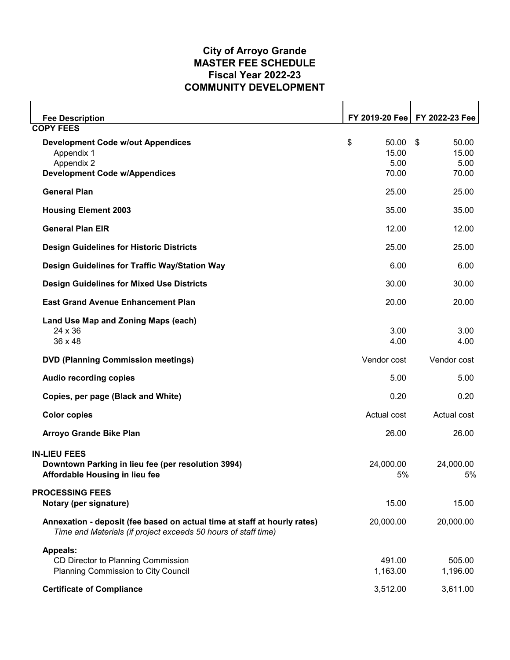#### **COMMUNITY DEVELOPMENT Fiscal Year 2022-23 MASTER FEE SCHEDULE City of Arroyo Grande**

| <b>Fee Description</b><br><b>COPY FEES</b>                                                                                                 |                                       | FY 2019-20 Fee   FY 2022-23 Fee       |
|--------------------------------------------------------------------------------------------------------------------------------------------|---------------------------------------|---------------------------------------|
| <b>Development Code w/out Appendices</b><br>Appendix 1<br>Appendix 2<br><b>Development Code w/Appendices</b>                               | \$<br>50.00<br>15.00<br>5.00<br>70.00 | 50.00<br>\$<br>15.00<br>5.00<br>70.00 |
| <b>General Plan</b>                                                                                                                        | 25.00                                 | 25.00                                 |
| <b>Housing Element 2003</b>                                                                                                                | 35.00                                 | 35.00                                 |
| <b>General Plan EIR</b>                                                                                                                    | 12.00                                 | 12.00                                 |
| <b>Design Guidelines for Historic Districts</b>                                                                                            | 25.00                                 | 25.00                                 |
| Design Guidelines for Traffic Way/Station Way                                                                                              | 6.00                                  | 6.00                                  |
| <b>Design Guidelines for Mixed Use Districts</b>                                                                                           | 30.00                                 | 30.00                                 |
| <b>East Grand Avenue Enhancement Plan</b>                                                                                                  | 20.00                                 | 20.00                                 |
| Land Use Map and Zoning Maps (each)<br>24 x 36<br>$36 \times 48$                                                                           | 3.00<br>4.00                          | 3.00<br>4.00                          |
| <b>DVD (Planning Commission meetings)</b>                                                                                                  | Vendor cost                           | Vendor cost                           |
| Audio recording copies                                                                                                                     | 5.00                                  | 5.00                                  |
| Copies, per page (Black and White)                                                                                                         | 0.20                                  | 0.20                                  |
| <b>Color copies</b>                                                                                                                        | Actual cost                           | Actual cost                           |
| <b>Arroyo Grande Bike Plan</b>                                                                                                             | 26.00                                 | 26.00                                 |
| <b>IN-LIEU FEES</b><br>Downtown Parking in lieu fee (per resolution 3994)<br>Affordable Housing in lieu fee                                | 24,000.00<br>5%                       | 24,000.00<br>5%                       |
| <b>PROCESSING FEES</b><br>Notary (per signature)                                                                                           | 15.00                                 | 15.00                                 |
| Annexation - deposit (fee based on actual time at staff at hourly rates)<br>Time and Materials (if project exceeds 50 hours of staff time) | 20,000.00                             | 20,000.00                             |
| <b>Appeals:</b><br>CD Director to Planning Commission<br>Planning Commission to City Council                                               | 491.00<br>1,163.00                    | 505.00<br>1,196.00                    |
| <b>Certificate of Compliance</b>                                                                                                           | 3,512.00                              | 3,611.00                              |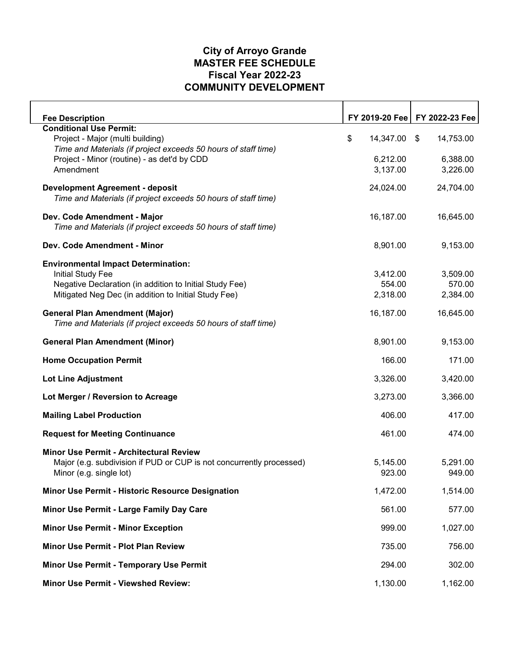#### **COMMUNITY DEVELOPMENT Fiscal Year 2022-23 MASTER FEE SCHEDULE City of Arroyo Grande**

| <b>Fee Description</b>                                               | FY 2019-20 Fee  |      | FY 2022-23 Fee |
|----------------------------------------------------------------------|-----------------|------|----------------|
| <b>Conditional Use Permit:</b>                                       |                 |      |                |
| Project - Major (multi building)                                     | \$<br>14,347.00 | - \$ | 14,753.00      |
| Time and Materials (if project exceeds 50 hours of staff time)       |                 |      |                |
| Project - Minor (routine) - as det'd by CDD                          | 6,212.00        |      | 6,388.00       |
| Amendment                                                            | 3,137.00        |      | 3,226.00       |
| <b>Development Agreement - deposit</b>                               | 24,024.00       |      | 24,704.00      |
| Time and Materials (if project exceeds 50 hours of staff time)       |                 |      |                |
| Dev. Code Amendment - Major                                          | 16,187.00       |      | 16,645.00      |
| Time and Materials (if project exceeds 50 hours of staff time)       |                 |      |                |
| Dev. Code Amendment - Minor                                          | 8,901.00        |      | 9,153.00       |
| <b>Environmental Impact Determination:</b>                           |                 |      |                |
| <b>Initial Study Fee</b>                                             | 3,412.00        |      | 3,509.00       |
| Negative Declaration (in addition to Initial Study Fee)              | 554.00          |      | 570.00         |
| Mitigated Neg Dec (in addition to Initial Study Fee)                 | 2,318.00        |      | 2,384.00       |
| <b>General Plan Amendment (Major)</b>                                | 16,187.00       |      | 16,645.00      |
| Time and Materials (if project exceeds 50 hours of staff time)       |                 |      |                |
| <b>General Plan Amendment (Minor)</b>                                | 8,901.00        |      | 9,153.00       |
| <b>Home Occupation Permit</b>                                        | 166.00          |      | 171.00         |
| <b>Lot Line Adjustment</b>                                           | 3,326.00        |      | 3,420.00       |
| Lot Merger / Reversion to Acreage                                    | 3,273.00        |      | 3,366.00       |
| <b>Mailing Label Production</b>                                      | 406.00          |      | 417.00         |
| <b>Request for Meeting Continuance</b>                               | 461.00          |      | 474.00         |
| Minor Use Permit - Architectural Review                              |                 |      |                |
| Major (e.g. subdivision if PUD or CUP is not concurrently processed) | 5,145.00        |      | 5,291.00       |
| Minor (e.g. single lot)                                              | 923.00          |      | 949.00         |
| Minor Use Permit - Historic Resource Designation                     | 1,472.00        |      | 1,514.00       |
| Minor Use Permit - Large Family Day Care                             | 561.00          |      | 577.00         |
| <b>Minor Use Permit - Minor Exception</b>                            | 999.00          |      | 1,027.00       |
| Minor Use Permit - Plot Plan Review                                  | 735.00          |      | 756.00         |
| Minor Use Permit - Temporary Use Permit                              | 294.00          |      | 302.00         |
| <b>Minor Use Permit - Viewshed Review:</b>                           | 1,130.00        |      | 1,162.00       |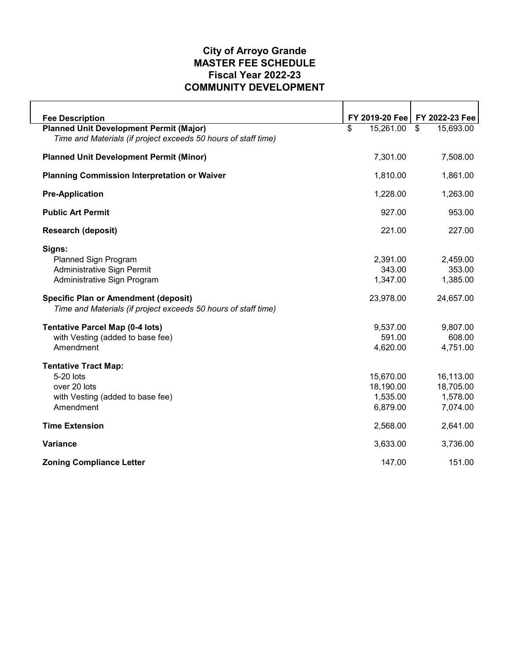# **COMMUNITY DEVELOPMENT Fiscal Year 2022-23 MASTER FEE SCHEDULE City of Arroyo Grande**

| <b>Fee Description</b>                                         |                 | FY 2019-20 Fee   FY 2022-23 Fee |
|----------------------------------------------------------------|-----------------|---------------------------------|
| <b>Planned Unit Development Permit (Major)</b>                 | 15,261.00<br>\$ | 15,693.00<br>\$                 |
| Time and Materials (if project exceeds 50 hours of staff time) |                 |                                 |
| <b>Planned Unit Development Permit (Minor)</b>                 | 7,301.00        | 7,508.00                        |
| <b>Planning Commission Interpretation or Waiver</b>            | 1,810.00        | 1,861.00                        |
| <b>Pre-Application</b>                                         | 1,228.00        | 1,263.00                        |
| <b>Public Art Permit</b>                                       | 927.00          | 953.00                          |
| <b>Research (deposit)</b>                                      | 221.00          | 227.00                          |
| Signs:                                                         |                 |                                 |
| <b>Planned Sign Program</b>                                    | 2,391.00        | 2,459.00                        |
| <b>Administrative Sign Permit</b>                              | 343.00          | 353.00                          |
| Administrative Sign Program                                    | 1,347.00        | 1,385.00                        |
| <b>Specific Plan or Amendment (deposit)</b>                    | 23,978.00       | 24,657.00                       |
| Time and Materials (if project exceeds 50 hours of staff time) |                 |                                 |
| <b>Tentative Parcel Map (0-4 lots)</b>                         | 9,537.00        | 9,807.00                        |
| with Vesting (added to base fee)                               | 591.00          | 608.00                          |
| Amendment                                                      | 4,620.00        | 4,751.00                        |
| <b>Tentative Tract Map:</b>                                    |                 |                                 |
| 5-20 lots                                                      | 15,670.00       | 16,113.00                       |
| over 20 lots                                                   | 18,190.00       | 18,705.00                       |
| with Vesting (added to base fee)                               | 1,535.00        | 1,578.00                        |
| Amendment                                                      | 6,879.00        | 7,074.00                        |
| <b>Time Extension</b>                                          | 2,568.00        | 2,641.00                        |
| <b>Variance</b>                                                | 3,633.00        | 3,736.00                        |
| <b>Zoning Compliance Letter</b>                                | 147.00          | 151.00                          |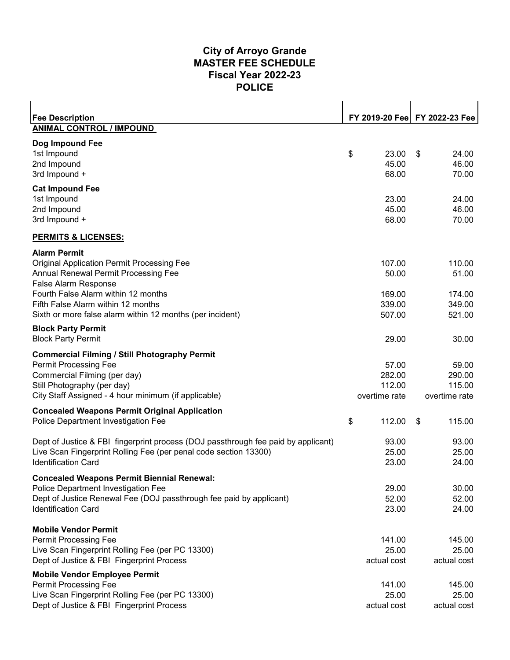#### **POLICE Fiscal Year 2022-23 MASTER FEE SCHEDULE City of Arroyo Grande**

| <b>Fee Description</b>                                                                   |                  |    | FY 2019-20 Fee FY 2022-23 Fee |
|------------------------------------------------------------------------------------------|------------------|----|-------------------------------|
| <b>ANIMAL CONTROL / IMPOUND</b>                                                          |                  |    |                               |
| Dog Impound Fee                                                                          |                  |    |                               |
| 1st Impound                                                                              | \$<br>23.00      | S  | 24.00                         |
| 2nd Impound                                                                              | 45.00            |    | 46.00                         |
| 3rd Impound +                                                                            | 68.00            |    | 70.00                         |
| <b>Cat Impound Fee</b>                                                                   |                  |    |                               |
| 1st Impound                                                                              | 23.00            |    | 24.00                         |
| 2nd Impound                                                                              | 45.00            |    | 46.00                         |
| 3rd Impound +                                                                            | 68.00            |    | 70.00                         |
| <b>PERMITS &amp; LICENSES:</b>                                                           |                  |    |                               |
| <b>Alarm Permit</b>                                                                      |                  |    |                               |
| <b>Original Application Permit Processing Fee</b>                                        | 107.00           |    | 110.00                        |
| Annual Renewal Permit Processing Fee                                                     | 50.00            |    | 51.00                         |
| <b>False Alarm Response</b>                                                              |                  |    |                               |
| Fourth False Alarm within 12 months<br>Fifth False Alarm within 12 months                | 169.00<br>339.00 |    | 174.00<br>349.00              |
| Sixth or more false alarm within 12 months (per incident)                                | 507.00           |    | 521.00                        |
|                                                                                          |                  |    |                               |
| <b>Block Party Permit</b><br><b>Block Party Permit</b>                                   |                  |    |                               |
|                                                                                          | 29.00            |    | 30.00                         |
| <b>Commercial Filming / Still Photography Permit</b>                                     |                  |    |                               |
| <b>Permit Processing Fee</b>                                                             | 57.00            |    | 59.00                         |
| Commercial Filming (per day)                                                             | 282.00           |    | 290.00                        |
| Still Photography (per day)                                                              | 112.00           |    | 115.00                        |
| City Staff Assigned - 4 hour minimum (if applicable)                                     | overtime rate    |    | overtime rate                 |
| <b>Concealed Weapons Permit Original Application</b>                                     |                  |    |                               |
| Police Department Investigation Fee                                                      | \$<br>112.00     | \$ | 115.00                        |
| Dept of Justice & FBI fingerprint process (DOJ passthrough fee paid by applicant)        | 93.00            |    | 93.00                         |
| Live Scan Fingerprint Rolling Fee (per penal code section 13300)                         | 25.00            |    | 25.00                         |
| <b>Identification Card</b>                                                               | 23.00            |    | 24.00                         |
|                                                                                          |                  |    |                               |
| <b>Concealed Weapons Permit Biennial Renewal:</b><br>Police Department Investigation Fee | 29.00            |    | 30.00                         |
| Dept of Justice Renewal Fee (DOJ passthrough fee paid by applicant)                      | 52.00            |    | 52.00                         |
| <b>Identification Card</b>                                                               | 23.00            |    | 24.00                         |
|                                                                                          |                  |    |                               |
| <b>Mobile Vendor Permit</b>                                                              |                  |    |                               |
| <b>Permit Processing Fee</b>                                                             | 141.00           |    | 145.00                        |
| Live Scan Fingerprint Rolling Fee (per PC 13300)                                         | 25.00            |    | 25.00                         |
| Dept of Justice & FBI Fingerprint Process                                                | actual cost      |    | actual cost                   |
| <b>Mobile Vendor Employee Permit</b>                                                     |                  |    |                               |
| <b>Permit Processing Fee</b>                                                             | 141.00           |    | 145.00                        |
| Live Scan Fingerprint Rolling Fee (per PC 13300)                                         | 25.00            |    | 25.00                         |
| Dept of Justice & FBI Fingerprint Process                                                | actual cost      |    | actual cost                   |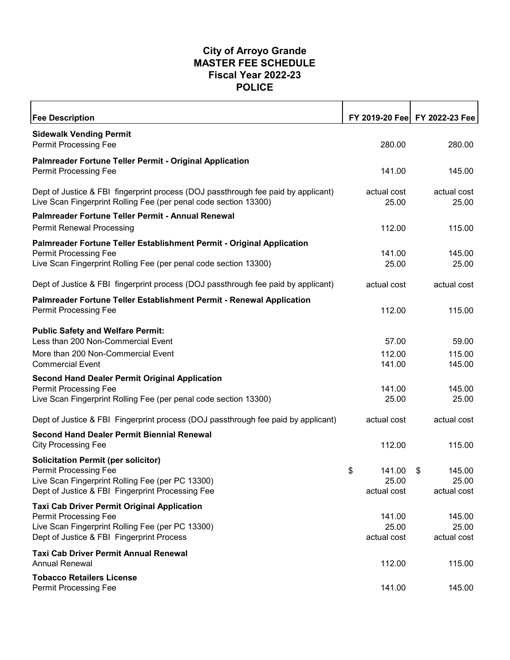#### **POLICE Fiscal Year 2022-23 MASTER FEE SCHEDULE City of Arroyo Grande**

| <b>Fee Description</b>                                                                                                                                |                      | FY 2019-20 Fee FY 2022-23 Fee |
|-------------------------------------------------------------------------------------------------------------------------------------------------------|----------------------|-------------------------------|
| <b>Sidewalk Vending Permit</b><br><b>Permit Processing Fee</b>                                                                                        | 280.00               | 280.00                        |
| <b>Palmreader Fortune Teller Permit - Original Application</b>                                                                                        |                      |                               |
| <b>Permit Processing Fee</b>                                                                                                                          | 141.00               | 145.00                        |
| Dept of Justice & FBI fingerprint process (DOJ passthrough fee paid by applicant)<br>Live Scan Fingerprint Rolling Fee (per penal code section 13300) | actual cost<br>25.00 | actual cost<br>25.00          |
| Palmreader Fortune Teller Permit - Annual Renewal                                                                                                     |                      |                               |
| <b>Permit Renewal Processing</b>                                                                                                                      | 112.00               | 115.00                        |
| Palmreader Fortune Teller Establishment Permit - Original Application                                                                                 |                      |                               |
| <b>Permit Processing Fee</b>                                                                                                                          | 141.00               | 145.00                        |
| Live Scan Fingerprint Rolling Fee (per penal code section 13300)                                                                                      | 25.00                | 25.00                         |
| Dept of Justice & FBI fingerprint process (DOJ passthrough fee paid by applicant)                                                                     | actual cost          | actual cost                   |
| Palmreader Fortune Teller Establishment Permit - Renewal Application                                                                                  |                      |                               |
| Permit Processing Fee                                                                                                                                 | 112.00               | 115.00                        |
| <b>Public Safety and Welfare Permit:</b><br>Less than 200 Non-Commercial Event                                                                        | 57.00                | 59.00                         |
| More than 200 Non-Commercial Event                                                                                                                    | 112.00               | 115.00                        |
| <b>Commercial Event</b>                                                                                                                               | 141.00               | 145.00                        |
| <b>Second Hand Dealer Permit Original Application</b>                                                                                                 |                      |                               |
| <b>Permit Processing Fee</b><br>Live Scan Fingerprint Rolling Fee (per penal code section 13300)                                                      | 141.00<br>25.00      | 145.00<br>25.00               |
|                                                                                                                                                       |                      |                               |
| Dept of Justice & FBI Fingerprint process (DOJ passthrough fee paid by applicant)                                                                     | actual cost          | actual cost                   |
| <b>Second Hand Dealer Permit Biennial Renewal</b>                                                                                                     |                      |                               |
| <b>City Processing Fee</b>                                                                                                                            | 112.00               | 115.00                        |
| <b>Solicitation Permit (per solicitor)</b><br><b>Permit Processing Fee</b>                                                                            | 141.00               |                               |
| Live Scan Fingerprint Rolling Fee (per PC 13300)                                                                                                      | \$<br>25.00          | 145.00<br>S<br>25.00          |
| Dept of Justice & FBI Fingerprint Processing Fee                                                                                                      | actual cost          | actual cost                   |
| <b>Taxi Cab Driver Permit Original Application</b>                                                                                                    |                      |                               |
| Permit Processing Fee                                                                                                                                 | 141.00               | 145.00                        |
| Live Scan Fingerprint Rolling Fee (per PC 13300)                                                                                                      | 25.00                | 25.00                         |
| Dept of Justice & FBI Fingerprint Process                                                                                                             | actual cost          | actual cost                   |
| <b>Taxi Cab Driver Permit Annual Renewal</b><br><b>Annual Renewal</b>                                                                                 | 112.00               | 115.00                        |
| <b>Tobacco Retailers License</b><br>Permit Processing Fee                                                                                             | 141.00               | 145.00                        |
|                                                                                                                                                       |                      |                               |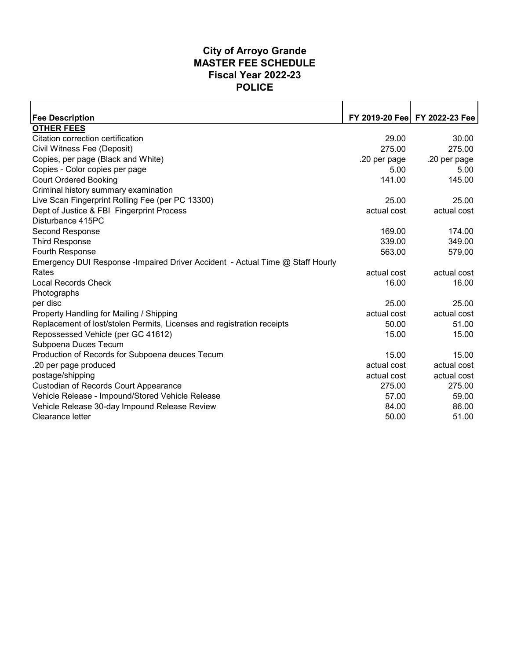#### **POLICE Fiscal Year 2022-23 MASTER FEE SCHEDULE City of Arroyo Grande**

| <b>Fee Description</b><br><b>OTHER FEES</b>                                    | 29.00<br>275.00 | FY 2019-20 Fee FY 2022-23 Fee<br>30.00 |
|--------------------------------------------------------------------------------|-----------------|----------------------------------------|
|                                                                                |                 |                                        |
|                                                                                |                 |                                        |
| Citation correction certification                                              |                 |                                        |
| Civil Witness Fee (Deposit)                                                    |                 | 275.00                                 |
| Copies, per page (Black and White)                                             | .20 per page    | .20 per page                           |
| Copies - Color copies per page                                                 | 5.00            | 5.00                                   |
| <b>Court Ordered Booking</b>                                                   | 141.00          | 145.00                                 |
| Criminal history summary examination                                           |                 |                                        |
| Live Scan Fingerprint Rolling Fee (per PC 13300)                               | 25.00           | 25.00                                  |
| Dept of Justice & FBI Fingerprint Process                                      | actual cost     | actual cost                            |
| Disturbance 415PC                                                              |                 |                                        |
| Second Response                                                                | 169.00          | 174.00                                 |
| <b>Third Response</b>                                                          | 339.00          | 349.00                                 |
| Fourth Response                                                                | 563.00          | 579.00                                 |
| Emergency DUI Response - Impaired Driver Accident - Actual Time @ Staff Hourly |                 |                                        |
| Rates                                                                          | actual cost     | actual cost                            |
| <b>Local Records Check</b>                                                     | 16.00           | 16.00                                  |
| Photographs                                                                    |                 |                                        |
| per disc                                                                       | 25.00           | 25.00                                  |
| Property Handling for Mailing / Shipping                                       | actual cost     | actual cost                            |
| Replacement of lost/stolen Permits, Licenses and registration receipts         | 50.00           | 51.00                                  |
| Repossessed Vehicle (per GC 41612)                                             | 15.00           | 15.00                                  |
| Subpoena Duces Tecum                                                           |                 |                                        |
| Production of Records for Subpoena deuces Tecum                                | 15.00           | 15.00                                  |
| .20 per page produced                                                          | actual cost     | actual cost                            |
| postage/shipping                                                               | actual cost     | actual cost                            |
| <b>Custodian of Records Court Appearance</b>                                   | 275.00          | 275.00                                 |
| Vehicle Release - Impound/Stored Vehicle Release                               | 57.00           | 59.00                                  |
| Vehicle Release 30-day Impound Release Review                                  | 84.00           | 86.00                                  |
| Clearance letter                                                               | 50.00           | 51.00                                  |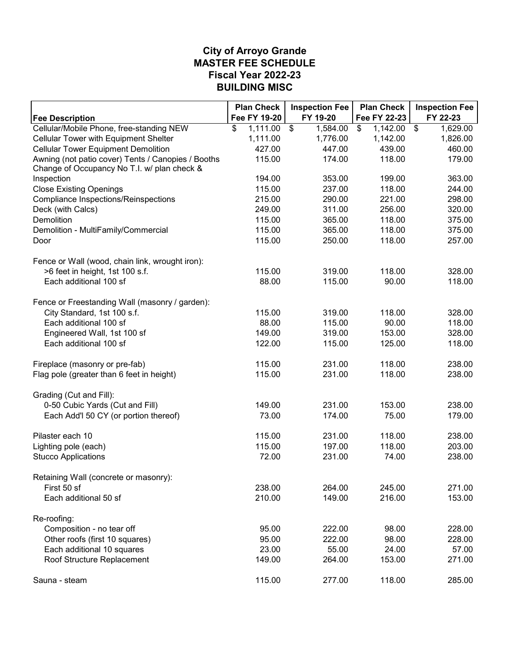#### **MASTER FEE SCHEDULE City of Arroyo Grande BUILDING MISC Fiscal Year 2022-23**

|                                                                                                   | <b>Plan Check</b> | <b>Inspection Fee</b>       | <b>Plan Check</b> | <b>Inspection Fee</b>                |
|---------------------------------------------------------------------------------------------------|-------------------|-----------------------------|-------------------|--------------------------------------|
| <b>Fee Description</b>                                                                            | Fee FY 19-20      | FY 19-20                    | Fee FY 22-23      | FY 22-23                             |
| Cellular/Mobile Phone, free-standing NEW                                                          | \$<br>1,111.00    | $\overline{\$}$<br>1,584.00 | \$<br>1,142.00    | $\overline{\mathcal{S}}$<br>1,629.00 |
| Cellular Tower with Equipment Shelter                                                             | 1,111.00          | 1,776.00                    | 1,142.00          | 1,826.00                             |
| <b>Cellular Tower Equipment Demolition</b>                                                        | 427.00            | 447.00                      | 439.00            | 460.00                               |
| Awning (not patio cover) Tents / Canopies / Booths<br>Change of Occupancy No T.I. w/ plan check & | 115.00            | 174.00                      | 118.00            | 179.00                               |
| Inspection                                                                                        | 194.00            | 353.00                      | 199.00            | 363.00                               |
| <b>Close Existing Openings</b>                                                                    | 115.00            | 237.00                      | 118.00            | 244.00                               |
| <b>Compliance Inspections/Reinspections</b>                                                       | 215.00            | 290.00                      | 221.00            | 298.00                               |
| Deck (with Calcs)                                                                                 | 249.00            | 311.00                      | 256.00            | 320.00                               |
| <b>Demolition</b>                                                                                 | 115.00            | 365.00                      | 118.00            | 375.00                               |
| Demolition - MultiFamily/Commercial                                                               | 115.00            | 365.00                      | 118.00            | 375.00                               |
| Door                                                                                              | 115.00            | 250.00                      | 118.00            | 257.00                               |
| Fence or Wall (wood, chain link, wrought iron):                                                   |                   |                             |                   |                                      |
| >6 feet in height, 1st 100 s.f.                                                                   | 115.00            | 319.00                      | 118.00            | 328.00                               |
| Each additional 100 sf                                                                            | 88.00             | 115.00                      | 90.00             | 118.00                               |
| Fence or Freestanding Wall (masonry / garden):                                                    |                   |                             |                   |                                      |
| City Standard, 1st 100 s.f.                                                                       | 115.00            | 319.00                      | 118.00            | 328.00                               |
| Each additional 100 sf                                                                            | 88.00             | 115.00                      | 90.00             | 118.00                               |
| Engineered Wall, 1st 100 sf                                                                       | 149.00            | 319.00                      | 153.00            | 328.00                               |
| Each additional 100 sf                                                                            | 122.00            | 115.00                      | 125.00            | 118.00                               |
| Fireplace (masonry or pre-fab)                                                                    | 115.00            | 231.00                      | 118.00            | 238.00                               |
| Flag pole (greater than 6 feet in height)                                                         | 115.00            | 231.00                      | 118.00            | 238.00                               |
| Grading (Cut and Fill):                                                                           |                   |                             |                   |                                      |
| 0-50 Cubic Yards (Cut and Fill)                                                                   | 149.00            | 231.00                      | 153.00            | 238.00                               |
| Each Add'l 50 CY (or portion thereof)                                                             | 73.00             | 174.00                      | 75.00             | 179.00                               |
| Pilaster each 10                                                                                  | 115.00            | 231.00                      | 118.00            | 238.00                               |
| Lighting pole (each)                                                                              | 115.00            | 197.00                      | 118.00            | 203.00                               |
| <b>Stucco Applications</b>                                                                        | 72.00             | 231.00                      | 74.00             | 238.00                               |
| Retaining Wall (concrete or masonry):                                                             |                   |                             |                   |                                      |
| First 50 sf                                                                                       | 238.00            | 264.00                      | 245.00            | 271.00                               |
| Each additional 50 sf                                                                             | 210.00            | 149.00                      | 216.00            | 153.00                               |
| Re-roofing:                                                                                       |                   |                             |                   |                                      |
| Composition - no tear off                                                                         | 95.00             | 222.00                      | 98.00             | 228.00                               |
| Other roofs (first 10 squares)                                                                    | 95.00             | 222.00                      | 98.00             | 228.00                               |
| Each additional 10 squares                                                                        | 23.00             | 55.00                       | 24.00             | 57.00                                |
| Roof Structure Replacement                                                                        | 149.00            | 264.00                      | 153.00            | 271.00                               |
| Sauna - steam                                                                                     | 115.00            | 277.00                      | 118.00            | 285.00                               |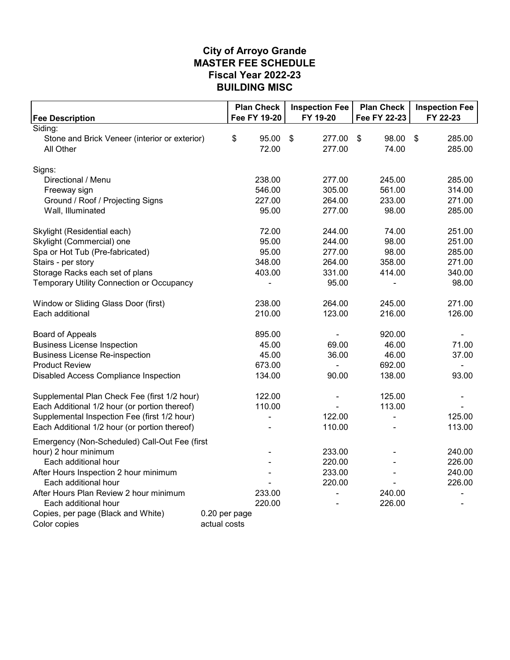#### **MASTER FEE SCHEDULE City of Arroyo Grande BUILDING MISC Fiscal Year 2022-23**

|                                                                                               | <b>Plan Check</b> | <b>Inspection Fee</b> | <b>Plan Check</b> | <b>Inspection Fee</b>               |
|-----------------------------------------------------------------------------------------------|-------------------|-----------------------|-------------------|-------------------------------------|
| <b>Fee Description</b>                                                                        | Fee FY 19-20      | FY 19-20              | Fee FY 22-23      | FY 22-23                            |
| Siding:                                                                                       |                   |                       |                   |                                     |
| Stone and Brick Veneer (interior or exterior)                                                 | \$<br>95.00       | \$<br>277.00          | \$<br>98.00       | $\boldsymbol{\mathsf{S}}$<br>285.00 |
| All Other                                                                                     | 72.00             | 277.00                | 74.00             | 285.00                              |
| Signs:                                                                                        |                   |                       |                   |                                     |
| Directional / Menu                                                                            | 238.00            | 277.00                | 245.00            | 285.00                              |
| Freeway sign                                                                                  | 546.00            | 305.00                | 561.00            | 314.00                              |
| Ground / Roof / Projecting Signs                                                              | 227.00            | 264.00                | 233.00            | 271.00                              |
| Wall, Illuminated                                                                             | 95.00             | 277.00                | 98.00             | 285.00                              |
|                                                                                               |                   |                       |                   |                                     |
| Skylight (Residential each)                                                                   | 72.00             | 244.00                | 74.00             | 251.00                              |
| Skylight (Commercial) one                                                                     | 95.00             | 244.00                | 98.00             | 251.00                              |
| Spa or Hot Tub (Pre-fabricated)                                                               | 95.00             | 277.00                | 98.00             | 285.00                              |
| Stairs - per story                                                                            | 348.00            | 264.00                | 358.00            | 271.00                              |
| Storage Racks each set of plans                                                               | 403.00            | 331.00                | 414.00            | 340.00                              |
| Temporary Utility Connection or Occupancy                                                     |                   | 95.00                 |                   | 98.00                               |
|                                                                                               |                   |                       |                   |                                     |
| Window or Sliding Glass Door (first)                                                          | 238.00            | 264.00                | 245.00            | 271.00                              |
| Each additional                                                                               | 210.00            | 123.00                | 216.00            | 126.00                              |
|                                                                                               |                   |                       |                   |                                     |
| <b>Board of Appeals</b>                                                                       | 895.00            | $\blacksquare$        | 920.00            |                                     |
| <b>Business License Inspection</b>                                                            | 45.00             | 69.00                 | 46.00             | 71.00                               |
| <b>Business License Re-inspection</b>                                                         | 45.00             | 36.00                 | 46.00             | 37.00                               |
| <b>Product Review</b>                                                                         | 673.00            | $\blacksquare$        | 692.00            | ÷,                                  |
| Disabled Access Compliance Inspection                                                         | 134.00            | 90.00                 | 138.00            | 93.00                               |
|                                                                                               | 122.00            |                       | 125.00            |                                     |
| Supplemental Plan Check Fee (first 1/2 hour)<br>Each Additional 1/2 hour (or portion thereof) | 110.00            |                       | 113.00            |                                     |
| Supplemental Inspection Fee (first 1/2 hour)                                                  |                   | 122.00                | ä,                | 125.00                              |
| Each Additional 1/2 hour (or portion thereof)                                                 |                   | 110.00                |                   | 113.00                              |
|                                                                                               |                   |                       |                   |                                     |
| Emergency (Non-Scheduled) Call-Out Fee (first                                                 |                   |                       |                   |                                     |
| hour) 2 hour minimum                                                                          |                   | 233.00                |                   | 240.00                              |
| Each additional hour                                                                          |                   | 220.00                |                   | 226.00                              |
| After Hours Inspection 2 hour minimum                                                         |                   | 233.00                |                   | 240.00                              |
| Each additional hour                                                                          |                   | 220.00                |                   | 226.00                              |
| After Hours Plan Review 2 hour minimum                                                        | 233.00            |                       | 240.00            |                                     |
| Each additional hour                                                                          | 220.00            |                       | 226.00            | ۰                                   |
| Copies, per page (Black and White)                                                            | 0.20 per page     |                       |                   |                                     |
| Color copies                                                                                  | actual costs      |                       |                   |                                     |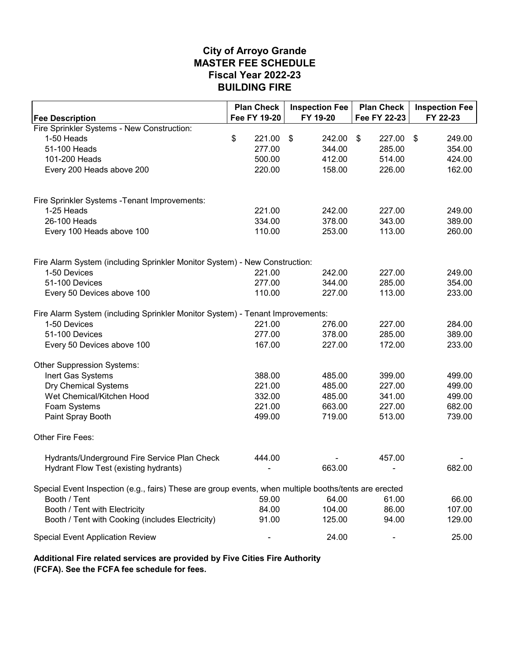|                                                                                                       | <b>Plan Check</b> | <b>Inspection Fee</b> | <b>Plan Check</b>       | <b>Inspection Fee</b> |
|-------------------------------------------------------------------------------------------------------|-------------------|-----------------------|-------------------------|-----------------------|
| <b>Fee Description</b>                                                                                | Fee FY 19-20      | FY 19-20              | Fee FY 22-23            | FY 22-23              |
| Fire Sprinkler Systems - New Construction:                                                            |                   |                       |                         |                       |
| 1-50 Heads                                                                                            | \$<br>221.00      | \$<br>242.00          | $\sqrt[6]{2}$<br>227.00 | -\$<br>249.00         |
| 51-100 Heads                                                                                          | 277.00            | 344.00                | 285.00                  | 354.00                |
| 101-200 Heads                                                                                         | 500.00            | 412.00                | 514.00                  | 424.00                |
| Every 200 Heads above 200                                                                             | 220.00            | 158.00                | 226.00                  | 162.00                |
| Fire Sprinkler Systems - Tenant Improvements:                                                         |                   |                       |                         |                       |
| 1-25 Heads                                                                                            | 221.00            | 242.00                | 227.00                  | 249.00                |
| 26-100 Heads                                                                                          | 334.00            | 378.00                | 343.00                  | 389.00                |
| Every 100 Heads above 100                                                                             | 110.00            | 253.00                | 113.00                  | 260.00                |
|                                                                                                       |                   |                       |                         |                       |
| Fire Alarm System (including Sprinkler Monitor System) - New Construction:                            |                   |                       |                         |                       |
| 1-50 Devices                                                                                          | 221.00            | 242.00                | 227.00                  | 249.00                |
| 51-100 Devices                                                                                        | 277.00            | 344.00                | 285.00                  | 354.00                |
| Every 50 Devices above 100                                                                            | 110.00            | 227.00                | 113.00                  | 233.00                |
| Fire Alarm System (including Sprinkler Monitor System) - Tenant Improvements:                         |                   |                       |                         |                       |
| 1-50 Devices                                                                                          | 221.00            | 276.00                | 227.00                  | 284.00                |
| 51-100 Devices                                                                                        | 277.00            | 378.00                | 285.00                  | 389.00                |
| Every 50 Devices above 100                                                                            | 167.00            | 227.00                | 172.00                  | 233.00                |
| Other Suppression Systems:                                                                            |                   |                       |                         |                       |
| Inert Gas Systems                                                                                     | 388.00            | 485.00                | 399.00                  | 499.00                |
| <b>Dry Chemical Systems</b>                                                                           | 221.00            | 485.00                | 227.00                  | 499.00                |
| Wet Chemical/Kitchen Hood                                                                             | 332.00            | 485.00                | 341.00                  | 499.00                |
| Foam Systems                                                                                          | 221.00            | 663.00                | 227.00                  | 682.00                |
| Paint Spray Booth                                                                                     | 499.00            | 719.00                | 513.00                  | 739.00                |
|                                                                                                       |                   |                       |                         |                       |
| Other Fire Fees:                                                                                      |                   |                       |                         |                       |
| Hydrants/Underground Fire Service Plan Check                                                          | 444.00            |                       | 457.00                  |                       |
| Hydrant Flow Test (existing hydrants)                                                                 |                   | 663.00                |                         | 682.00                |
| Special Event Inspection (e.g., fairs) These are group events, when multiple booths/tents are erected |                   |                       |                         |                       |
| Booth / Tent                                                                                          | 59.00             | 64.00                 | 61.00                   | 66.00                 |
| Booth / Tent with Electricity                                                                         | 84.00             | 104.00                | 86.00                   | 107.00                |
| Booth / Tent with Cooking (includes Electricity)                                                      | 91.00             | 125.00                | 94.00                   | 129.00                |
| <b>Special Event Application Review</b>                                                               |                   | 24.00                 |                         | 25.00                 |

**Additional Fire related services are provided by Five Cities Fire Authority (FCFA). See the FCFA fee schedule for fees.**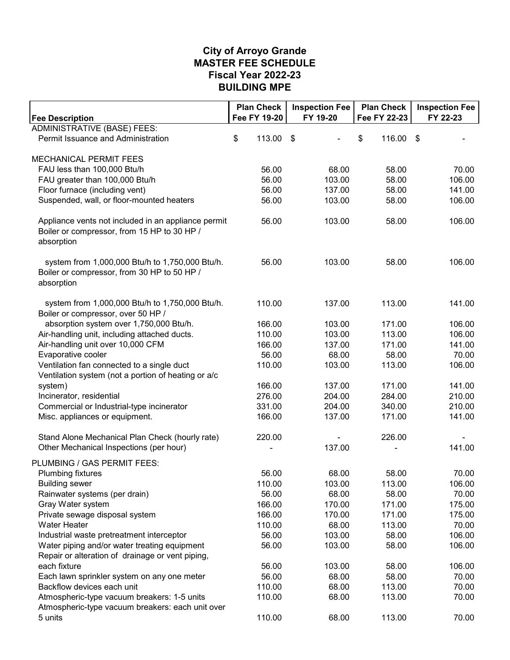#### **MASTER FEE SCHEDULE City of Arroyo Grande BUILDING MPE Fiscal Year 2022-23**

| <b>Fee Description</b>                                                                                           | <b>Plan Check</b><br>Fee FY 19-20 | <b>Inspection Fee</b><br>FY 19-20 | <b>Plan Check</b><br>Fee FY 22-23 | <b>Inspection Fee</b><br>FY 22-23 |
|------------------------------------------------------------------------------------------------------------------|-----------------------------------|-----------------------------------|-----------------------------------|-----------------------------------|
| <b>ADMINISTRATIVE (BASE) FEES:</b>                                                                               |                                   |                                   |                                   |                                   |
| Permit Issuance and Administration                                                                               | \$<br>113.00                      | \$                                | \$<br>116.00 \$                   |                                   |
| MECHANICAL PERMIT FEES                                                                                           |                                   |                                   |                                   |                                   |
| FAU less than 100,000 Btu/h                                                                                      | 56.00                             | 68.00                             | 58.00                             | 70.00                             |
| FAU greater than 100,000 Btu/h                                                                                   | 56.00                             | 103.00                            | 58.00                             | 106.00                            |
| Floor furnace (including vent)                                                                                   | 56.00                             | 137.00                            | 58.00                             | 141.00                            |
| Suspended, wall, or floor-mounted heaters                                                                        | 56.00                             | 103.00                            | 58.00                             | 106.00                            |
| Appliance vents not included in an appliance permit<br>Boiler or compressor, from 15 HP to 30 HP /<br>absorption | 56.00                             | 103.00                            | 58.00                             | 106.00                            |
| system from 1,000,000 Btu/h to 1,750,000 Btu/h.<br>Boiler or compressor, from 30 HP to 50 HP /<br>absorption     | 56.00                             | 103.00                            | 58.00                             | 106.00                            |
| system from 1,000,000 Btu/h to 1,750,000 Btu/h.<br>Boiler or compressor, over 50 HP /                            | 110.00                            | 137.00                            | 113.00                            | 141.00                            |
| absorption system over 1,750,000 Btu/h.                                                                          | 166.00                            | 103.00                            | 171.00                            | 106.00                            |
| Air-handling unit, including attached ducts.                                                                     | 110.00                            | 103.00                            | 113.00                            | 106.00                            |
| Air-handling unit over 10,000 CFM                                                                                | 166.00                            | 137.00                            | 171.00                            | 141.00                            |
| Evaporative cooler                                                                                               | 56.00                             | 68.00                             | 58.00                             | 70.00                             |
| Ventilation fan connected to a single duct<br>Ventilation system (not a portion of heating or a/c                | 110.00                            | 103.00                            | 113.00                            | 106.00                            |
| system)                                                                                                          | 166.00                            | 137.00                            | 171.00                            | 141.00                            |
| Incinerator, residential                                                                                         | 276.00                            | 204.00                            | 284.00                            | 210.00                            |
| Commercial or Industrial-type incinerator                                                                        | 331.00                            | 204.00                            | 340.00                            | 210.00                            |
| Misc. appliances or equipment.                                                                                   | 166.00                            | 137.00                            | 171.00                            | 141.00                            |
| Stand Alone Mechanical Plan Check (hourly rate)                                                                  | 220.00                            |                                   | 226.00                            |                                   |
| Other Mechanical Inspections (per hour)                                                                          |                                   | 137.00                            |                                   | 141.00                            |
| PLUMBING / GAS PERMIT FEES:                                                                                      |                                   |                                   |                                   |                                   |
| <b>Plumbing fixtures</b>                                                                                         | 56.00                             | 68.00                             | 58.00                             | 70.00                             |
| <b>Building sewer</b>                                                                                            | 110.00                            | 103.00                            | 113.00                            | 106.00                            |
| Rainwater systems (per drain)                                                                                    | 56.00                             | 68.00                             | 58.00                             | 70.00                             |
| Gray Water system                                                                                                | 166.00                            | 170.00                            | 171.00                            | 175.00                            |
| Private sewage disposal system                                                                                   | 166.00                            | 170.00                            | 171.00                            | 175.00                            |
| Water Heater                                                                                                     | 110.00                            | 68.00                             | 113.00                            | 70.00                             |
| Industrial waste pretreatment interceptor                                                                        | 56.00                             | 103.00                            | 58.00                             | 106.00                            |
| Water piping and/or water treating equipment                                                                     | 56.00                             | 103.00                            | 58.00                             | 106.00                            |
| Repair or alteration of drainage or vent piping,                                                                 |                                   |                                   |                                   |                                   |
| each fixture                                                                                                     | 56.00                             | 103.00                            | 58.00                             | 106.00                            |
| Each lawn sprinkler system on any one meter                                                                      | 56.00                             | 68.00                             | 58.00                             | 70.00                             |
| Backflow devices each unit                                                                                       | 110.00                            | 68.00                             | 113.00                            | 70.00                             |
| Atmospheric-type vacuum breakers: 1-5 units<br>Atmospheric-type vacuum breakers: each unit over                  | 110.00                            | 68.00                             | 113.00                            | 70.00                             |
| 5 units                                                                                                          | 110.00                            | 68.00                             | 113.00                            | 70.00                             |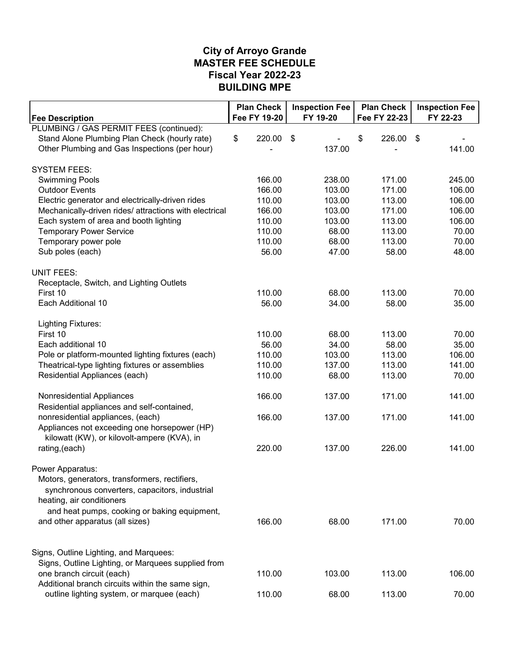#### **MASTER FEE SCHEDULE City of Arroyo Grande BUILDING MPE Fiscal Year 2022-23**

| <b>Fee Description</b>                                 | <b>Plan Check</b><br>Fee FY 19-20 | <b>Inspection Fee</b><br>FY 19-20 | <b>Plan Check</b><br>Fee FY 22-23 | <b>Inspection Fee</b><br>FY 22-23 |
|--------------------------------------------------------|-----------------------------------|-----------------------------------|-----------------------------------|-----------------------------------|
| PLUMBING / GAS PERMIT FEES (continued):                |                                   |                                   |                                   |                                   |
| Stand Alone Plumbing Plan Check (hourly rate)          | \$<br>220.00                      | $\boldsymbol{\mathsf{S}}$         | \$<br>226.00                      | -\$                               |
| Other Plumbing and Gas Inspections (per hour)          |                                   | 137.00                            |                                   | 141.00                            |
| <b>SYSTEM FEES:</b>                                    |                                   |                                   |                                   |                                   |
| <b>Swimming Pools</b>                                  | 166.00                            | 238.00                            | 171.00                            | 245.00                            |
| <b>Outdoor Events</b>                                  | 166.00                            | 103.00                            | 171.00                            | 106.00                            |
| Electric generator and electrically-driven rides       | 110.00                            | 103.00                            | 113.00                            | 106.00                            |
| Mechanically-driven rides/ attractions with electrical | 166.00                            | 103.00                            | 171.00                            | 106.00                            |
| Each system of area and booth lighting                 | 110.00                            | 103.00                            | 113.00                            | 106.00                            |
| <b>Temporary Power Service</b>                         | 110.00                            | 68.00                             | 113.00                            | 70.00                             |
| Temporary power pole                                   | 110.00                            | 68.00                             | 113.00                            | 70.00                             |
| Sub poles (each)                                       | 56.00                             | 47.00                             | 58.00                             | 48.00                             |
| <b>UNIT FEES:</b>                                      |                                   |                                   |                                   |                                   |
| Receptacle, Switch, and Lighting Outlets               |                                   |                                   |                                   |                                   |
| First 10                                               | 110.00                            | 68.00                             | 113.00                            | 70.00                             |
| Each Additional 10                                     | 56.00                             | 34.00                             | 58.00                             | 35.00                             |
| <b>Lighting Fixtures:</b>                              |                                   |                                   |                                   |                                   |
| First 10                                               | 110.00                            | 68.00                             | 113.00                            | 70.00                             |
| Each additional 10                                     | 56.00                             | 34.00                             | 58.00                             | 35.00                             |
| Pole or platform-mounted lighting fixtures (each)      | 110.00                            | 103.00                            | 113.00                            | 106.00                            |
| Theatrical-type lighting fixtures or assemblies        | 110.00                            | 137.00                            | 113.00                            | 141.00                            |
| Residential Appliances (each)                          | 110.00                            | 68.00                             | 113.00                            | 70.00                             |
| Nonresidential Appliances                              | 166.00                            | 137.00                            | 171.00                            | 141.00                            |
| Residential appliances and self-contained,             |                                   |                                   |                                   |                                   |
| nonresidential appliances, (each)                      | 166.00                            | 137.00                            | 171.00                            | 141.00                            |
| Appliances not exceeding one horsepower (HP)           |                                   |                                   |                                   |                                   |
| kilowatt (KW), or kilovolt-ampere (KVA), in            |                                   |                                   |                                   |                                   |
| rating, (each)                                         | 220.00                            | 137.00                            | 226.00                            | 141.00                            |
| Power Apparatus:                                       |                                   |                                   |                                   |                                   |
| Motors, generators, transformers, rectifiers,          |                                   |                                   |                                   |                                   |
| synchronous converters, capacitors, industrial         |                                   |                                   |                                   |                                   |
| heating, air conditioners                              |                                   |                                   |                                   |                                   |
| and heat pumps, cooking or baking equipment,           |                                   |                                   |                                   |                                   |
| and other apparatus (all sizes)                        | 166.00                            | 68.00                             | 171.00                            | 70.00                             |
|                                                        |                                   |                                   |                                   |                                   |
| Signs, Outline Lighting, and Marquees:                 |                                   |                                   |                                   |                                   |
| Signs, Outline Lighting, or Marquees supplied from     |                                   |                                   |                                   |                                   |
| one branch circuit (each)                              | 110.00                            | 103.00                            | 113.00                            | 106.00                            |
| Additional branch circuits within the same sign,       |                                   |                                   |                                   |                                   |
| outline lighting system, or marquee (each)             | 110.00                            | 68.00                             | 113.00                            | 70.00                             |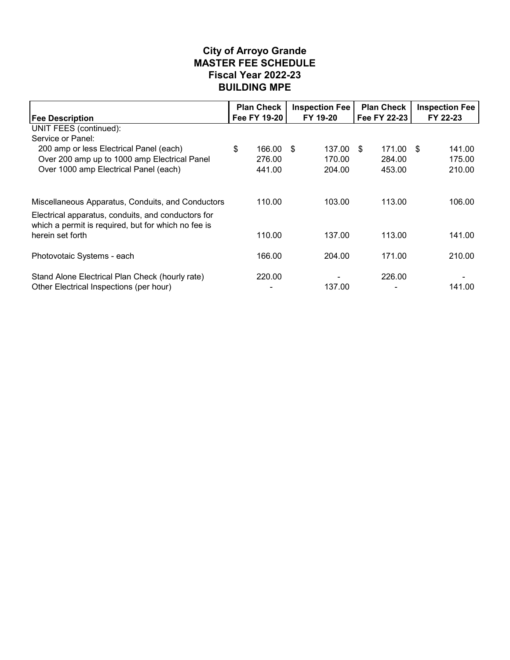#### **MASTER FEE SCHEDULE City of Arroyo Grande BUILDING MPE Fiscal Year 2022-23**

|                                                                                                                                                                | <b>Plan Check</b><br><b>Inspection Fee</b> |              |          | <b>Plan Check</b> |    |              | <b>Inspection Fee</b> |          |  |
|----------------------------------------------------------------------------------------------------------------------------------------------------------------|--------------------------------------------|--------------|----------|-------------------|----|--------------|-----------------------|----------|--|
| <b>Fee Description</b>                                                                                                                                         |                                            | Fee FY 19-20 | FY 19-20 |                   |    | Fee FY 22-23 |                       | FY 22-23 |  |
| UNIT FEES (continued):                                                                                                                                         |                                            |              |          |                   |    |              |                       |          |  |
| Service or Panel:                                                                                                                                              |                                            |              |          |                   |    |              |                       |          |  |
| 200 amp or less Electrical Panel (each)                                                                                                                        | \$                                         | 166.00       | \$       | 137.00            | \$ | 171.00       | -\$                   | 141.00   |  |
| Over 200 amp up to 1000 amp Electrical Panel                                                                                                                   |                                            | 276.00       |          | 170.00            |    | 284.00       |                       | 175.00   |  |
| Over 1000 amp Electrical Panel (each)                                                                                                                          |                                            | 441.00       |          | 204.00            |    | 453.00       |                       | 210.00   |  |
| Miscellaneous Apparatus, Conduits, and Conductors<br>Electrical apparatus, conduits, and conductors for<br>which a permit is required, but for which no fee is |                                            | 110.00       |          | 103.00            |    | 113.00       |                       | 106.00   |  |
| herein set forth                                                                                                                                               |                                            | 110.00       |          | 137.00            |    | 113.00       |                       | 141.00   |  |
| Photovotaic Systems - each                                                                                                                                     |                                            | 166.00       |          | 204.00            |    | 171.00       |                       | 210.00   |  |
| Stand Alone Electrical Plan Check (hourly rate)<br>Other Electrical Inspections (per hour)                                                                     |                                            | 220.00       |          | 137.00            |    | 226.00       |                       | 141.00   |  |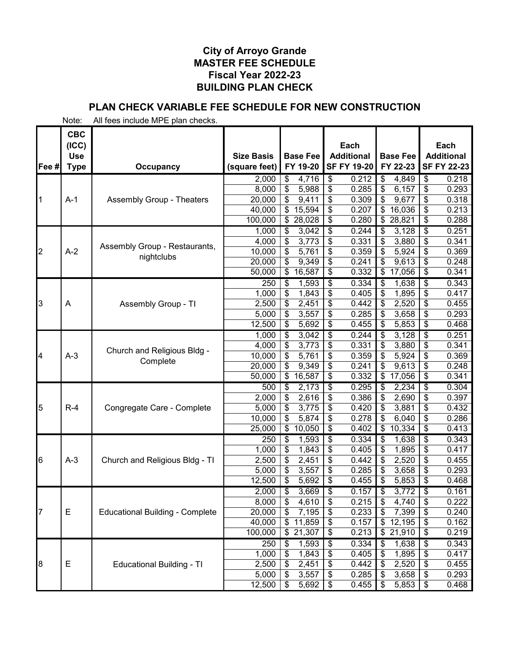# **PLAN CHECK VARIABLE FEE SCHEDULE FOR NEW CONSTRUCTION**

|       | <b>CBC</b><br>(ICC)                 |                                        |                   |                                             | Each                               |                            | Each                                      |
|-------|-------------------------------------|----------------------------------------|-------------------|---------------------------------------------|------------------------------------|----------------------------|-------------------------------------------|
|       | <b>Use</b>                          |                                        | <b>Size Basis</b> | <b>Base Fee</b>                             | <b>Additional</b>                  | <b>Base Fee</b>            | <b>Additional</b>                         |
| Fee # | <b>Type</b>                         | Occupancy                              | (square feet)     | FY 19-20                                    | <b>SF FY 19-20</b>                 | FY 22-23                   | <b>SF FY 22-23</b>                        |
|       |                                     |                                        | 2,000             | 4,716<br>\$                                 | \$<br>0.212                        | 4,849<br>\$                | \$<br>0.218                               |
|       |                                     |                                        | 8,000             | \$<br>5,988                                 | \$<br>0.285                        | \$<br>6,157                | \$<br>0.293                               |
|       | $A-1$                               | <b>Assembly Group - Theaters</b>       | 20,000            | \$<br>9,411                                 | \$<br>0.309                        | \$<br>9,677                | \$<br>0.318                               |
|       |                                     |                                        | 40,000            | \$<br>15,594                                | \$<br>0.207                        | \$<br>16,036               | \$<br>0.213                               |
|       |                                     |                                        | 100,000           | \$28,028                                    | \$<br>0.280                        | \$<br>28,821               | \$<br>0.288                               |
|       |                                     |                                        | 1,000             | 3,042<br>\$                                 | \$<br>0.244                        | 3,128<br>\$                | $\overline{\boldsymbol{\theta}}$<br>0.251 |
|       |                                     | Assembly Group - Restaurants,          | 4,000             | \$<br>3,773                                 | 0.331<br>\$                        | 3,880<br>\$                | \$<br>0.341                               |
| 2     | $A-2$                               | nightclubs                             | 10,000            | \$<br>5,761<br>\$                           | \$<br>0.359<br>\$<br>0.241         | 5,924<br>\$<br>\$<br>9,613 | \$<br>0.369<br>\$<br>0.248                |
|       |                                     |                                        | 20,000<br>50,000  | 9,349<br>$\overline{\mathcal{G}}$<br>16,587 | \$<br>0.332                        | \$<br>17,056               | \$<br>0.341                               |
|       |                                     |                                        | 250               | 1,593<br>\$                                 | \$<br>0.334                        | 1,638<br>\$                | \$<br>0.343                               |
|       |                                     |                                        | 1,000             | \$<br>1,843                                 | \$<br>0.405                        | \$<br>1,895                | \$<br>0.417                               |
| 3     | A                                   | Assembly Group - TI                    | 2,500             | \$<br>2,451                                 | \$<br>0.442                        | 2,520<br>\$                | \$<br>0.455                               |
|       |                                     |                                        | 5,000             | \$<br>3,557                                 | \$<br>0.285                        | \$<br>3,658                | 0.293<br>\$                               |
|       |                                     |                                        | 12,500            | \$<br>5,692                                 | \$<br>0.455                        | 5,853<br>\$                | \$<br>0.468                               |
|       |                                     |                                        | 1,000             | \$<br>3,042                                 | \$<br>0.244                        | \$<br>3,128                | 0.251<br>\$                               |
|       |                                     |                                        | 4,000             | \$<br>3,773                                 | \$<br>0.331                        | \$<br>3,880                | \$<br>0.341                               |
| 4     | $A-3$                               | Church and Religious Bldg -            | 10,000            | \$<br>5,761                                 | \$<br>0.359                        | \$<br>5,924                | \$<br>0.369                               |
|       |                                     | Complete                               | 20,000            | \$<br>9,349                                 | \$<br>0.241                        | \$<br>9,613                | \$<br>0.248                               |
|       |                                     |                                        | 50,000            | \$<br>16,587                                | 0.332<br>\$                        | 17,056<br>\$               | \$<br>0.341                               |
|       |                                     |                                        | 500               | \$<br>2,173                                 | \$<br>0.295                        | 2,234<br>\$                | 0.304<br>\$                               |
|       | $R-4$<br>Congregate Care - Complete | 2,000                                  | \$<br>2,616       | \$<br>0.386                                 | \$<br>2,690                        | \$<br>0.397                |                                           |
| 5     |                                     | 5,000                                  | \$<br>3,775       | \$<br>0.420                                 | \$<br>3,881                        | \$<br>0.432                |                                           |
|       |                                     |                                        | 10,000            | \$<br>5,874                                 | \$<br>0.278                        | 6,040<br>\$                | \$<br>0.286                               |
|       |                                     |                                        | 25,000            | \$<br>10,050                                | \$<br>0.402                        | 10,334<br>\$               | \$<br>0.413                               |
|       |                                     |                                        | 250               | \$<br>1,593                                 | \$<br>0.334                        | \$<br>1,638                | $\overline{\boldsymbol{\theta}}$<br>0.343 |
|       |                                     |                                        | 1,000             | \$<br>1,843                                 | \$<br>0.405                        | 1,895<br>\$                | \$<br>0.417                               |
| 6     | $A-3$                               | Church and Religious Bldg - TI         | 2,500             | \$<br>2,451                                 | \$<br>0.442                        | 2,520<br>\$                | \$<br>0.455                               |
|       |                                     |                                        | 5,000             | \$<br>3,557                                 | \$<br>0.285                        | 3,658<br>\$                | \$<br>0.293                               |
|       |                                     |                                        | 12,500            | \$<br>5,692                                 | \$<br>0.455                        | \$<br>5,853                | \$<br>0.468                               |
|       |                                     |                                        | 2,000             | 3,669<br>\$                                 | \$<br>0.157                        | 3,772<br>\$                | $\overline{\boldsymbol{\theta}}$<br>0.161 |
|       |                                     |                                        | 8,000             | \$<br>4,610                                 | \$<br>0.215                        | \$<br>4,740                | \$<br>0.222                               |
| 7     | E                                   | <b>Educational Building - Complete</b> | 20,000            | \$<br>7,195                                 | \$<br>0.233                        | \$<br>7,399                | \$<br>0.240                               |
|       |                                     |                                        | 40,000            | \$11,859                                    | \$<br>0.157                        | 12,195<br>\$               | \$<br>0.162                               |
|       |                                     |                                        | 100,000           | \$21,307                                    | $\boldsymbol{\mathsf{S}}$<br>0.213 | 21,910<br>\$               | \$<br>0.219                               |
|       |                                     |                                        | 250               | 1,593<br>\$                                 | \$<br>0.334                        | 1,638<br>\$                | 0.343<br>\$                               |
|       |                                     |                                        | 1,000             | \$<br>1,843                                 | \$<br>0.405                        | 1,895<br>\$                | 0.417<br>\$                               |
| 8     | Ε                                   | <b>Educational Building - TI</b>       | 2,500             | 2,451<br>\$<br>\$                           | \$<br>0.442                        | 2,520<br>\$                | \$<br>0.455<br>0.293                      |
|       |                                     |                                        | 5,000<br>12,500   | 3,557<br>\$<br>5,692                        | \$<br>0.285<br>\$<br>0.455         | 3,658<br>\$<br>5,853<br>\$ | \$<br>0.468<br>\$                         |
|       |                                     |                                        |                   |                                             |                                    |                            |                                           |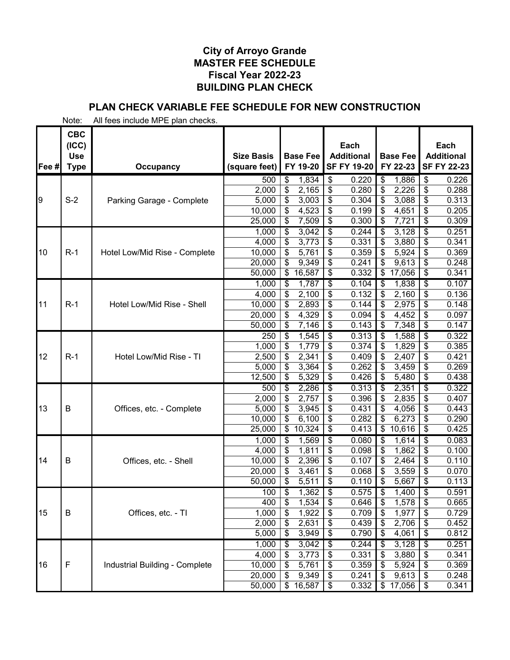# **PLAN CHECK VARIABLE FEE SCHEDULE FOR NEW CONSTRUCTION**

|       | <b>CBC</b><br>(ICC)       |                                |                                    |                                   | Each                                    |                             | Each                                    |
|-------|---------------------------|--------------------------------|------------------------------------|-----------------------------------|-----------------------------------------|-----------------------------|-----------------------------------------|
| Fee # | <b>Use</b><br><b>Type</b> | <b>Occupancy</b>               | <b>Size Basis</b><br>(square feet) | <b>Base Fee</b><br>FY 19-20       | <b>Additional</b><br><b>SF FY 19-20</b> | <b>Base Fee</b><br>FY 22-23 | <b>Additional</b><br><b>SF FY 22-23</b> |
|       |                           |                                | 500                                | 1,834<br>\$                       | \$<br>0.220                             | \$<br>1,886                 | \$<br>0.226                             |
|       |                           |                                | 2,000                              | \$<br>2,165                       | \$<br>0.280                             | 2,226<br>\$                 | \$<br>0.288                             |
| 9     | $S-2$                     | Parking Garage - Complete      | 5,000                              | \$<br>3,003                       | \$<br>0.304                             | 3,088<br>\$                 | \$<br>0.313                             |
|       |                           |                                | 10,000                             | 4,523<br>\$                       | \$<br>0.199                             | \$<br>4,651                 | \$<br>0.205                             |
|       |                           |                                | 25,000                             | 7,509<br>\$                       | \$<br>0.300                             | 7,721<br>\$                 | 0.309<br>$\frac{1}{2}$                  |
|       |                           |                                | 1,000                              | $\overline{\mathcal{G}}$<br>3,042 | \$<br>0.244<br>0.331                    | 3,128<br>\$                 | $\overline{\$}$<br>0.251<br>\$<br>0.341 |
| 10    | $R-1$                     | Hotel Low/Mid Rise - Complete  | 4,000<br>10,000                    | \$<br>3,773<br>\$<br>5,761        | \$<br>\$<br>0.359                       | \$<br>3,880<br>5,924<br>\$  | \$<br>0.369                             |
|       |                           |                                | 20,000                             | \$<br>9,349                       | \$<br>0.241                             | 9,613                       | \$<br>0.248                             |
|       |                           |                                | 50,000                             | 16,587<br>\$                      | \$<br>0.332                             | 17,056<br>\$                | \$<br>0.341                             |
|       |                           |                                | 1,000                              | \$<br>1,787                       | \$<br>0.104                             | 1,838<br>\$                 | \$<br>0.107                             |
|       |                           |                                | 4,000                              | \$<br>2,100                       | 0.132<br>\$                             | 2,160<br>\$                 | 0.136<br>\$                             |
| 11    | $R-1$                     | Hotel Low/Mid Rise - Shell     | 10,000                             | \$<br>2,893                       | \$<br>0.144                             | 2,975<br>\$                 | \$<br>0.148                             |
|       |                           |                                | 20,000                             | \$<br>4,329                       | \$<br>0.094                             | \$<br>4,452                 | 0.097<br>\$                             |
|       |                           |                                | 50,000                             | \$<br>7,146                       | \$<br>0.143                             | \$<br>7,348                 | \$<br>0.147                             |
|       |                           |                                | 250                                | 1,545<br>\$                       | 0.313<br>\$                             | 1,588<br>\$                 | 0.322<br>\$                             |
|       |                           |                                | 1,000                              | \$<br>1,779                       | \$<br>0.374                             | 1,829<br>\$                 | \$<br>0.385                             |
| 12    | $R-1$                     | Hotel Low/Mid Rise - TI        | 2,500                              | \$<br>2,341                       | \$<br>0.409                             | \$<br>2,407                 | \$<br>0.421                             |
|       |                           |                                | 5,000                              | \$<br>3,364                       | \$<br>0.262                             | \$<br>3,459                 | \$<br>0.269                             |
|       |                           |                                | 12,500                             | \$<br>5,329                       | \$<br>0.426                             | \$<br>5,480                 | \$<br>0.438                             |
|       |                           |                                | 500                                | 2,286<br>\$                       | \$<br>0.313                             | 2,351<br>\$                 | \$<br>0.322                             |
| 13    | B                         |                                | 2,000                              | \$<br>2,757                       | \$<br>0.396<br>0.431                    | 2,835<br>\$<br>4,056        | \$<br>0.407<br>0.443                    |
|       |                           | Offices, etc. - Complete       | 5,000<br>10,000                    | \$<br>3,945<br>\$<br>6,100        | \$<br>\$<br>0.282                       | \$<br>6,273                 | \$<br>0.290<br>\$                       |
|       |                           |                                | 25,000                             | \$<br>10,324                      | \$<br>0.413                             | 10,616<br>\$                | \$<br>0.425                             |
|       |                           |                                | 1,000                              | \$<br>1,569                       | \$<br>0.080                             | 1,614<br>\$                 | \$<br>0.083                             |
|       |                           |                                | 4,000                              | \$<br>1,811                       | 0.098<br>\$                             | 1,862<br>\$                 | \$<br>0.100                             |
| 14    | B                         | Offices, etc. - Shell          | 10,000                             | \$<br>2,396                       | \$<br>0.107                             | 2,464<br>\$                 | \$<br>0.110                             |
|       |                           |                                | 20,000                             | \$<br>3,461                       | \$<br>0.068                             | 3,559<br>\$                 | \$<br>0.070                             |
|       |                           |                                | 50,000                             | \$<br>5,511                       | \$<br>0.110                             | 5,667                       | \$<br>0.113                             |
|       |                           |                                | 100                                | \$<br>1,362                       | $\overline{\mathcal{S}}$<br>0.575       | \$<br>1,400                 | $\overline{\$}$<br>0.591                |
|       |                           |                                | 400                                | $\overline{\$}$<br>1,534          | $\overline{\mathcal{E}}$<br>0.646       | $\overline{\$}$<br>1,578    | \$<br>0.665                             |
| 15    | B                         | Offices, etc. - TI             | 1,000                              | \$<br>1,922                       | \$<br>0.709                             | \$<br>1,977                 | 0.729<br>\$                             |
|       |                           |                                | 2,000                              | \$<br>2,631                       | 0.439<br>\$                             | 2,706<br>\$                 | 0.452<br>\$                             |
|       |                           |                                | 5,000                              | 3,949<br>\$                       | \$<br>0.790                             | 4,061<br>\$                 | \$<br>0.812                             |
|       |                           |                                | 1,000                              | 3,042<br>\$                       | \$<br>0.244                             | 3,128<br>\$                 | \$<br>0.251                             |
| 16    | $\mathsf F$               | Industrial Building - Complete | 4,000<br>10,000                    | \$<br>3,773<br>\$<br>5,761        | 0.331<br>\$<br>\$<br>0.359              | 3,880<br>\$<br>5,924<br>\$  | 0.341<br>\$<br>0.369<br>\$              |
|       |                           |                                | 20,000                             | \$<br>9,349                       | \$<br>0.241                             | 9,613<br>\$                 | 0.248<br>$\frac{1}{2}$                  |
|       |                           |                                | 50,000                             | $\frac{1}{2}$<br>16,587           | 0.332<br>\$                             | \$<br>17,056                | 0.341<br>\$                             |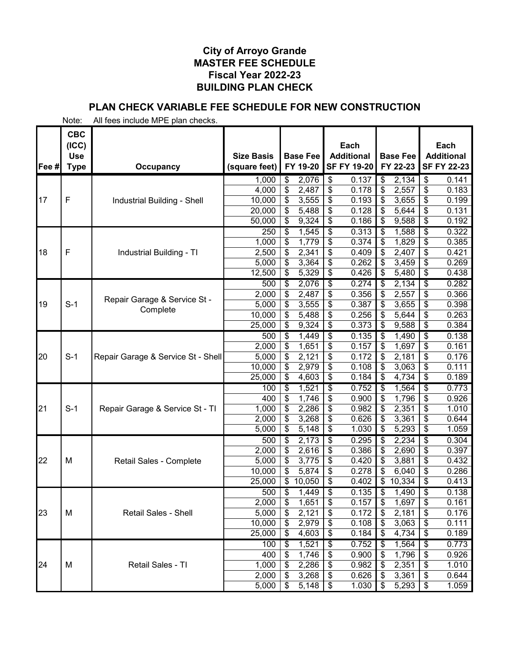# **PLAN CHECK VARIABLE FEE SCHEDULE FOR NEW CONSTRUCTION**

|       | <b>CBC</b><br>(ICC)       |                                          |                                    |                          |                             |                                  | Each                                    |                 |                             |                                  | Each                                    |
|-------|---------------------------|------------------------------------------|------------------------------------|--------------------------|-----------------------------|----------------------------------|-----------------------------------------|-----------------|-----------------------------|----------------------------------|-----------------------------------------|
| Fee # | <b>Use</b><br><b>Type</b> | Occupancy                                | <b>Size Basis</b><br>(square feet) |                          | <b>Base Fee</b><br>FY 19-20 |                                  | <b>Additional</b><br><b>SF FY 19-20</b> |                 | <b>Base Fee</b><br>FY 22-23 |                                  | <b>Additional</b><br><b>SF FY 22-23</b> |
|       |                           |                                          | 1,000                              | \$                       | 2,076                       | \$                               | 0.137                                   | \$              | 2,134                       | \$                               | 0.141                                   |
|       |                           |                                          | 4,000                              | \$                       | 2,487                       | \$                               | 0.178                                   | \$              | 2,557                       | \$                               | 0.183                                   |
| 17    | $\mathsf{F}$              | Industrial Building - Shell              | 10,000                             | \$                       | 3,555                       | \$                               | 0.193                                   | \$              | 3,655                       | \$                               | 0.199                                   |
|       |                           |                                          | 20,000                             | \$                       | 5,488                       | \$                               | 0.128                                   | \$              | 5,644                       | \$                               | 0.131                                   |
|       |                           |                                          | 50,000                             | \$                       | 9,324                       | \$                               | 0.186                                   | \$              | 9,588                       | $\frac{1}{2}$                    | 0.192                                   |
|       |                           |                                          | 250                                | \$                       | 1,545                       | $\overline{\boldsymbol{\theta}}$ | 0.313                                   | \$              | 1,588                       | $\overline{\$}$                  | 0.322                                   |
|       |                           |                                          | 1,000                              | \$                       | 1,779                       | \$                               | 0.374                                   | \$              | 1,829                       | \$                               | 0.385                                   |
| 18    | $\mathsf{F}$              | Industrial Building - TI                 | 2,500                              | \$                       | 2,341                       | \$                               | 0.409                                   | \$              | 2,407                       | \$                               | 0.421                                   |
|       |                           |                                          | 5,000                              | \$                       | 3,364                       | \$                               | 0.262                                   | \$              | 3,459                       | \$                               | 0.269                                   |
|       |                           |                                          | 12,500                             | \$                       | 5,329                       | \$                               | 0.426                                   | \$              | 5,480                       | \$                               | 0.438                                   |
|       |                           |                                          | 500                                | \$                       | 2,076                       | \$                               | 0.274                                   | \$              | 2,134                       | \$                               | 0.282                                   |
|       |                           | Repair Garage & Service St -             | 2,000                              | \$                       | 2,487                       | \$                               | 0.356                                   | \$              | 2,557                       | \$                               | 0.366                                   |
| 19    | $S-1$                     | Complete                                 | 5,000                              | \$                       | 3,555                       | \$                               | 0.387                                   | \$              | 3,655                       | \$                               | 0.398                                   |
|       |                           |                                          | 10,000                             | \$                       | 5,488                       | \$                               | 0.256                                   | \$              | 5,644                       | \$                               | 0.263                                   |
|       |                           |                                          | 25,000                             | \$                       | 9,324                       | \$                               | 0.373                                   | \$              | 9,588                       | $\frac{1}{2}$                    | 0.384                                   |
|       |                           |                                          | 500                                | \$                       | 1,449                       | \$                               | 0.135                                   | \$              | 1,490                       | $\overline{\boldsymbol{\theta}}$ | 0.138                                   |
|       |                           |                                          | 2,000                              | \$                       | 1,651                       | \$                               | 0.157                                   | \$              | 1,697                       | \$                               | 0.161                                   |
| 20    | $S-1$                     | Repair Garage & Service St - Shell       | 5,000                              | \$                       | 2,121                       | \$                               | 0.172                                   | \$              | 2,181                       | \$                               | 0.176                                   |
|       |                           |                                          | 10,000                             | \$                       | 2,979                       | \$                               | 0.108                                   | \$              | 3,063                       | \$                               | 0.111                                   |
|       |                           |                                          | 25,000                             | \$                       | 4,603                       | \$                               | 0.184                                   | \$              | 4,734                       | \$                               | 0.189                                   |
|       |                           |                                          | 100                                | \$                       | 1,521                       | \$                               | 0.752                                   | \$              | 1,564                       | \$                               | 0.773                                   |
|       |                           |                                          | 400                                | \$                       | 1,746                       | \$                               | 0.900                                   | \$              | 1,796                       | \$                               | 0.926                                   |
| 21    |                           | $S-1$<br>Repair Garage & Service St - TI | 1,000                              | \$                       | 2,286                       | \$<br>\$                         | 0.982                                   |                 | 2,351                       | \$                               | 1.010                                   |
|       |                           |                                          | 2,000<br>5,000                     | \$<br>\$                 | 3,268<br>5,148              | \$                               | 0.626<br>1.030                          | \$<br>\$        | 3,361<br>5,293              | \$<br>\$                         | 0.644<br>1.059                          |
|       |                           |                                          |                                    |                          | 2,173                       | \$                               | 0.295                                   |                 | 2,234                       | \$                               | 0.304                                   |
|       |                           |                                          | 500<br>2,000                       | \$<br>\$                 | 2,616                       | \$                               | 0.386                                   | \$<br>\$        | 2,690                       | \$                               | 0.397                                   |
| 22    | M                         | Retail Sales - Complete                  | 5,000                              | \$                       | 3,775                       | \$                               | 0.420                                   | \$              | 3,881                       | \$                               | 0.432                                   |
|       |                           |                                          | 10,000                             | \$                       | 5,874                       | \$                               | 0.278                                   |                 | 6,040                       | \$                               | 0.286                                   |
|       |                           |                                          | 25,000                             | $\overline{\mathcal{S}}$ | 10,050                      | \$                               | 0.402                                   | \$              | 10,334                      | \$                               | 0.413                                   |
|       |                           |                                          | 500                                | \$                       | 1,449                       | $\overline{\$}$                  | 0.135                                   | \$              | 1,490                       | $\overline{\boldsymbol{\theta}}$ | 0.138                                   |
|       |                           |                                          | 2,000                              | $\overline{\$}$          | 1,651                       | $\overline{\mathcal{S}}$         | 0.157                                   | $\overline{\$}$ | 1,697                       | \$                               | 0.161                                   |
| 23    | М                         | <b>Retail Sales - Shell</b>              | 5,000                              | \$                       | 2,121                       | \$                               | 0.172                                   | \$              | 2,181                       | \$                               | 0.176                                   |
|       |                           |                                          | 10,000                             | \$                       | 2,979                       | \$                               | 0.108                                   | S               | 3,063                       | \$                               | 0.111                                   |
|       |                           |                                          | 25,000                             | \$                       | 4,603                       | \$                               | 0.184                                   |                 | 4,734                       | \$                               | 0.189                                   |
|       |                           |                                          | 100                                | \$                       | 1,521                       | \$                               | 0.752                                   | S               | 1,564                       | \$                               | 0.773                                   |
|       |                           |                                          | 400                                | \$                       | 1,746                       | \$                               | 0.900                                   | S               | 1,796                       | \$                               | 0.926                                   |
| 24    | M                         | Retail Sales - TI                        | 1,000                              | \$                       | 2,286                       | \$                               | 0.982                                   | S               | 2,351                       | \$                               | 1.010                                   |
|       |                           |                                          | 2,000                              | \$                       | 3,268                       | \$                               | 0.626                                   | \$              | 3,361                       | $\frac{1}{2}$                    | 0.644                                   |
|       |                           |                                          | 5,000                              | \$                       | 5,148                       | \$                               | 1.030                                   | \$              | 5,293                       | $\boldsymbol{\mathsf{\$}}$       | 1.059                                   |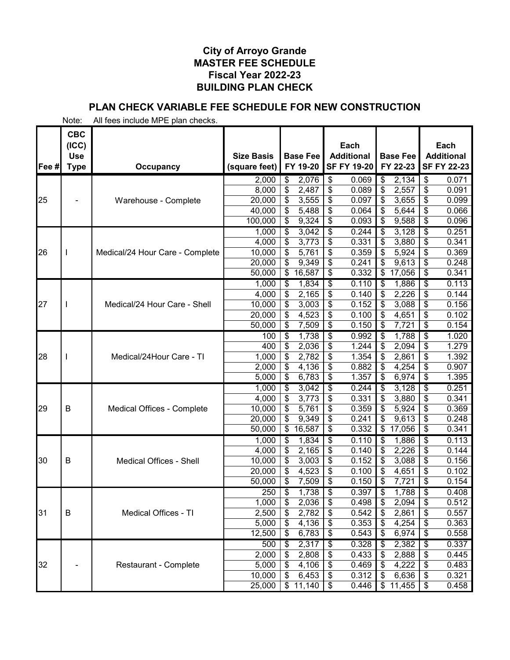# **PLAN CHECK VARIABLE FEE SCHEDULE FOR NEW CONSTRUCTION**

|       | <b>CBC</b><br>(ICC)      |                                 |                   |                          | Each                              |                                   | Each                                      |
|-------|--------------------------|---------------------------------|-------------------|--------------------------|-----------------------------------|-----------------------------------|-------------------------------------------|
|       | <b>Use</b>               |                                 | <b>Size Basis</b> | <b>Base Fee</b>          | <b>Additional</b>                 | <b>Base Fee</b>                   | <b>Additional</b>                         |
| Fee # | <b>Type</b>              | <b>Occupancy</b>                | (square feet)     | FY 19-20                 | <b>SF FY 19-20</b>                | FY 22-23                          | <b>SF FY 22-23</b>                        |
|       |                          |                                 | 2,000             | 2,076<br>\$              | \$<br>0.069                       | \$<br>2,134                       | \$<br>0.071                               |
|       |                          |                                 | 8,000             | \$<br>2,487              | \$<br>0.089                       | 2,557<br>\$                       | \$<br>0.091                               |
| 25    |                          | Warehouse - Complete            | 20,000            | \$<br>3,555              | \$<br>0.097                       | 3,655<br>\$                       | \$<br>0.099                               |
|       |                          |                                 | 40,000            | 5,488<br>\$              | \$<br>0.064                       | 5,644<br>\$                       | \$<br>0.066                               |
|       |                          |                                 | 100,000           | 9,324<br>\$              | \$<br>0.093                       | 9,588<br>\$                       | $\frac{1}{2}$<br>0.096                    |
|       |                          |                                 | 1,000             | 3,042<br>\$              | \$<br>0.244                       | 3,128<br>\$                       | $\overline{\$}$<br>0.251                  |
|       |                          |                                 | 4,000             | \$<br>3,773              | \$<br>0.331                       | \$<br>3,880                       | \$<br>0.341                               |
| 26    | $\overline{\phantom{a}}$ | Medical/24 Hour Care - Complete | 10,000            | \$<br>5,761              | \$<br>0.359                       | \$<br>5,924                       | \$<br>0.369                               |
|       |                          |                                 | 20,000            | \$<br>9,349              | \$<br>0.241                       | 9,613                             | \$<br>0.248                               |
|       |                          |                                 | 50,000            | 16,587<br>\$             | \$<br>0.332                       | 17,056<br>\$                      | 0.341<br>\$                               |
|       |                          |                                 | 1,000             | \$<br>1,834              | \$<br>0.110                       | 1,886<br>\$                       | \$<br>0.113                               |
|       |                          |                                 | 4,000             | 2,165<br>\$              | \$<br>0.140                       | 2,226<br>\$                       | \$<br>0.144                               |
| 27    | $\mathsf{l}$             | Medical/24 Hour Care - Shell    | 10,000            | \$<br>3,003              | \$<br>0.152                       | 3,088<br>\$                       | \$<br>0.156                               |
|       |                          |                                 | 20,000            | \$<br>4,523              | \$<br>0.100                       | \$<br>4,651                       | \$<br>0.102                               |
|       |                          |                                 | 50,000            | \$<br>7,509              | \$<br>0.150                       | 7,721<br>\$                       | \$<br>0.154                               |
|       |                          |                                 | 100               | 1,738<br>\$              | \$<br>0.992                       | 1,788<br>\$                       | \$<br>1.020                               |
|       |                          |                                 | 400               | \$<br>2,036              | \$<br>1.244                       | \$<br>2,094                       | \$<br>1.279                               |
| 28    | I                        | Medical/24Hour Care - TI        | 1,000             | \$<br>2,782              | \$<br>1.354                       | 2,861                             | \$<br>1.392                               |
|       |                          |                                 | 2,000             | \$<br>4,136              | \$<br>0.882                       | \$<br>4,254                       | \$<br>0.907                               |
|       |                          |                                 | 5,000             | \$<br>6,783              | \$<br>1.357                       | \$<br>6,974                       | \$<br>1.395                               |
|       |                          |                                 | 1,000             | 3,042<br>\$              | \$<br>0.244                       | 3,128<br>\$                       | \$<br>0.251                               |
|       |                          |                                 | 4,000             | \$<br>3,773              | \$<br>0.331                       | \$<br>3,880                       | 0.341<br>\$                               |
| 29    | B                        | Medical Offices - Complete      | 10,000            | \$<br>5,761              | \$<br>0.359                       | 5,924<br>\$                       | 0.369<br>\$                               |
|       |                          |                                 | 20,000            | \$<br>9,349              | \$<br>0.241                       | 9,613                             | \$<br>0.248                               |
|       |                          |                                 | 50,000            | \$<br>16,587             | \$<br>0.332                       | \$<br>17,056                      | \$<br>0.341                               |
|       |                          |                                 | 1,000             | \$<br>1,834              | \$<br>0.110                       | 1,886<br>\$                       | \$<br>0.113                               |
| 30    | B                        | Medical Offices - Shell         | 4,000             | 2,165<br>\$<br>3,003     | 0.140<br>\$<br>0.152              | 2,226<br>\$<br>3,088<br>\$        | 0.144<br>\$<br>\$<br>0.156                |
|       |                          |                                 | 10,000<br>20,000  | \$<br>\$<br>4,523        | \$<br>\$<br>0.100                 | \$<br>4,651                       | \$<br>0.102                               |
|       |                          |                                 | 50,000            | \$<br>7,509              | \$<br>0.150                       | 7,721<br>\$                       | \$<br>0.154                               |
|       |                          |                                 | 250               | \$<br>1,738              | \$<br>0.397                       | \$<br>1,788                       | $\overline{\boldsymbol{\theta}}$<br>0.408 |
|       |                          |                                 | 1,000             | $\overline{\$}$<br>2,036 | $\overline{\mathcal{E}}$<br>0.498 | $\overline{\mathcal{L}}$<br>2,094 | \$<br>0.512                               |
| 31    | B                        | Medical Offices - TI            | 2,500             | \$<br>2,782              | \$<br>0.542                       | 2,861<br>\$                       | 0.557<br>\$                               |
|       |                          |                                 | 5,000             | 4,136<br>\$              | 0.353<br>\$                       | 4,254<br>\$                       | 0.363<br>\$                               |
|       |                          |                                 | 12,500            | 6,783<br>\$              | \$<br>0.543                       | 6,974<br>\$                       | 0.558<br>\$                               |
|       |                          |                                 | 500               | 2,317<br>\$              | \$<br>0.328                       | 2,382<br>\$                       | 0.337<br>\$                               |
|       |                          |                                 | 2,000             | \$<br>2,808              | \$<br>0.433                       | 2,888<br>\$                       | 0.445<br>\$                               |
| 32    |                          | <b>Restaurant - Complete</b>    | 5,000             | \$<br>4,106              | \$<br>0.469                       | 4,222<br>\$                       | 0.483<br>\$                               |
|       |                          |                                 | 10,000            | \$<br>6,453              | \$<br>0.312                       | 6,636<br>\$                       | 0.321<br>$\boldsymbol{\mathsf{S}}$        |
|       |                          |                                 | 25,000            | \$11,140                 | 0.446<br>\$                       | $\$\$<br>11,455                   | 0.458<br>\$                               |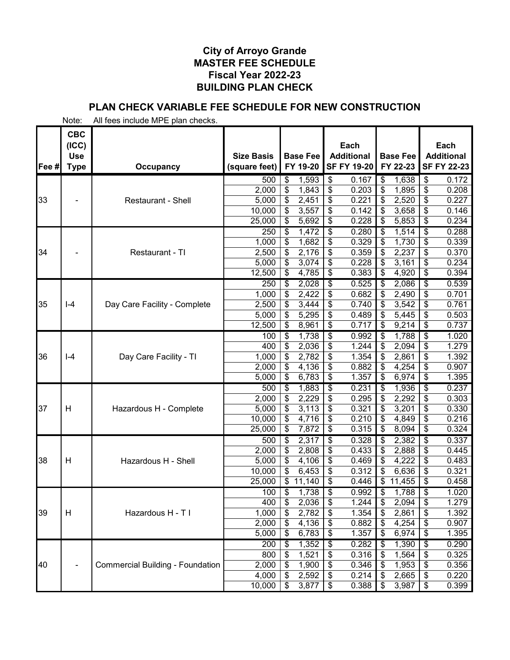# **PLAN CHECK VARIABLE FEE SCHEDULE FOR NEW CONSTRUCTION**

|       | <b>CBC</b><br>(ICC)<br><b>Use</b> |                                         | <b>Size Basis</b> | <b>Base Fee</b>            | Each<br><b>Additional</b>         | <b>Base Fee</b>                           | Each<br><b>Additional</b>                 |
|-------|-----------------------------------|-----------------------------------------|-------------------|----------------------------|-----------------------------------|-------------------------------------------|-------------------------------------------|
| Fee # | <b>Type</b>                       | <b>Occupancy</b>                        | (square feet)     | FY 19-20                   | <b>SF FY 19-20</b>                | FY 22-23                                  | <b>SF FY 22-23</b>                        |
|       |                                   |                                         | 500               | 1,593<br>\$                | \$<br>0.167                       | \$<br>1,638                               | \$<br>0.172                               |
|       |                                   |                                         | 2,000             | \$<br>1,843                | \$<br>0.203                       | \$<br>1,895                               | \$<br>0.208                               |
| 33    |                                   | <b>Restaurant - Shell</b>               | 5,000             | \$<br>2,451                | \$<br>0.221                       | \$<br>2,520                               | \$<br>0.227                               |
|       |                                   |                                         | 10,000            | \$<br>3,557                | \$<br>0.142                       | \$<br>3,658                               | \$<br>0.146                               |
|       |                                   |                                         | 25,000            | 5,692<br>\$                | \$<br>0.228                       | 5,853<br>\$                               | 0.234<br>\$                               |
|       |                                   |                                         | 250               | \$<br>1,472                | \$<br>0.280                       | 1,514<br>\$                               | $\overline{\boldsymbol{\theta}}$<br>0.288 |
|       |                                   |                                         | 1,000             | \$<br>1,682                | \$<br>0.329                       | \$<br>1,730                               | \$<br>0.339                               |
| 34    |                                   | Restaurant - TI                         | 2,500             | \$<br>2,176                | \$<br>0.359                       | \$<br>2,237                               | \$<br>0.370                               |
|       |                                   |                                         | 5,000             | \$<br>3,074                | \$<br>0.228                       | \$<br>3,161                               | \$<br>0.234                               |
|       |                                   |                                         | 12,500            | 4,785<br>\$                | \$<br>0.383                       | 4,920<br>\$                               | \$<br>0.394                               |
|       |                                   |                                         | 250               | 2,028<br>\$                | \$<br>0.525                       | 2,086<br>\$                               | 0.539<br>\$                               |
|       |                                   |                                         | 1,000             | \$<br>2,422                | \$<br>0.682                       | \$<br>2,490                               | \$<br>0.701                               |
| 35    | $ -4$                             | Day Care Facility - Complete            | 2,500             | \$<br>3,444                | \$<br>0.740                       | 3,542<br>\$                               | \$<br>0.761                               |
|       |                                   |                                         | 5,000<br>12,500   | \$<br>5,295<br>\$          | \$<br>0.489<br>\$<br>0.717        | \$<br>5,445<br>9,214                      | \$<br>0.503<br>0.737<br>\$                |
|       |                                   |                                         |                   | 8,961                      |                                   | \$                                        |                                           |
|       |                                   |                                         | 100               | 1,738<br>\$                | \$<br>0.992                       | 1,788<br>\$<br>\$<br>2,094                | \$<br>1.020<br>1.279                      |
| 36    | $I - 4$                           | Day Care Facility - TI                  | 400<br>1,000      | \$<br>2,036<br>\$<br>2,782 | \$<br>1.244<br>\$<br>1.354        | \$<br>2,861                               | \$<br>\$<br>1.392                         |
|       |                                   |                                         | 2,000             | \$<br>4,136                | \$<br>0.882                       | \$<br>4,254                               | \$<br>0.907                               |
|       |                                   |                                         | 5,000             | \$<br>6,783                | \$<br>1.357                       | \$<br>6,974                               | \$<br>1.395                               |
|       |                                   |                                         | 500               | 1,883<br>\$                | \$<br>0.231                       | 1,936<br>\$                               | \$<br>0.237                               |
|       |                                   |                                         | 2,000             | \$<br>2,229                | \$<br>0.295                       | 2,292<br>\$                               | 0.303<br>\$                               |
| 37    | H                                 | Hazardous H - Complete                  | 5,000             | \$<br>3,113                | \$<br>0.321                       | 3,201<br>\$                               | 0.330<br>\$                               |
|       |                                   |                                         | 10,000            | \$<br>4,716                | \$<br>0.210                       | 4,849<br>\$                               | \$<br>0.216                               |
|       |                                   |                                         | 25,000            | \$<br>7,872                | \$<br>0.315                       | 8,094<br>\$                               | \$<br>0.324                               |
|       |                                   |                                         | 500               | \$<br>2,317                | \$<br>0.328                       | \$<br>2,382                               | \$<br>0.337                               |
|       |                                   |                                         | 2,000             | \$<br>2,808                | \$<br>0.433                       | 2,888<br>\$                               | \$<br>0.445                               |
| 38    | H                                 | Hazardous H - Shell                     | 5,000             | \$<br>4,106                | \$<br>0.469                       | \$<br>4,222                               | 0.483<br>\$                               |
|       |                                   |                                         | 10,000            | \$<br>6,453                | \$<br>0.312                       | 6,636<br>\$                               | 0.321<br>\$                               |
|       |                                   |                                         | 25,000            | \$<br>11,140               | \$<br>0.446                       | \$<br>11,455                              | \$<br>0.458                               |
|       |                                   |                                         | 100               | \$<br>1,738                | $\overline{\$}$<br>0.992          | $\overline{\boldsymbol{\theta}}$<br>1,788 | \$<br>1.020                               |
|       |                                   |                                         | 400               | \$<br>2,036                | 1.244<br>$\overline{\mathcal{E}}$ | $\overline{\$}$<br>2,094                  | $\overline{\mathcal{S}}$<br>1.279         |
| 39    | H                                 | Hazardous H - T I                       | 1,000             | \$<br>2,782                | \$<br>1.354                       | \$<br>2,861                               | \$<br>1.392                               |
|       |                                   |                                         | 2,000             | 4,136<br>\$                | \$<br>0.882                       | 4,254<br>\$                               | 0.907<br>\$                               |
|       |                                   |                                         | 5,000             | 6,783<br>\$                | \$<br>1.357                       | 6,974<br>\$                               | 1.395<br>\$                               |
|       |                                   |                                         | 200               | 1,352<br>\$                | \$<br>0.282                       | 1,390<br>\$                               | \$<br>0.290                               |
|       |                                   |                                         | 800               | 1,521<br>\$                | 0.316<br>\$                       | 1,564<br>\$                               | 0.325<br>\$                               |
| 40    |                                   | <b>Commercial Building - Foundation</b> | 2,000             | \$<br>1,900                | \$<br>0.346                       | 1,953<br>\$                               | \$<br>0.356                               |
|       |                                   |                                         | 4,000             | \$<br>2,592                | \$<br>0.214                       | 2,665<br>\$                               | 0.220<br>\$                               |
|       |                                   |                                         | 10,000            | \$<br>3,877                | 0.388<br>\$                       | 3,987<br>\$                               | 0.399<br>\$                               |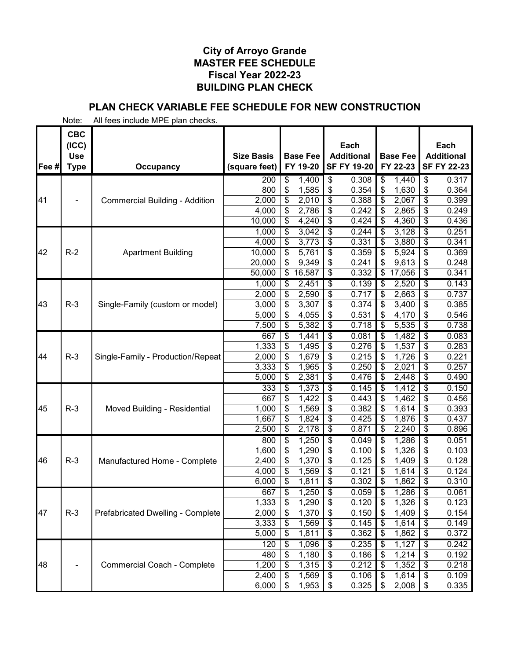# **PLAN CHECK VARIABLE FEE SCHEDULE FOR NEW CONSTRUCTION**

|       | <b>CBC</b><br>(ICC)       |                                       |                                    |                          |                             |                                      | Each                                    |                           |                             |                                  | Each                                    |
|-------|---------------------------|---------------------------------------|------------------------------------|--------------------------|-----------------------------|--------------------------------------|-----------------------------------------|---------------------------|-----------------------------|----------------------------------|-----------------------------------------|
| Fee # | <b>Use</b><br><b>Type</b> | <b>Occupancy</b>                      | <b>Size Basis</b><br>(square feet) |                          | <b>Base Fee</b><br>FY 19-20 |                                      | <b>Additional</b><br><b>SF FY 19-20</b> |                           | <b>Base Fee</b><br>FY 22-23 |                                  | <b>Additional</b><br><b>SF FY 22-23</b> |
|       |                           |                                       | 200                                | \$                       | 1,400                       | \$                                   | 0.308                                   | \$                        | 1,440                       | \$                               | 0.317                                   |
|       |                           |                                       | 800                                | \$                       | 1,585                       | \$                                   | 0.354                                   | \$                        | 1,630                       | \$                               | 0.364                                   |
| 41    |                           | <b>Commercial Building - Addition</b> | 2,000                              | \$                       | 2,010                       | \$                                   | 0.388                                   | \$                        | 2,067                       | \$                               | 0.399                                   |
|       |                           |                                       | 4,000                              | \$                       | 2,786                       | \$                                   | 0.242                                   | \$                        | 2,865                       | \$                               | 0.249                                   |
|       |                           |                                       | 10,000                             | \$                       | 4,240                       | \$                                   | 0.424                                   | \$                        | 4,360                       | $\frac{1}{2}$                    | 0.436                                   |
|       |                           |                                       | 1,000                              | \$                       | 3,042                       | $\overline{\$}$                      | 0.244                                   | \$                        | 3,128                       | $\overline{\$}$                  | 0.251                                   |
|       |                           |                                       | 4,000                              | \$                       | 3,773                       | \$                                   | 0.331                                   | \$                        | 3,880                       | \$                               | 0.341                                   |
| 42    | $R-2$                     | <b>Apartment Building</b>             | 10,000                             | \$                       | 5,761                       | \$                                   | 0.359                                   | \$                        | 5,924                       | \$                               | 0.369                                   |
|       |                           |                                       | 20,000                             | \$                       | 9,349                       | \$                                   | 0.241                                   | \$                        | 9,613                       | \$                               | 0.248                                   |
|       |                           |                                       | 50,000                             | \$                       | 16,587                      | \$                                   | 0.332                                   | \$                        | 17,056                      | \$                               | 0.341                                   |
|       |                           |                                       | 1,000                              | \$                       | 2,451                       | \$                                   | 0.139                                   | \$                        | 2,520                       | $\overline{\boldsymbol{\theta}}$ | 0.143                                   |
|       |                           |                                       | 2,000                              | \$                       | 2,590                       | \$                                   | 0.717                                   | \$                        | 2,663                       | \$                               | 0.737                                   |
| 43    | $R-3$                     | Single-Family (custom or model)       | 3,000                              | \$                       | 3,307                       | \$                                   | 0.374                                   | \$                        | 3,400                       | \$                               | 0.385                                   |
|       |                           |                                       | 5,000                              | \$                       | 4,055                       | \$                                   | 0.531                                   | \$                        | 4,170                       | \$                               | 0.546                                   |
|       |                           |                                       | 7,500                              | \$                       | 5,382                       | \$                                   | 0.718                                   | \$                        | 5,535                       | $\frac{1}{2}$                    | 0.738                                   |
|       |                           |                                       | 667                                | \$                       | 1,441                       | \$                                   | 0.081                                   | \$                        | 1,482                       | $\overline{\boldsymbol{\theta}}$ | 0.083                                   |
|       |                           |                                       | 1,333                              | \$                       | 1,495                       | \$                                   | 0.276                                   | \$                        | 1,537                       | \$                               | 0.283                                   |
| 44    | $R-3$                     | Single-Family - Production/Repeat     | 2,000                              | \$                       | 1,679                       | \$                                   | 0.215                                   | \$                        | 1,726                       | \$                               | 0.221                                   |
|       |                           |                                       | 3,333                              | \$                       | 1,965                       | \$                                   | 0.250                                   | \$                        | 2,021                       | \$                               | 0.257                                   |
|       |                           |                                       | 5,000                              | \$                       | 2,381                       | $\overline{\boldsymbol{\mathsf{s}}}$ | 0.476                                   | \$                        | 2,448                       | $\overline{\mathcal{S}}$         | 0.490                                   |
|       |                           |                                       | 333                                | \$                       | 1,373                       | \$                                   | 0.145                                   | \$                        | 1,412                       | \$                               | 0.150                                   |
|       | $R-3$                     |                                       | 667                                | \$                       | 1,422                       | \$<br>\$                             | 0.443                                   | \$                        | 1,462                       | \$                               | 0.456                                   |
| 45    |                           | Moved Building - Residential          | 1,000<br>1,667                     | \$<br>\$                 | 1,569                       | \$                                   | 0.382<br>0.425                          | \$                        | 1,614<br>1,876              | \$<br>\$                         | 0.393<br>0.437                          |
|       |                           |                                       | 2,500                              | \$                       | 1,824<br>2,178              | \$                                   | 0.871                                   | \$                        | 2,240                       | \$                               | 0.896                                   |
|       |                           |                                       | 800                                | \$                       | 1,250                       | \$                                   | 0.049                                   | \$                        | 1,286                       | \$                               | 0.051                                   |
|       |                           |                                       | 1,600                              | \$                       | 1,290                       | \$                                   | 0.100                                   | \$                        | 1,326                       | \$                               | 0.103                                   |
| 46    | $R-3$                     | Manufactured Home - Complete          | 2,400                              | \$                       | 1,370                       | \$                                   | 0.125                                   | \$                        | 1,409                       | \$                               | 0.128                                   |
|       |                           |                                       | 4,000                              | \$                       | 1,569                       | \$                                   | 0.121                                   | \$                        | 1,614                       | \$                               | 0.124                                   |
|       |                           |                                       | 6,000                              | \$                       | 1,811                       | \$                                   | 0.302                                   |                           | 1,862                       | \$                               | 0.310                                   |
|       |                           |                                       | 667                                | \$                       | 1,250                       | $\overline{\$}$                      | 0.059                                   | \$                        | 1,286                       | $\overline{\boldsymbol{\theta}}$ | 0.061                                   |
|       |                           |                                       | 1,333                              | $\overline{\mathcal{E}}$ | 1,290                       | \$                                   | 0.120                                   | \$                        | 1,326                       | \$                               | 0.123                                   |
| 47    | $R-3$                     | Prefabricated Dwelling - Complete     | 2,000                              | \$                       | 1,370                       | $\frac{1}{2}$                        | 0.150                                   | \$                        | 1,409                       | \$                               | 0.154                                   |
|       |                           |                                       | 3,333                              | \$                       | 1,569                       | \$                                   | 0.145                                   | \$                        | 1,614                       | \$                               | 0.149                                   |
|       |                           |                                       | 5,000                              | \$                       | 1,811                       | \$                                   | 0.362                                   | \$                        | 1,862                       | \$                               | 0.372                                   |
|       |                           |                                       | 120                                | \$                       | 1,096                       | $\overline{\mathcal{S}}$             | 0.235                                   | \$                        | 1,127                       | \$                               | 0.242                                   |
|       |                           |                                       | 480                                | \$                       | 1,180                       | \$                                   | 0.186                                   | \$                        | 1,214                       | \$                               | 0.192                                   |
| 48    |                           | <b>Commercial Coach - Complete</b>    | 1,200                              | \$                       | 1,315                       | \$                                   | 0.212                                   | \$                        | 1,352                       | \$                               | 0.218                                   |
|       |                           |                                       | 2,400                              | \$                       | 1,569                       | \$                                   | 0.106                                   | \$                        | 1,614                       | $\frac{1}{2}$                    | 0.109                                   |
|       |                           |                                       | 6,000                              | \$                       | 1,953                       | $\frac{1}{2}$                        | 0.325                                   | $\boldsymbol{\mathsf{s}}$ | 2,008                       | $\sqrt[6]{3}$                    | 0.335                                   |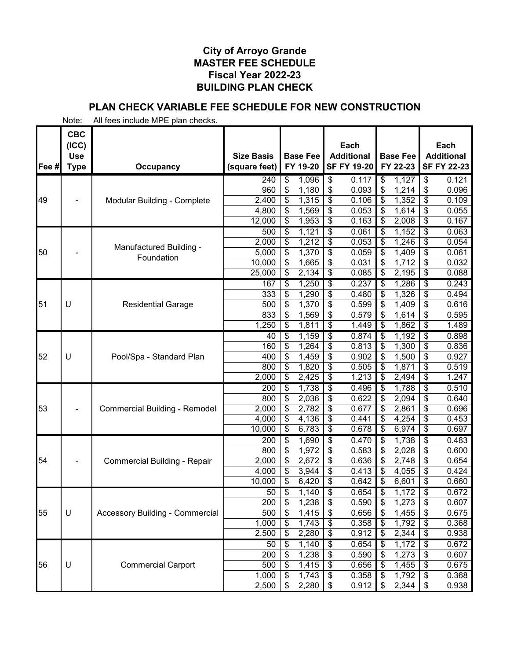# **PLAN CHECK VARIABLE FEE SCHEDULE FOR NEW CONSTRUCTION**

| Fee # | <b>CBC</b><br>(ICC)<br><b>Use</b><br><b>Type</b> | Occupancy                              | <b>Size Basis</b><br>(square feet) |                 | <b>Base Fee</b><br>FY 19-20 |                          | Each<br><b>Additional</b><br><b>SF FY 19-20</b> |                                      | <b>Base Fee</b><br>FY 22-23 |                                  | Each<br><b>Additional</b><br><b>SF FY 22-23</b> |
|-------|--------------------------------------------------|----------------------------------------|------------------------------------|-----------------|-----------------------------|--------------------------|-------------------------------------------------|--------------------------------------|-----------------------------|----------------------------------|-------------------------------------------------|
|       |                                                  |                                        | 240                                | \$              | 1,096                       | \$                       | 0.117                                           | \$                                   | 1,127                       | \$                               | 0.121                                           |
|       |                                                  |                                        | 960                                | \$              | 1,180                       | \$                       | 0.093                                           | \$                                   | 1,214                       | \$                               | 0.096                                           |
| 49    |                                                  | Modular Building - Complete            | 2,400                              | \$              | 1,315                       | \$                       | 0.106                                           | \$                                   | 1,352                       | \$                               | 0.109                                           |
|       |                                                  |                                        | 4,800                              | \$              | 1,569                       | \$                       | 0.053                                           | \$                                   | 1,614                       | \$                               | 0.055                                           |
|       |                                                  |                                        | 12,000                             | \$              | 1,953                       | \$                       | 0.163                                           | \$                                   | 2,008                       | \$                               | 0.167                                           |
|       |                                                  |                                        | 500                                | \$              | 1,121                       | \$                       | 0.061                                           | \$                                   | 1,152                       | $\overline{\boldsymbol{\theta}}$ | 0.063                                           |
|       |                                                  | Manufactured Building -                | 2,000                              | \$              | 1,212                       | \$                       | 0.053                                           | $\overline{\boldsymbol{\mathsf{S}}}$ | 1,246                       | \$                               | 0.054                                           |
| 50    |                                                  | Foundation                             | 5,000                              | \$              | 1,370                       | \$                       | 0.059                                           | \$                                   | 1,409                       | \$                               | 0.061                                           |
|       |                                                  |                                        | 10,000                             | \$              | 1,665                       | \$                       | 0.031                                           | \$                                   | 1,712                       | \$                               | 0.032                                           |
|       |                                                  |                                        | 25,000                             | \$              | 2,134                       | \$                       | 0.085                                           | \$                                   | 2,195                       | \$                               | 0.088                                           |
|       |                                                  |                                        | 167                                | \$              | 1,250                       | \$                       | 0.237                                           | \$                                   | 1,286                       | \$                               | 0.243                                           |
|       |                                                  |                                        | 333                                | \$              | 1,290                       | \$                       | 0.480                                           | \$                                   | 1,326                       | \$                               | 0.494                                           |
| 51    | U                                                | <b>Residential Garage</b>              | 500                                | \$              | 1,370                       | \$                       | 0.599                                           | \$                                   | 1,409                       | \$                               | 0.616                                           |
|       |                                                  |                                        | 833                                | \$              | 1,569                       | \$                       | 0.579                                           | \$                                   | 1,614                       | \$                               | 0.595                                           |
|       |                                                  |                                        | 1,250                              | \$              | 1,811                       | \$                       | 1.449                                           | \$                                   | 1,862                       | \$                               | 1.489                                           |
|       |                                                  |                                        | 40                                 | \$              | 1,159                       | \$                       | 0.874                                           | \$                                   | 1,192                       | \$                               | 0.898                                           |
|       |                                                  |                                        | 160                                | \$              | 1,264                       | \$                       | 0.813                                           | \$                                   | 1,300                       | \$                               | 0.836                                           |
| 52    | U                                                | Pool/Spa - Standard Plan               | 400                                | \$              | 1,459                       | \$                       | 0.902                                           | \$                                   | 1,500                       | \$                               | 0.927                                           |
|       |                                                  |                                        | 800<br>2,000                       | \$<br>\$        | 1,820<br>2,425              | \$<br>\$                 | 0.505<br>1.213                                  | \$<br>\$                             | 1,871<br>2,494              | \$<br>\$                         | 0.519<br>1.247                                  |
|       |                                                  |                                        | 200                                |                 |                             | \$                       | 0.496                                           |                                      | 1,788                       |                                  | 0.510                                           |
|       |                                                  |                                        | 800                                | \$<br>\$        | 1,738<br>2,036              | \$                       | 0.622                                           | \$<br>\$                             | 2,094                       | \$<br>\$                         | 0.640                                           |
| 53    | <b>Commercial Building - Remodel</b>             | 2,000                                  | \$                                 | 2,782           | \$                          | 0.677                    | \$                                              | 2,861                                | \$                          | 0.696                            |                                                 |
|       |                                                  |                                        | 4,000                              | \$              | 4,136                       | \$                       | 0.441                                           | \$                                   | 4,254                       | \$                               | 0.453                                           |
|       |                                                  |                                        | 10,000                             | \$              | 6,783                       | \$                       | 0.678                                           | \$                                   | 6,974                       | \$                               | 0.697                                           |
|       |                                                  |                                        | 200                                | \$              | 1,690                       | \$                       | 0.470                                           | \$                                   | 1,738                       | \$                               | 0.483                                           |
|       |                                                  |                                        | 800                                | \$              | 1,972                       | \$                       | 0.583                                           | \$                                   | 2,028                       | \$                               | 0.600                                           |
| 54    |                                                  | <b>Commercial Building - Repair</b>    | 2,000                              | \$              | 2,672                       | \$                       | 0.636                                           | \$                                   | 2,748                       | \$                               | 0.654                                           |
|       |                                                  |                                        | 4,000                              | \$              | 3,944                       | \$                       | 0.413                                           | \$                                   | 4,055                       | \$                               | 0.424                                           |
|       |                                                  |                                        | 10,000                             | \$              | 6,420                       | \$                       | 0.642                                           | \$                                   | 6,601                       | \$                               | 0.660                                           |
|       |                                                  |                                        | 50                                 | \$              | 1,140                       | \$                       | 0.654                                           | $\overline{\boldsymbol{\theta}}$     | 1,172                       | $\overline{\boldsymbol{\theta}}$ | 0.672                                           |
|       |                                                  |                                        | 200                                | $\overline{\$}$ | 1,238                       | $\overline{\mathcal{E}}$ | 0.590                                           | $\overline{\$}$                      | 1,273                       | $\overline{\$}$                  | 0.607                                           |
| 55    | U                                                | <b>Accessory Building - Commercial</b> | 500                                | \$              | 1,415                       | \$                       | 0.656                                           | \$                                   | 1,455                       | \$                               | 0.675                                           |
|       |                                                  |                                        | 1,000                              | \$              | 1,743                       | \$                       | 0.358                                           | \$                                   | 1,792                       | \$                               | 0.368                                           |
|       |                                                  |                                        | 2,500                              | \$              | 2,280                       | \$                       | 0.912                                           | \$                                   | 2,344                       | \$                               | 0.938                                           |
|       |                                                  |                                        | 50                                 | \$              | 1,140                       | \$                       | 0.654                                           | \$                                   | 1,172                       | \$                               | 0.672                                           |
|       |                                                  |                                        | 200                                | \$              | 1,238                       | \$                       | 0.590                                           | \$                                   | 1,273                       | \$                               | 0.607                                           |
| 56    | $\cup$                                           | <b>Commercial Carport</b>              | 500                                | \$              | 1,415                       | \$                       | 0.656                                           | \$                                   | 1,455                       | \$                               | 0.675                                           |
|       |                                                  |                                        | 1,000                              | \$              | 1,743                       | \$                       | 0.358                                           | \$                                   | 1,792                       | \$                               | 0.368                                           |
|       |                                                  |                                        | 2,500                              | \$              | 2,280                       | \$                       | 0.912                                           | \$                                   | 2,344                       | $\frac{1}{2}$                    | 0.938                                           |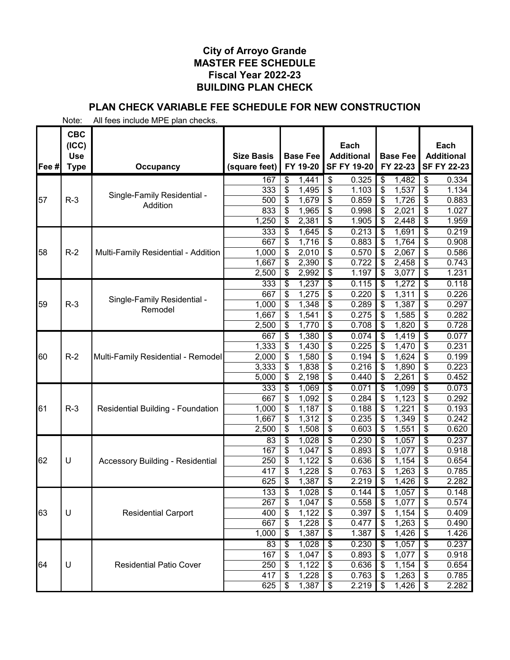# **PLAN CHECK VARIABLE FEE SCHEDULE FOR NEW CONSTRUCTION**

|       | <b>CBC</b><br>(ICC)       |                                          |                                    |                             | Each                                    |                                   | Each                                    |
|-------|---------------------------|------------------------------------------|------------------------------------|-----------------------------|-----------------------------------------|-----------------------------------|-----------------------------------------|
| Fee # | <b>Use</b><br><b>Type</b> | Occupancy                                | <b>Size Basis</b><br>(square feet) | <b>Base Fee</b><br>FY 19-20 | <b>Additional</b><br><b>SF FY 19-20</b> | <b>Base Fee</b><br>FY 22-23       | <b>Additional</b><br><b>SF FY 22-23</b> |
|       |                           |                                          | 167                                | \$<br>1,441                 | \$<br>0.325                             | \$<br>1,482                       | \$<br>0.334                             |
|       |                           |                                          | 333                                | \$<br>1,495                 | \$<br>1.103                             | \$<br>1,537                       | \$<br>1.134                             |
| 57    | $R-3$                     | Single-Family Residential -              | 500                                | \$<br>1,679                 | \$<br>0.859                             | \$<br>1,726                       | \$<br>0.883                             |
|       |                           | Addition                                 | 833                                | \$<br>1,965                 | \$<br>0.998                             | \$<br>2,021                       | \$<br>1.027                             |
|       |                           |                                          | 1,250                              | \$<br>2,381                 | \$<br>1.905                             | 2,448<br>\$                       | \$<br>1.959                             |
|       |                           |                                          | 333                                | \$<br>1,645                 | \$<br>0.213                             | \$<br>1,691                       | \$<br>0.219                             |
|       |                           |                                          | 667                                | \$<br>1,716                 | \$<br>0.883                             | \$<br>1,764                       | \$<br>0.908                             |
| 58    | $R-2$                     | Multi-Family Residential - Addition      | 1,000                              | \$<br>2,010                 | \$<br>0.570                             | \$<br>2,067                       | \$<br>0.586                             |
|       |                           |                                          | 1,667                              | \$<br>2,390                 | \$<br>0.722                             | \$<br>2,458                       | \$<br>0.743                             |
|       |                           |                                          | 2,500                              | \$<br>2,992                 | \$<br>1.197                             | 3,077<br>\$                       | \$<br>1.231                             |
|       |                           |                                          | 333                                | \$<br>1,237                 | \$<br>0.115                             | 1,272<br>\$                       | 0.118<br>\$                             |
|       |                           | Single-Family Residential -              | 667                                | \$<br>1,275                 | \$<br>0.220                             | 1,311<br>\$                       | \$<br>0.226                             |
| 59    | $R-3$                     | Remodel                                  | 1,000                              | \$<br>1,348                 | \$<br>0.289                             | \$<br>1,387                       | \$<br>0.297                             |
|       |                           |                                          | 1,667                              | \$<br>1,541                 | \$<br>0.275                             | \$<br>1,585                       | \$<br>0.282                             |
|       |                           |                                          | 2,500                              | \$<br>1,770                 | \$<br>0.708                             | \$<br>1,820                       | 0.728<br>\$                             |
|       |                           |                                          | 667                                | \$<br>1,380                 | \$<br>0.074                             | 1,419<br>\$                       | \$<br>0.077                             |
|       |                           |                                          | 1,333                              | \$<br>1,430                 | \$<br>0.225                             | \$<br>1,470                       | \$<br>0.231                             |
| 60    | $R-2$                     | Multi-Family Residential - Remodel       | 2,000                              | \$<br>1,580                 | \$<br>0.194                             | \$<br>1,624                       | \$<br>0.199                             |
|       |                           |                                          | 3,333                              | \$<br>1,838                 | \$<br>0.216                             | \$<br>1,890                       | \$<br>0.223<br>\$                       |
|       |                           |                                          | 5,000                              | \$<br>2,198                 | \$<br>0.440                             | \$<br>2,261                       | 0.452                                   |
|       |                           |                                          | 333<br>667                         | 1,069<br>\$                 | \$<br>0.071                             | \$<br>1,099<br>1,123              | \$<br>0.073<br>0.292                    |
| 61    | $R-3$                     | <b>Residential Building - Foundation</b> | 1,000                              | \$<br>1,092<br>\$<br>1,187  | \$<br>0.284<br>\$<br>0.188              | \$<br>\$<br>1,221                 | \$<br>\$<br>0.193                       |
|       |                           |                                          | 1,667                              | \$<br>1,312                 | \$<br>0.235                             | 1,349<br>\$                       | \$<br>0.242                             |
|       |                           |                                          | 2,500                              | \$<br>1,508                 | \$<br>0.603                             | \$<br>1,551                       | \$<br>0.620                             |
|       |                           |                                          | 83                                 | 1,028<br>\$                 | \$<br>0.230                             | 1,057<br>\$                       | \$<br>0.237                             |
|       |                           |                                          | 167                                | \$<br>1,047                 | \$<br>0.893                             | \$<br>1,077                       | \$<br>0.918                             |
| 62    | U                         | <b>Accessory Building - Residential</b>  | 250                                | \$<br>1,122                 | \$<br>0.636                             | \$<br>1,154                       | \$<br>0.654                             |
|       |                           |                                          | 417                                | \$<br>1,228                 | \$<br>0.763                             | \$<br>1,263                       | \$<br>0.785                             |
|       |                           |                                          | 625                                | \$<br>1,387                 | \$<br>2.219                             | \$<br>1,426                       | \$<br>2.282                             |
|       |                           |                                          | 133                                | \$<br>1,028                 | \$<br>0.144                             | \$<br>1,057                       | \$<br>0.148                             |
|       |                           |                                          | 267                                | \$<br>1,047                 | $\overline{\mathcal{S}}$<br>0.558       | $\overline{\mathcal{S}}$<br>1,077 | $\overline{\mathbf{S}}$<br>0.574        |
| 63    | U                         | <b>Residential Carport</b>               | 400                                | \$<br>1,122                 | \$<br>0.397                             | 1,154<br>\$                       | 0.409<br>\$                             |
|       |                           |                                          | 667                                | \$<br>1,228                 | \$<br>0.477                             | 1,263<br>\$                       | 0.490<br>\$                             |
|       |                           |                                          | 1,000                              | 1,387<br>\$                 | 1.387<br>\$                             | 1,426<br>\$                       | 1.426<br>\$                             |
|       |                           |                                          | 83                                 | 1,028<br>\$                 | \$<br>0.230                             | 1,057<br>\$                       | 0.237<br>\$                             |
|       |                           |                                          | 167                                | \$<br>1,047                 | 0.893<br>\$                             | 1,077<br>\$                       | 0.918<br>\$                             |
| 64    | U                         | <b>Residential Patio Cover</b>           | 250                                | \$<br>1,122                 | \$<br>0.636                             | 1,154<br>\$                       | \$<br>0.654                             |
|       |                           |                                          | 417                                | \$<br>1,228                 | \$<br>0.763                             | 1,263<br>\$                       | \$<br>0.785                             |
|       |                           |                                          | 625                                | \$<br>1,387                 | \$<br>2.219                             | 1,426<br>\$                       | 2.282<br>\$                             |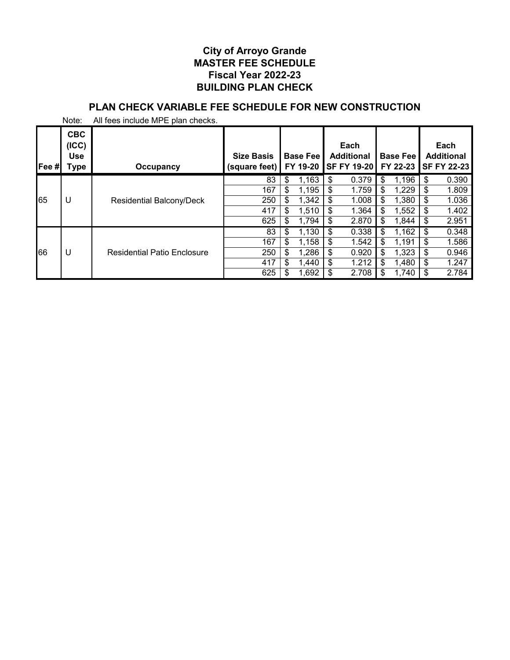# **PLAN CHECK VARIABLE FEE SCHEDULE FOR NEW CONSTRUCTION**

| Fee# | <b>CBC</b><br>(ICC)<br><b>Use</b><br>Type | Occupancy                          | <b>Size Basis</b><br>(square feet) | <b>Base Fee</b><br>FY 19-20 | Each<br><b>Additional</b><br><b>SF FY 19-201</b> | <b>Base Fee</b><br>FY 22-23 | Each<br><b>Additional</b><br><b>SF FY 22-23</b> |
|------|-------------------------------------------|------------------------------------|------------------------------------|-----------------------------|--------------------------------------------------|-----------------------------|-------------------------------------------------|
|      |                                           |                                    | 83                                 | \$<br>1,163                 | \$<br>0.379                                      | \$<br>1,196                 | \$<br>0.390                                     |
|      |                                           |                                    | 167                                | \$<br>1,195                 | \$<br>1.759                                      | \$<br>1,229                 | \$<br>1.809                                     |
| 65   | U                                         | Residential Balcony/Deck           | 250                                | \$<br>1,342                 | \$<br>1.008                                      | \$<br>1,380                 | \$<br>1.036                                     |
|      |                                           |                                    | 417                                | \$<br>1,510                 | \$<br>1.364                                      | \$<br>1,552                 | \$<br>1.402                                     |
|      |                                           |                                    | 625                                | \$<br>1,794                 | \$<br>2.870                                      | \$<br>1,844                 | \$<br>2.951                                     |
|      |                                           |                                    | 83                                 | \$<br>1,130                 | \$<br>0.338                                      | \$<br>1,162                 | \$<br>0.348                                     |
|      |                                           |                                    | 167                                | \$<br>1,158                 | \$<br>1.542                                      | \$<br>1,191                 | \$<br>1.586                                     |
| 66   | U                                         | <b>Residential Patio Enclosure</b> | 250                                | \$<br>1,286                 | \$<br>0.920                                      | \$<br>1,323                 | \$<br>0.946                                     |
|      |                                           |                                    | 417                                | \$<br>1,440                 | \$<br>1.212                                      | \$<br>1,480                 | \$<br>1.247                                     |
|      |                                           |                                    | 625                                | \$<br>1,692                 | \$<br>2.708                                      | \$<br>1,740                 | 2.784                                           |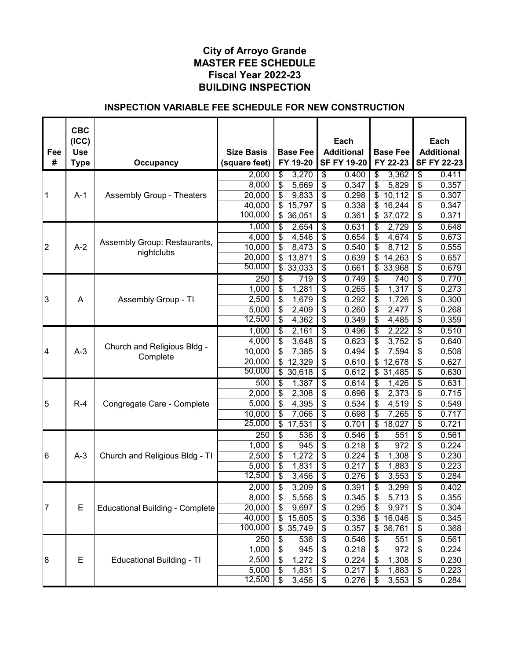|                 | <b>CBC</b><br>(ICC) |                                        |                                    |                                     | Each                                      |                             | Each                                      |
|-----------------|---------------------|----------------------------------------|------------------------------------|-------------------------------------|-------------------------------------------|-----------------------------|-------------------------------------------|
| Fee<br>#        | <b>Use</b><br>Type  | <b>Occupancy</b>                       | <b>Size Basis</b><br>(square feet) | <b>Base Fee</b><br>FY 19-20         | <b>Additional</b><br><b>SF FY 19-20</b>   | <b>Base Fee</b><br>FY 22-23 | <b>Additional</b><br><b>SF FY 22-23</b>   |
|                 |                     |                                        | 2,000                              | \$<br>3,270                         | \$<br>0.400                               | 3,362<br>\$                 | \$<br>0.411                               |
|                 |                     |                                        | 8,000                              | \$<br>5,669                         | \$<br>0.347                               | \$<br>5,829                 | \$<br>0.357                               |
| 1               | $A-1$               | <b>Assembly Group - Theaters</b>       | 20,000                             | \$<br>9,833                         | \$<br>0.298                               | $\mathbb{S}$<br>10,112      | \$<br>0.307                               |
|                 |                     |                                        | 40,000                             | \$<br>15,797                        | \$<br>0.338                               | \$16,244                    | \$<br>0.347                               |
|                 |                     |                                        | 100,000                            | \$36,051                            | \$<br>0.361                               | \$37,072                    | \$<br>0.371                               |
|                 |                     |                                        | 1,000                              | 2,654<br>\$                         | $\overline{\boldsymbol{\theta}}$<br>0.631 | \$<br>2,729                 | $\overline{\boldsymbol{\theta}}$<br>0.648 |
|                 |                     |                                        | 4,000                              | \$<br>4,546                         | \$<br>0.654                               | \$<br>4,674                 | \$<br>0.673                               |
| $\overline{2}$  | $A-2$               | Assembly Group: Restaurants,           | 10,000                             | \$<br>8,473                         | \$<br>0.540                               | \$<br>8,712                 | \$<br>0.555                               |
|                 |                     | nightclubs                             | 20,000                             | $\overline{\mathbf{S}}$<br>13,871   | $\overline{\mathcal{S}}$<br>0.639         | $\overline{\$}$ 14,263      | \$<br>0.657                               |
|                 |                     |                                        | 50,000                             | $\overline{\mathfrak{s}}$<br>33,033 | \$<br>0.661                               | \$33,968                    | \$<br>0.679                               |
|                 |                     |                                        | $\overline{250}$                   | \$<br>719                           | \$<br>0.749                               | \$<br>740                   | $\overline{\boldsymbol{\theta}}$<br>0.770 |
|                 |                     |                                        | 1,000                              | \$<br>1,281                         | \$<br>0.265                               | \$<br>1,317                 | \$<br>0.273                               |
| 3               | A                   | Assembly Group - TI                    | 2,500                              | \$<br>1,679                         | \$<br>0.292                               | \$<br>1,726                 | \$<br>0.300                               |
|                 |                     |                                        | 5,000                              | \$<br>2,409                         | \$<br>0.260                               | \$<br>2,477                 | \$<br>0.268                               |
|                 |                     |                                        | 12,500                             | \$<br>4,362                         | \$<br>0.349                               | \$<br>4,485                 | \$<br>0.359                               |
|                 |                     |                                        | 1,000                              | \$<br>2,161                         | $\overline{\$}$<br>0.496                  | 2,222<br>\$                 | $\overline{\boldsymbol{\theta}}$<br>0.510 |
|                 |                     | Church and Religious Bldg -            | 4,000                              | \$<br>3,648                         | \$<br>0.623                               | 3,752<br>\$                 | \$<br>0.640                               |
| 4               | $A-3$               | Complete                               | 10,000                             | \$<br>7,385                         | \$<br>0.494                               | \$<br>7,594                 | \$<br>0.508                               |
|                 |                     |                                        | 20,000                             | \$<br>12,329                        | \$<br>0.610                               | \$<br>12,678                | \$<br>0.627                               |
|                 |                     |                                        | 50,000                             | \$<br>30,618                        | \$<br>0.612                               | $\overline{\$}$ 31,485      | \$<br>0.630                               |
|                 |                     |                                        | 500                                | \$<br>1,387                         | \$<br>0.614                               | 1,426<br>\$                 | $\overline{\boldsymbol{\theta}}$<br>0.631 |
|                 |                     |                                        | 2,000                              | \$<br>2,308                         | \$<br>0.696                               | \$<br>2,373                 | \$<br>0.715                               |
| $\overline{5}$  | $R-4$               | Congregate Care - Complete             | 5,000                              | \$<br>4,395                         | \$<br>0.534                               | \$<br>4,519                 | \$<br>0.549                               |
|                 |                     |                                        | 10,000                             | \$<br>7,066                         | \$<br>0.698                               | \$<br>7,265                 | \$<br>0.717                               |
|                 |                     |                                        | 25,000                             | \$<br>17,531                        | \$<br>0.701                               | \$<br>18,027                | \$<br>0.721                               |
|                 |                     |                                        | $\overline{250}$                   | \$<br>536                           | \$<br>0.546                               | \$<br>551                   | \$<br>0.561                               |
|                 |                     |                                        | 1,000                              | \$<br>945                           | \$<br>0.218                               | \$<br>972                   | \$<br>0.224                               |
| $6\phantom{.}6$ | $A-3$               | Church and Religious Bldg - TI         | 2,500                              | \$<br>1,272                         | \$<br>0.224                               | \$<br>1,308                 | \$<br>0.230                               |
|                 |                     |                                        | 5,000                              | \$<br>1,831                         | \$<br>0.217                               | \$<br>1,883                 | \$<br>0.223                               |
|                 |                     |                                        | 12,500                             | \$<br>3,456                         | \$<br>0.276                               | \$<br>3,553                 | \$<br>0.284                               |
|                 |                     |                                        | 2,000                              | \$<br>3,209                         | $\overline{\$}$<br>0.391                  | \$<br>3,299                 | $\overline{\boldsymbol{\theta}}$<br>0.402 |
|                 |                     |                                        | 8,000                              | 5,556<br>\$                         | \$<br>0.345                               | \$<br>5,713                 | \$<br>0.355                               |
| 7               | E                   | <b>Educational Building - Complete</b> | 20,000                             | \$<br>9,697                         | \$<br>0.295                               | \$<br>9,971                 | \$<br>0.304                               |
|                 |                     |                                        | 40,000                             | \$<br>15,605                        | \$<br>0.336                               | \$<br>16,046                | \$<br>0.345                               |
|                 |                     |                                        | 100,000                            | \$<br>35,749                        | \$<br>0.357                               | \$<br>36,761                | 0.368<br>\$                               |
|                 |                     |                                        | 250                                | 536<br>\$                           | \$<br>0.546                               | 551<br>\$                   | \$<br>0.561                               |
|                 |                     |                                        | 1,000                              | \$<br>945                           | \$<br>0.218                               | 972<br>\$                   | 0.224<br>\$                               |
| $\overline{8}$  | Е                   | <b>Educational Building - TI</b>       | 2,500                              | \$<br>1,272                         | \$<br>0.224                               | 1,308<br>\$                 | \$<br>0.230                               |
|                 |                     |                                        | 5,000                              | \$<br>1,831                         | \$<br>0.217                               | 1,883<br>\$                 | \$<br>0.223                               |
|                 |                     |                                        | 12,500                             | $\overline{\mathcal{S}}$<br>3,456   | $\boldsymbol{\mathsf{S}}$<br>0.276        | \$<br>3,553                 | 0.284<br>\$                               |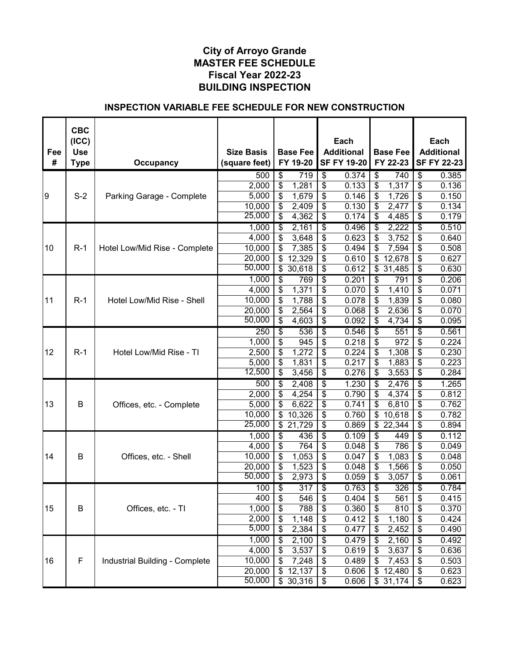| <b>SF FY 19-20</b><br>FY 22-23<br><b>SF FY 22-23</b><br>Occupancy<br>(square feet)<br><b>Type</b><br>$\overline{\$}$<br>$\overline{\mathcal{S}}$<br>719<br>0.374<br>\$<br>740<br>$\overline{\boldsymbol{\theta}}$<br>0.385<br>500<br>\$<br>\$<br>\$<br>\$<br>2,000<br>1,281<br>0.133<br>1,317<br>0.136<br>$S-2$<br>\$<br>\$<br>\$<br>\$<br>9<br>5,000<br>1,679<br>0.146<br>1,726<br>0.150<br>Parking Garage - Complete<br>\$<br>10,000<br>\$<br>2,409<br>\$<br>0.130<br>\$<br>2,477<br>0.134<br>25,000<br>$\overline{\mathcal{E}}$<br>$\overline{\mathbf{s}}$<br>4,362<br>0.174<br>\$<br>\$<br>0.179<br>4,485<br>$\overline{\$}$<br>$\overline{\$}$<br>0.510<br>1,000<br>\$<br>0.496<br>2,222<br>2,161<br>\$<br>\$<br>\$<br>\$<br>\$<br>4,000<br>3,752<br>3,648<br>0.623<br>0.640<br>\$<br>\$<br>\$<br>\$<br>10,000<br>7,385<br>0.494<br>7,594<br>0.508<br>10<br>$R-1$<br>Hotel Low/Mid Rise - Complete<br>\$<br>\$<br>\$<br>0.627<br>20,000<br>\$<br>12,329<br>0.610<br>12,678<br>50,000<br>\$<br>\$<br>0.612<br>\$31,485<br>\$<br>0.630<br>30,618<br>1,000<br>\$<br>\$<br>769<br>0.201<br>\$<br>\$<br>0.206<br>791<br>$\boldsymbol{\mathsf{S}}$<br>\$<br>1,371<br>\$<br>\$<br>4,000<br>0.070<br>1,410<br>0.071<br>\$<br>\$<br>\$<br>\$<br>$R-1$<br>10,000<br>1,788<br>0.078<br>1,839<br>0.080<br>11<br>Hotel Low/Mid Rise - Shell<br>\$<br>\$<br>20,000<br>\$<br>\$<br>2,564<br>0.068<br>2,636<br>0.070<br>50,000<br>$\overline{\mathcal{E}}$<br>4,603<br>\$<br>\$<br>\$<br>0.092<br>4,734<br>0.095<br>$\overline{\boldsymbol{\theta}}$<br>0.561<br>$\overline{250}$<br>\$<br>0.546<br>\$<br>551<br>\$<br>536<br>\$<br>\$<br>\$<br>\$<br>1,000<br>0.218<br>972<br>0.224<br>945<br>\$<br>\$<br>\$<br>\$<br>2,500<br>1,272<br>0.224<br>1,308<br>0.230<br>12<br>$R-1$<br>Hotel Low/Mid Rise - TI<br>$\overline{\$}$<br>$\overline{\mathcal{S}}$<br>\$<br>\$<br>0.223<br>1,831<br>0.217<br>1,883<br>5,000<br>12,500<br>\$<br>\$<br>\$<br>0.276<br>\$<br>0.284<br>3,456<br>3,553<br>\$<br>$\overline{\boldsymbol{\theta}}$<br>500<br>\$<br>1.230<br>1.265<br>2,408<br>\$<br>2,476<br>\$<br>\$<br>4,254<br>0.790<br>\$<br>4,374<br>\$<br>0.812<br>2,000<br>\$<br>\$<br>13<br>B<br>6,622<br>0.741<br>\$<br>\$<br>0.762<br>5,000<br>6,810<br>Offices, etc. - Complete<br>\$<br>\$<br>\$<br>\$<br>0.782<br>10,326<br>0.760<br>10,618<br>10,000<br>25,000<br>\$<br>\$<br>\$<br>21,729<br>0.869<br>\$22,344<br>0.894<br>$\overline{\$}$<br>$\overline{\boldsymbol{\theta}}$<br>0.109<br>\$<br>S<br>0.112<br>1,000<br>436<br>449<br>4,000<br>\$<br>764<br>\$<br>0.048<br>\$<br>786<br>\$<br>0.049<br>\$<br>\$<br>\$<br>1,083<br>\$<br>0.048<br>B<br>10,000<br>1,053<br>0.047<br>14<br>Offices, etc. - Shell<br>\$<br>20,000<br>\$<br>\$<br>\$<br>1,523<br>0.048<br>1,566<br>0.050<br>50,000<br>\$<br>\$<br>2,973<br>0.059<br>\$<br>\$<br>0.061<br>3,057<br>\$<br>$\overline{\boldsymbol{\theta}}$<br>$\overline{\boldsymbol{\theta}}$<br>$\overline{\$}$<br>100<br>$\overline{317}$<br>0.763<br>326<br>0.784<br>\$<br>546<br>\$<br>0.404<br>\$<br>400<br>561<br>\$<br>0.415<br>B<br>1,000<br>\$<br>\$<br>\$<br>810<br>15<br>Offices, etc. - TI<br>788<br>0.360<br>\$<br>0.370<br>2,000<br>\$<br>\$<br>1,148<br>0.412<br>\$<br>1,180<br>\$<br>0.424<br>5,000<br>\$<br>\$<br>2,384<br>0.477<br>\$<br>0.490<br>\$<br>2,452<br>1,000<br>$\overline{\boldsymbol{\theta}}$<br>$\overline{\boldsymbol{\theta}}$<br>\$<br>2,100<br>0.479<br>2,160<br>0.492<br>\$<br>4,000<br>\$<br>3,537<br>\$<br>3,637<br>0.619<br>\$<br>\$<br>0.636<br>F<br>\$<br>$\boldsymbol{\mathsf{S}}$<br>16<br>Industrial Building - Complete<br>10,000<br>7,248<br>0.489<br>\$<br>\$<br>0.503<br>7,453<br>20,000<br>\$<br>$\boldsymbol{\theta}$<br>12,137<br>0.606<br>\$<br>12,480<br>\$<br>0.623 | Fee<br># | <b>CBC</b><br>(ICC)<br><b>Use</b> | <b>Size Basis</b> | <b>Base Fee</b><br>FY 19-20 | Each<br><b>Additional</b> | <b>Base Fee</b> | Each<br><b>Additional</b> |
|----------------------------------------------------------------------------------------------------------------------------------------------------------------------------------------------------------------------------------------------------------------------------------------------------------------------------------------------------------------------------------------------------------------------------------------------------------------------------------------------------------------------------------------------------------------------------------------------------------------------------------------------------------------------------------------------------------------------------------------------------------------------------------------------------------------------------------------------------------------------------------------------------------------------------------------------------------------------------------------------------------------------------------------------------------------------------------------------------------------------------------------------------------------------------------------------------------------------------------------------------------------------------------------------------------------------------------------------------------------------------------------------------------------------------------------------------------------------------------------------------------------------------------------------------------------------------------------------------------------------------------------------------------------------------------------------------------------------------------------------------------------------------------------------------------------------------------------------------------------------------------------------------------------------------------------------------------------------------------------------------------------------------------------------------------------------------------------------------------------------------------------------------------------------------------------------------------------------------------------------------------------------------------------------------------------------------------------------------------------------------------------------------------------------------------------------------------------------------------------------------------------------------------------------------------------------------------------------------------------------------------------------------------------------------------------------------------------------------------------------------------------------------------------------------------------------------------------------------------------------------------------------------------------------------------------------------------------------------------------------------------------------------------------------------------------------------------------------------------------------------------------------------------------------------------------------------------------------------------------------------------------------------------------------------------------------------------------------------------------------------------------------------------------------------------------------------------------------------------------------------------------------------------------------------------------------------------------------------------------------------------------------------------------------------------------------------------------------------------------------------------|----------|-----------------------------------|-------------------|-----------------------------|---------------------------|-----------------|---------------------------|
|                                                                                                                                                                                                                                                                                                                                                                                                                                                                                                                                                                                                                                                                                                                                                                                                                                                                                                                                                                                                                                                                                                                                                                                                                                                                                                                                                                                                                                                                                                                                                                                                                                                                                                                                                                                                                                                                                                                                                                                                                                                                                                                                                                                                                                                                                                                                                                                                                                                                                                                                                                                                                                                                                                                                                                                                                                                                                                                                                                                                                                                                                                                                                                                                                                                                                                                                                                                                                                                                                                                                                                                                                                                                                                                                                          |          |                                   |                   |                             |                           |                 |                           |
|                                                                                                                                                                                                                                                                                                                                                                                                                                                                                                                                                                                                                                                                                                                                                                                                                                                                                                                                                                                                                                                                                                                                                                                                                                                                                                                                                                                                                                                                                                                                                                                                                                                                                                                                                                                                                                                                                                                                                                                                                                                                                                                                                                                                                                                                                                                                                                                                                                                                                                                                                                                                                                                                                                                                                                                                                                                                                                                                                                                                                                                                                                                                                                                                                                                                                                                                                                                                                                                                                                                                                                                                                                                                                                                                                          |          |                                   |                   |                             |                           |                 |                           |
|                                                                                                                                                                                                                                                                                                                                                                                                                                                                                                                                                                                                                                                                                                                                                                                                                                                                                                                                                                                                                                                                                                                                                                                                                                                                                                                                                                                                                                                                                                                                                                                                                                                                                                                                                                                                                                                                                                                                                                                                                                                                                                                                                                                                                                                                                                                                                                                                                                                                                                                                                                                                                                                                                                                                                                                                                                                                                                                                                                                                                                                                                                                                                                                                                                                                                                                                                                                                                                                                                                                                                                                                                                                                                                                                                          |          |                                   |                   |                             |                           |                 |                           |
|                                                                                                                                                                                                                                                                                                                                                                                                                                                                                                                                                                                                                                                                                                                                                                                                                                                                                                                                                                                                                                                                                                                                                                                                                                                                                                                                                                                                                                                                                                                                                                                                                                                                                                                                                                                                                                                                                                                                                                                                                                                                                                                                                                                                                                                                                                                                                                                                                                                                                                                                                                                                                                                                                                                                                                                                                                                                                                                                                                                                                                                                                                                                                                                                                                                                                                                                                                                                                                                                                                                                                                                                                                                                                                                                                          |          |                                   |                   |                             |                           |                 |                           |
|                                                                                                                                                                                                                                                                                                                                                                                                                                                                                                                                                                                                                                                                                                                                                                                                                                                                                                                                                                                                                                                                                                                                                                                                                                                                                                                                                                                                                                                                                                                                                                                                                                                                                                                                                                                                                                                                                                                                                                                                                                                                                                                                                                                                                                                                                                                                                                                                                                                                                                                                                                                                                                                                                                                                                                                                                                                                                                                                                                                                                                                                                                                                                                                                                                                                                                                                                                                                                                                                                                                                                                                                                                                                                                                                                          |          |                                   |                   |                             |                           |                 |                           |
|                                                                                                                                                                                                                                                                                                                                                                                                                                                                                                                                                                                                                                                                                                                                                                                                                                                                                                                                                                                                                                                                                                                                                                                                                                                                                                                                                                                                                                                                                                                                                                                                                                                                                                                                                                                                                                                                                                                                                                                                                                                                                                                                                                                                                                                                                                                                                                                                                                                                                                                                                                                                                                                                                                                                                                                                                                                                                                                                                                                                                                                                                                                                                                                                                                                                                                                                                                                                                                                                                                                                                                                                                                                                                                                                                          |          |                                   |                   |                             |                           |                 |                           |
|                                                                                                                                                                                                                                                                                                                                                                                                                                                                                                                                                                                                                                                                                                                                                                                                                                                                                                                                                                                                                                                                                                                                                                                                                                                                                                                                                                                                                                                                                                                                                                                                                                                                                                                                                                                                                                                                                                                                                                                                                                                                                                                                                                                                                                                                                                                                                                                                                                                                                                                                                                                                                                                                                                                                                                                                                                                                                                                                                                                                                                                                                                                                                                                                                                                                                                                                                                                                                                                                                                                                                                                                                                                                                                                                                          |          |                                   |                   |                             |                           |                 |                           |
|                                                                                                                                                                                                                                                                                                                                                                                                                                                                                                                                                                                                                                                                                                                                                                                                                                                                                                                                                                                                                                                                                                                                                                                                                                                                                                                                                                                                                                                                                                                                                                                                                                                                                                                                                                                                                                                                                                                                                                                                                                                                                                                                                                                                                                                                                                                                                                                                                                                                                                                                                                                                                                                                                                                                                                                                                                                                                                                                                                                                                                                                                                                                                                                                                                                                                                                                                                                                                                                                                                                                                                                                                                                                                                                                                          |          |                                   |                   |                             |                           |                 |                           |
|                                                                                                                                                                                                                                                                                                                                                                                                                                                                                                                                                                                                                                                                                                                                                                                                                                                                                                                                                                                                                                                                                                                                                                                                                                                                                                                                                                                                                                                                                                                                                                                                                                                                                                                                                                                                                                                                                                                                                                                                                                                                                                                                                                                                                                                                                                                                                                                                                                                                                                                                                                                                                                                                                                                                                                                                                                                                                                                                                                                                                                                                                                                                                                                                                                                                                                                                                                                                                                                                                                                                                                                                                                                                                                                                                          |          |                                   |                   |                             |                           |                 |                           |
|                                                                                                                                                                                                                                                                                                                                                                                                                                                                                                                                                                                                                                                                                                                                                                                                                                                                                                                                                                                                                                                                                                                                                                                                                                                                                                                                                                                                                                                                                                                                                                                                                                                                                                                                                                                                                                                                                                                                                                                                                                                                                                                                                                                                                                                                                                                                                                                                                                                                                                                                                                                                                                                                                                                                                                                                                                                                                                                                                                                                                                                                                                                                                                                                                                                                                                                                                                                                                                                                                                                                                                                                                                                                                                                                                          |          |                                   |                   |                             |                           |                 |                           |
|                                                                                                                                                                                                                                                                                                                                                                                                                                                                                                                                                                                                                                                                                                                                                                                                                                                                                                                                                                                                                                                                                                                                                                                                                                                                                                                                                                                                                                                                                                                                                                                                                                                                                                                                                                                                                                                                                                                                                                                                                                                                                                                                                                                                                                                                                                                                                                                                                                                                                                                                                                                                                                                                                                                                                                                                                                                                                                                                                                                                                                                                                                                                                                                                                                                                                                                                                                                                                                                                                                                                                                                                                                                                                                                                                          |          |                                   |                   |                             |                           |                 |                           |
|                                                                                                                                                                                                                                                                                                                                                                                                                                                                                                                                                                                                                                                                                                                                                                                                                                                                                                                                                                                                                                                                                                                                                                                                                                                                                                                                                                                                                                                                                                                                                                                                                                                                                                                                                                                                                                                                                                                                                                                                                                                                                                                                                                                                                                                                                                                                                                                                                                                                                                                                                                                                                                                                                                                                                                                                                                                                                                                                                                                                                                                                                                                                                                                                                                                                                                                                                                                                                                                                                                                                                                                                                                                                                                                                                          |          |                                   |                   |                             |                           |                 |                           |
|                                                                                                                                                                                                                                                                                                                                                                                                                                                                                                                                                                                                                                                                                                                                                                                                                                                                                                                                                                                                                                                                                                                                                                                                                                                                                                                                                                                                                                                                                                                                                                                                                                                                                                                                                                                                                                                                                                                                                                                                                                                                                                                                                                                                                                                                                                                                                                                                                                                                                                                                                                                                                                                                                                                                                                                                                                                                                                                                                                                                                                                                                                                                                                                                                                                                                                                                                                                                                                                                                                                                                                                                                                                                                                                                                          |          |                                   |                   |                             |                           |                 |                           |
|                                                                                                                                                                                                                                                                                                                                                                                                                                                                                                                                                                                                                                                                                                                                                                                                                                                                                                                                                                                                                                                                                                                                                                                                                                                                                                                                                                                                                                                                                                                                                                                                                                                                                                                                                                                                                                                                                                                                                                                                                                                                                                                                                                                                                                                                                                                                                                                                                                                                                                                                                                                                                                                                                                                                                                                                                                                                                                                                                                                                                                                                                                                                                                                                                                                                                                                                                                                                                                                                                                                                                                                                                                                                                                                                                          |          |                                   |                   |                             |                           |                 |                           |
|                                                                                                                                                                                                                                                                                                                                                                                                                                                                                                                                                                                                                                                                                                                                                                                                                                                                                                                                                                                                                                                                                                                                                                                                                                                                                                                                                                                                                                                                                                                                                                                                                                                                                                                                                                                                                                                                                                                                                                                                                                                                                                                                                                                                                                                                                                                                                                                                                                                                                                                                                                                                                                                                                                                                                                                                                                                                                                                                                                                                                                                                                                                                                                                                                                                                                                                                                                                                                                                                                                                                                                                                                                                                                                                                                          |          |                                   |                   |                             |                           |                 |                           |
|                                                                                                                                                                                                                                                                                                                                                                                                                                                                                                                                                                                                                                                                                                                                                                                                                                                                                                                                                                                                                                                                                                                                                                                                                                                                                                                                                                                                                                                                                                                                                                                                                                                                                                                                                                                                                                                                                                                                                                                                                                                                                                                                                                                                                                                                                                                                                                                                                                                                                                                                                                                                                                                                                                                                                                                                                                                                                                                                                                                                                                                                                                                                                                                                                                                                                                                                                                                                                                                                                                                                                                                                                                                                                                                                                          |          |                                   |                   |                             |                           |                 |                           |
|                                                                                                                                                                                                                                                                                                                                                                                                                                                                                                                                                                                                                                                                                                                                                                                                                                                                                                                                                                                                                                                                                                                                                                                                                                                                                                                                                                                                                                                                                                                                                                                                                                                                                                                                                                                                                                                                                                                                                                                                                                                                                                                                                                                                                                                                                                                                                                                                                                                                                                                                                                                                                                                                                                                                                                                                                                                                                                                                                                                                                                                                                                                                                                                                                                                                                                                                                                                                                                                                                                                                                                                                                                                                                                                                                          |          |                                   |                   |                             |                           |                 |                           |
|                                                                                                                                                                                                                                                                                                                                                                                                                                                                                                                                                                                                                                                                                                                                                                                                                                                                                                                                                                                                                                                                                                                                                                                                                                                                                                                                                                                                                                                                                                                                                                                                                                                                                                                                                                                                                                                                                                                                                                                                                                                                                                                                                                                                                                                                                                                                                                                                                                                                                                                                                                                                                                                                                                                                                                                                                                                                                                                                                                                                                                                                                                                                                                                                                                                                                                                                                                                                                                                                                                                                                                                                                                                                                                                                                          |          |                                   |                   |                             |                           |                 |                           |
|                                                                                                                                                                                                                                                                                                                                                                                                                                                                                                                                                                                                                                                                                                                                                                                                                                                                                                                                                                                                                                                                                                                                                                                                                                                                                                                                                                                                                                                                                                                                                                                                                                                                                                                                                                                                                                                                                                                                                                                                                                                                                                                                                                                                                                                                                                                                                                                                                                                                                                                                                                                                                                                                                                                                                                                                                                                                                                                                                                                                                                                                                                                                                                                                                                                                                                                                                                                                                                                                                                                                                                                                                                                                                                                                                          |          |                                   |                   |                             |                           |                 |                           |
|                                                                                                                                                                                                                                                                                                                                                                                                                                                                                                                                                                                                                                                                                                                                                                                                                                                                                                                                                                                                                                                                                                                                                                                                                                                                                                                                                                                                                                                                                                                                                                                                                                                                                                                                                                                                                                                                                                                                                                                                                                                                                                                                                                                                                                                                                                                                                                                                                                                                                                                                                                                                                                                                                                                                                                                                                                                                                                                                                                                                                                                                                                                                                                                                                                                                                                                                                                                                                                                                                                                                                                                                                                                                                                                                                          |          |                                   |                   |                             |                           |                 |                           |
|                                                                                                                                                                                                                                                                                                                                                                                                                                                                                                                                                                                                                                                                                                                                                                                                                                                                                                                                                                                                                                                                                                                                                                                                                                                                                                                                                                                                                                                                                                                                                                                                                                                                                                                                                                                                                                                                                                                                                                                                                                                                                                                                                                                                                                                                                                                                                                                                                                                                                                                                                                                                                                                                                                                                                                                                                                                                                                                                                                                                                                                                                                                                                                                                                                                                                                                                                                                                                                                                                                                                                                                                                                                                                                                                                          |          |                                   |                   |                             |                           |                 |                           |
|                                                                                                                                                                                                                                                                                                                                                                                                                                                                                                                                                                                                                                                                                                                                                                                                                                                                                                                                                                                                                                                                                                                                                                                                                                                                                                                                                                                                                                                                                                                                                                                                                                                                                                                                                                                                                                                                                                                                                                                                                                                                                                                                                                                                                                                                                                                                                                                                                                                                                                                                                                                                                                                                                                                                                                                                                                                                                                                                                                                                                                                                                                                                                                                                                                                                                                                                                                                                                                                                                                                                                                                                                                                                                                                                                          |          |                                   |                   |                             |                           |                 |                           |
|                                                                                                                                                                                                                                                                                                                                                                                                                                                                                                                                                                                                                                                                                                                                                                                                                                                                                                                                                                                                                                                                                                                                                                                                                                                                                                                                                                                                                                                                                                                                                                                                                                                                                                                                                                                                                                                                                                                                                                                                                                                                                                                                                                                                                                                                                                                                                                                                                                                                                                                                                                                                                                                                                                                                                                                                                                                                                                                                                                                                                                                                                                                                                                                                                                                                                                                                                                                                                                                                                                                                                                                                                                                                                                                                                          |          |                                   |                   |                             |                           |                 |                           |
|                                                                                                                                                                                                                                                                                                                                                                                                                                                                                                                                                                                                                                                                                                                                                                                                                                                                                                                                                                                                                                                                                                                                                                                                                                                                                                                                                                                                                                                                                                                                                                                                                                                                                                                                                                                                                                                                                                                                                                                                                                                                                                                                                                                                                                                                                                                                                                                                                                                                                                                                                                                                                                                                                                                                                                                                                                                                                                                                                                                                                                                                                                                                                                                                                                                                                                                                                                                                                                                                                                                                                                                                                                                                                                                                                          |          |                                   |                   |                             |                           |                 |                           |
|                                                                                                                                                                                                                                                                                                                                                                                                                                                                                                                                                                                                                                                                                                                                                                                                                                                                                                                                                                                                                                                                                                                                                                                                                                                                                                                                                                                                                                                                                                                                                                                                                                                                                                                                                                                                                                                                                                                                                                                                                                                                                                                                                                                                                                                                                                                                                                                                                                                                                                                                                                                                                                                                                                                                                                                                                                                                                                                                                                                                                                                                                                                                                                                                                                                                                                                                                                                                                                                                                                                                                                                                                                                                                                                                                          |          |                                   |                   |                             |                           |                 |                           |
|                                                                                                                                                                                                                                                                                                                                                                                                                                                                                                                                                                                                                                                                                                                                                                                                                                                                                                                                                                                                                                                                                                                                                                                                                                                                                                                                                                                                                                                                                                                                                                                                                                                                                                                                                                                                                                                                                                                                                                                                                                                                                                                                                                                                                                                                                                                                                                                                                                                                                                                                                                                                                                                                                                                                                                                                                                                                                                                                                                                                                                                                                                                                                                                                                                                                                                                                                                                                                                                                                                                                                                                                                                                                                                                                                          |          |                                   |                   |                             |                           |                 |                           |
|                                                                                                                                                                                                                                                                                                                                                                                                                                                                                                                                                                                                                                                                                                                                                                                                                                                                                                                                                                                                                                                                                                                                                                                                                                                                                                                                                                                                                                                                                                                                                                                                                                                                                                                                                                                                                                                                                                                                                                                                                                                                                                                                                                                                                                                                                                                                                                                                                                                                                                                                                                                                                                                                                                                                                                                                                                                                                                                                                                                                                                                                                                                                                                                                                                                                                                                                                                                                                                                                                                                                                                                                                                                                                                                                                          |          |                                   |                   |                             |                           |                 |                           |
|                                                                                                                                                                                                                                                                                                                                                                                                                                                                                                                                                                                                                                                                                                                                                                                                                                                                                                                                                                                                                                                                                                                                                                                                                                                                                                                                                                                                                                                                                                                                                                                                                                                                                                                                                                                                                                                                                                                                                                                                                                                                                                                                                                                                                                                                                                                                                                                                                                                                                                                                                                                                                                                                                                                                                                                                                                                                                                                                                                                                                                                                                                                                                                                                                                                                                                                                                                                                                                                                                                                                                                                                                                                                                                                                                          |          |                                   |                   |                             |                           |                 |                           |
|                                                                                                                                                                                                                                                                                                                                                                                                                                                                                                                                                                                                                                                                                                                                                                                                                                                                                                                                                                                                                                                                                                                                                                                                                                                                                                                                                                                                                                                                                                                                                                                                                                                                                                                                                                                                                                                                                                                                                                                                                                                                                                                                                                                                                                                                                                                                                                                                                                                                                                                                                                                                                                                                                                                                                                                                                                                                                                                                                                                                                                                                                                                                                                                                                                                                                                                                                                                                                                                                                                                                                                                                                                                                                                                                                          |          |                                   |                   |                             |                           |                 |                           |
|                                                                                                                                                                                                                                                                                                                                                                                                                                                                                                                                                                                                                                                                                                                                                                                                                                                                                                                                                                                                                                                                                                                                                                                                                                                                                                                                                                                                                                                                                                                                                                                                                                                                                                                                                                                                                                                                                                                                                                                                                                                                                                                                                                                                                                                                                                                                                                                                                                                                                                                                                                                                                                                                                                                                                                                                                                                                                                                                                                                                                                                                                                                                                                                                                                                                                                                                                                                                                                                                                                                                                                                                                                                                                                                                                          |          |                                   |                   |                             |                           |                 |                           |
|                                                                                                                                                                                                                                                                                                                                                                                                                                                                                                                                                                                                                                                                                                                                                                                                                                                                                                                                                                                                                                                                                                                                                                                                                                                                                                                                                                                                                                                                                                                                                                                                                                                                                                                                                                                                                                                                                                                                                                                                                                                                                                                                                                                                                                                                                                                                                                                                                                                                                                                                                                                                                                                                                                                                                                                                                                                                                                                                                                                                                                                                                                                                                                                                                                                                                                                                                                                                                                                                                                                                                                                                                                                                                                                                                          |          |                                   |                   |                             |                           |                 |                           |
|                                                                                                                                                                                                                                                                                                                                                                                                                                                                                                                                                                                                                                                                                                                                                                                                                                                                                                                                                                                                                                                                                                                                                                                                                                                                                                                                                                                                                                                                                                                                                                                                                                                                                                                                                                                                                                                                                                                                                                                                                                                                                                                                                                                                                                                                                                                                                                                                                                                                                                                                                                                                                                                                                                                                                                                                                                                                                                                                                                                                                                                                                                                                                                                                                                                                                                                                                                                                                                                                                                                                                                                                                                                                                                                                                          |          |                                   |                   |                             |                           |                 |                           |
|                                                                                                                                                                                                                                                                                                                                                                                                                                                                                                                                                                                                                                                                                                                                                                                                                                                                                                                                                                                                                                                                                                                                                                                                                                                                                                                                                                                                                                                                                                                                                                                                                                                                                                                                                                                                                                                                                                                                                                                                                                                                                                                                                                                                                                                                                                                                                                                                                                                                                                                                                                                                                                                                                                                                                                                                                                                                                                                                                                                                                                                                                                                                                                                                                                                                                                                                                                                                                                                                                                                                                                                                                                                                                                                                                          |          |                                   |                   |                             |                           |                 |                           |
|                                                                                                                                                                                                                                                                                                                                                                                                                                                                                                                                                                                                                                                                                                                                                                                                                                                                                                                                                                                                                                                                                                                                                                                                                                                                                                                                                                                                                                                                                                                                                                                                                                                                                                                                                                                                                                                                                                                                                                                                                                                                                                                                                                                                                                                                                                                                                                                                                                                                                                                                                                                                                                                                                                                                                                                                                                                                                                                                                                                                                                                                                                                                                                                                                                                                                                                                                                                                                                                                                                                                                                                                                                                                                                                                                          |          |                                   |                   |                             |                           |                 |                           |
|                                                                                                                                                                                                                                                                                                                                                                                                                                                                                                                                                                                                                                                                                                                                                                                                                                                                                                                                                                                                                                                                                                                                                                                                                                                                                                                                                                                                                                                                                                                                                                                                                                                                                                                                                                                                                                                                                                                                                                                                                                                                                                                                                                                                                                                                                                                                                                                                                                                                                                                                                                                                                                                                                                                                                                                                                                                                                                                                                                                                                                                                                                                                                                                                                                                                                                                                                                                                                                                                                                                                                                                                                                                                                                                                                          |          |                                   |                   |                             |                           |                 |                           |
|                                                                                                                                                                                                                                                                                                                                                                                                                                                                                                                                                                                                                                                                                                                                                                                                                                                                                                                                                                                                                                                                                                                                                                                                                                                                                                                                                                                                                                                                                                                                                                                                                                                                                                                                                                                                                                                                                                                                                                                                                                                                                                                                                                                                                                                                                                                                                                                                                                                                                                                                                                                                                                                                                                                                                                                                                                                                                                                                                                                                                                                                                                                                                                                                                                                                                                                                                                                                                                                                                                                                                                                                                                                                                                                                                          |          |                                   |                   |                             |                           |                 |                           |
|                                                                                                                                                                                                                                                                                                                                                                                                                                                                                                                                                                                                                                                                                                                                                                                                                                                                                                                                                                                                                                                                                                                                                                                                                                                                                                                                                                                                                                                                                                                                                                                                                                                                                                                                                                                                                                                                                                                                                                                                                                                                                                                                                                                                                                                                                                                                                                                                                                                                                                                                                                                                                                                                                                                                                                                                                                                                                                                                                                                                                                                                                                                                                                                                                                                                                                                                                                                                                                                                                                                                                                                                                                                                                                                                                          |          |                                   |                   |                             |                           |                 |                           |
|                                                                                                                                                                                                                                                                                                                                                                                                                                                                                                                                                                                                                                                                                                                                                                                                                                                                                                                                                                                                                                                                                                                                                                                                                                                                                                                                                                                                                                                                                                                                                                                                                                                                                                                                                                                                                                                                                                                                                                                                                                                                                                                                                                                                                                                                                                                                                                                                                                                                                                                                                                                                                                                                                                                                                                                                                                                                                                                                                                                                                                                                                                                                                                                                                                                                                                                                                                                                                                                                                                                                                                                                                                                                                                                                                          |          |                                   |                   |                             |                           |                 |                           |
|                                                                                                                                                                                                                                                                                                                                                                                                                                                                                                                                                                                                                                                                                                                                                                                                                                                                                                                                                                                                                                                                                                                                                                                                                                                                                                                                                                                                                                                                                                                                                                                                                                                                                                                                                                                                                                                                                                                                                                                                                                                                                                                                                                                                                                                                                                                                                                                                                                                                                                                                                                                                                                                                                                                                                                                                                                                                                                                                                                                                                                                                                                                                                                                                                                                                                                                                                                                                                                                                                                                                                                                                                                                                                                                                                          |          |                                   | 50,000            | $\overline{$}30,316$        | $\sqrt[6]{2}$<br>0.606    | \$31,174        | \$<br>0.623               |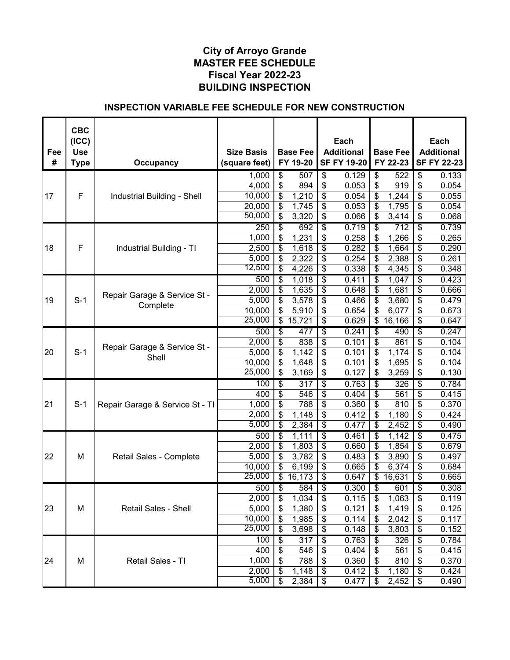| Fee<br># | <b>CBC</b><br>(ICC)<br><b>Use</b> |                                 | <b>Size Basis</b> |                                      | <b>Base Fee</b><br>FY 19-20 |                                  | Each<br><b>Additional</b><br><b>SF FY 19-20</b> |                                  | <b>Base Fee</b>  |                                      | Each<br><b>Additional</b><br><b>SF FY 22-23</b> |
|----------|-----------------------------------|---------------------------------|-------------------|--------------------------------------|-----------------------------|----------------------------------|-------------------------------------------------|----------------------------------|------------------|--------------------------------------|-------------------------------------------------|
|          | <b>Type</b>                       | <b>Occupancy</b>                | (square feet)     |                                      |                             |                                  |                                                 |                                  | FY 22-23         |                                      |                                                 |
|          |                                   |                                 | 1,000             | $\overline{\mathcal{S}}$             | 507                         | \$                               | 0.129                                           | \$                               | 522              | $\overline{\mathcal{S}}$             | 0.133                                           |
| 17       | F                                 |                                 | 4,000<br>10,000   | \$<br>\$                             | 894<br>1,210                | \$<br>\$                         | 0.053<br>0.054                                  | \$<br>\$                         | 919<br>1,244     | \$<br>\$                             | 0.054<br>0.055                                  |
|          |                                   | Industrial Building - Shell     | 20,000            | \$                                   | 1,745                       | \$                               | 0.053                                           | \$                               | 1,795            | \$                                   | 0.054                                           |
|          |                                   |                                 | 50,000            | \$                                   | 3,320                       | \$                               | 0.066                                           | \$                               | 3,414            | \$                                   | 0.068                                           |
|          |                                   |                                 | 250               | \$                                   | 692                         | $\overline{\$}$                  | 0.719                                           | \$                               | $\overline{712}$ | $\overline{\$}$                      | 0.739                                           |
|          |                                   |                                 | 1,000             | \$                                   | 1,231                       | \$                               | 0.258                                           | \$                               | 1,266            | \$                                   | 0.265                                           |
| 18       | F                                 | Industrial Building - TI        | 2,500             | \$                                   | 1,618                       | \$                               | 0.282                                           | \$                               | 1,664            | \$                                   | 0.290                                           |
|          |                                   |                                 | 5,000             | \$                                   | 2,322                       | \$                               | 0.254                                           | \$                               | 2,388            | \$                                   | 0.261                                           |
|          |                                   |                                 | 12,500            | \$                                   | 4,226                       | \$                               | 0.338                                           | \$                               | 4,345            | \$                                   | 0.348                                           |
|          |                                   |                                 | 500               | \$                                   | 1,018                       | \$                               | 0.411                                           | \$                               | 1,047            | \$                                   | 0.423                                           |
|          |                                   |                                 | 2,000             | \$                                   | 1,635                       | \$                               | 0.648                                           | \$                               | 1,681            | \$                                   | 0.666                                           |
| 19       | $S-1$                             | Repair Garage & Service St -    | 5,000             | \$                                   | 3,578                       | \$                               | 0.466                                           | \$                               | 3,680            | \$                                   | 0.479                                           |
|          |                                   | Complete                        | 10,000            | \$                                   | 5,910                       | \$                               | 0.654                                           | \$                               | 6,077            | \$                                   | 0.673                                           |
|          |                                   |                                 | 25,000            | $\overline{\mathcal{E}}$             | 15,721                      | \$                               | 0.629                                           |                                  | \$16,166         | \$                                   | 0.647                                           |
|          |                                   |                                 | 500               | \$                                   | 477                         | \$                               | 0.241                                           | $\overline{\mathcal{S}}$         | 490              | $\overline{\$}$                      | 0.247                                           |
|          |                                   | Repair Garage & Service St -    | 2,000             | \$                                   | 838                         | \$                               | 0.101                                           | \$                               | 861              | \$                                   | 0.104                                           |
| 20       | $S-1$                             | Shell                           | 5,000             | \$                                   | 1,142                       | \$                               | 0.101                                           | \$                               | 1,174            | \$                                   | 0.104                                           |
|          |                                   |                                 | 10,000            | $\overline{\$}$                      | 1,648                       | $\overline{\mathcal{S}}$         | 0.101                                           | \$                               | 1,695            | $\overline{\boldsymbol{\mathsf{S}}}$ | 0.104                                           |
|          |                                   |                                 | 25,000            | $\overline{\boldsymbol{\mathsf{s}}}$ | 3,169                       | $\overline{\mathcal{S}}$         | 0.127                                           | \$                               | 3,259            | \$                                   | 0.130                                           |
|          |                                   |                                 | 100               | \$                                   | $\overline{317}$            | $\overline{\$}$                  | 0.763                                           | \$                               | 326              | S                                    | 0.784                                           |
|          |                                   |                                 | 400               | \$                                   | 546                         | \$                               | 0.404                                           | \$                               | 561              | \$                                   | 0.415                                           |
| 21       | $S-1$                             | Repair Garage & Service St - TI | 1,000             | \$                                   | 788                         | \$                               | 0.360                                           | \$                               | 810              | \$                                   | 0.370                                           |
|          |                                   |                                 | 2,000             | \$                                   | 1,148                       | \$                               | 0.412                                           | \$                               | 1,180            | \$                                   | 0.424                                           |
|          |                                   |                                 | 5,000             | $\overline{\mathcal{S}}$             | 2,384                       | \$                               | 0.477                                           | \$                               | 2,452            | \$                                   | 0.490                                           |
|          |                                   |                                 | 500               | \$                                   | 1,111                       | $\overline{\$}$                  | 0.461                                           | \$                               | 1,142            | S                                    | 0.475                                           |
|          |                                   |                                 | 2,000             | \$                                   | 1,803                       | \$                               | 0.660                                           | \$                               | 1,854            | \$                                   | 0.679                                           |
| 22       | м                                 | Retail Sales - Complete         | 5,000             | \$                                   | 3,782                       | \$                               | 0.483                                           | \$                               | 3,890            | \$                                   | 0.497                                           |
|          |                                   |                                 | 10,000<br>25,000  | \$<br>$\overline{\mathcal{S}}$       | 6,199<br>16,173             | \$<br>\$                         | 0.665<br>0.647                                  | \$<br>\$                         | 6,374<br>16,631  | \$<br>\$                             | 0.684<br>0.665                                  |
|          |                                   |                                 |                   |                                      |                             |                                  |                                                 |                                  |                  | $\overline{\$}$                      |                                                 |
|          |                                   |                                 | 500<br>2,000      | \$                                   | 584                         | $\overline{\boldsymbol{\theta}}$ | 0.300                                           | $\overline{\boldsymbol{\theta}}$ | 601              |                                      | 0.308                                           |
| 23       | M                                 | Retail Sales - Shell            | 5,000             | \$<br>\$                             | 1,034<br>1,380              | \$                               | 0.115<br>0.121                                  | \$<br>\$                         | 1,063<br>1,419   | \$<br>\$                             | 0.119<br>0.125                                  |
|          |                                   |                                 | 10,000            | \$                                   | 1,985                       | \$<br>\$                         | 0.114                                           | \$                               | 2,042            | \$                                   | 0.117                                           |
|          |                                   |                                 | 25,000            | \$                                   | 3,698                       | \$                               | 0.148                                           | \$                               | 3,803            | \$                                   | 0.152                                           |
|          |                                   |                                 | 100               | \$                                   | 317                         | \$                               | 0.763                                           | \$                               | 326              | \$                                   | 0.784                                           |
|          |                                   |                                 | 400               | \$                                   | 546                         | \$                               | 0.404                                           | \$                               | 561              | \$                                   | 0.415                                           |
| 24       | M                                 | Retail Sales - TI               | 1,000             | \$                                   | 788                         | \$                               | 0.360                                           | \$                               | 810              | \$                                   | 0.370                                           |
|          |                                   |                                 | 2,000             | \$                                   | 1,148                       | \$                               | 0.412                                           | \$                               | 1,180            | \$                                   | 0.424                                           |
|          |                                   |                                 | 5,000             | $\overline{\mathcal{S}}$             | 2,384                       | $\frac{1}{2}$                    | 0.477                                           | \$                               | 2,452            | \$                                   | 0.490                                           |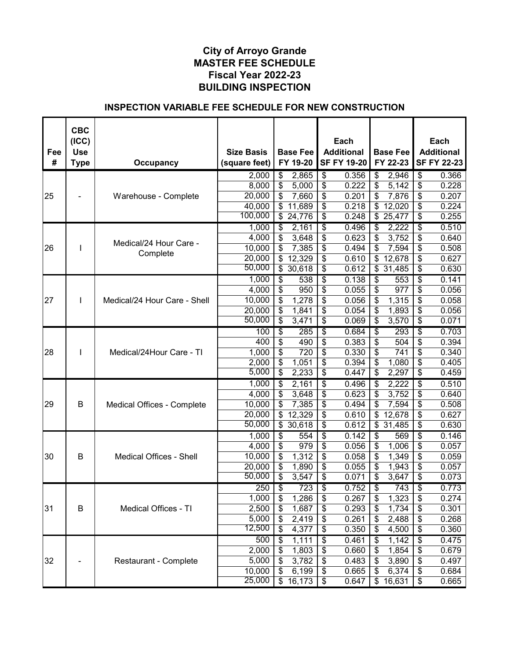|     | <b>CBC</b><br>(ICC) |                                |                   |                                             | Each                                          |                        | Each               |
|-----|---------------------|--------------------------------|-------------------|---------------------------------------------|-----------------------------------------------|------------------------|--------------------|
| Fee | <b>Use</b>          |                                | <b>Size Basis</b> | <b>Base Fee</b>                             | <b>Additional</b>                             | <b>Base Fee</b>        | <b>Additional</b>  |
| #   | <b>Type</b>         | <b>Occupancy</b>               | (square feet)     | FY 19-20                                    | <b>SF FY 19-20</b>                            | FY 22-23               | <b>SF FY 22-23</b> |
|     |                     |                                |                   | $\overline{\mathcal{S}}$                    | $\overline{\mathcal{S}}$<br>0.356             | \$<br>2,946            | \$<br>0.366        |
|     |                     |                                | 2,000<br>8,000    | 2,865<br>\$<br>5,000                        | \$<br>0.222                                   | \$<br>5,142            | \$<br>0.228        |
| 25  |                     | Warehouse - Complete           | 20,000            | \$<br>7,660                                 | \$<br>0.201                                   | \$<br>7,876            | \$<br>0.207        |
|     |                     |                                | 40,000            | \$<br>11,689                                | \$<br>0.218                                   | \$<br>12,020           | 0.224<br>\$        |
|     |                     |                                | 100,000           | $\overline{\mathcal{S}}$<br>24,776          | \$<br>0.248                                   | \$<br>25,477           | 0.255<br>\$        |
|     |                     |                                | 1,000             | \$<br>2,161                                 | $\overline{\$}$<br>0.496                      | \$<br>2,222            | \$<br>0.510        |
|     |                     |                                | 4,000             | \$<br>3,648                                 | \$<br>0.623                                   | \$<br>3,752            | \$<br>0.640        |
| 26  | I                   | Medical/24 Hour Care -         | 10,000            | \$<br>7,385                                 | \$<br>0.494                                   | \$<br>7,594            | \$<br>0.508        |
|     |                     | Complete                       | 20,000            | \$<br>12,329                                | \$<br>0.610                                   | \$<br>12,678           | \$<br>0.627        |
|     |                     |                                | 50,000            | \$<br>30,618                                | \$<br>0.612                                   | \$31,485               | \$<br>0.630        |
|     |                     |                                | 1,000             | $\overline{\mathcal{E}}$<br>538             | $\overline{\boldsymbol{\theta}}$<br>0.138     | \$<br>553              | \$<br>0.141        |
|     |                     |                                | 4,000             | \$<br>950                                   | \$<br>0.055                                   | \$<br>977              | \$<br>0.056        |
| 27  | L                   | Medical/24 Hour Care - Shell   | 10,000            | \$<br>1,278                                 | \$<br>0.056                                   | \$<br>1,315            | \$<br>0.058        |
|     |                     |                                | 20,000            | \$<br>1,841                                 | \$<br>0.054                                   | \$<br>1,893            | \$<br>0.056        |
|     |                     |                                | 50,000            | $\overline{\mathcal{E}}$<br>3,471           | $\overline{\mathcal{E}}$<br>0.069             | \$<br>3,570            | \$<br>0.071        |
|     |                     |                                | 100               | \$<br>285                                   | $\overline{\$}$<br>0.684                      | \$<br>293              | \$<br>0.703        |
|     |                     |                                | 400               | $\overline{\boldsymbol{\mathsf{S}}}$<br>490 | \$<br>0.383                                   | \$<br>504              | \$<br>0.394        |
| 28  |                     | Medical/24Hour Care - TI       | 1,000             | $\overline{\$}$<br>720                      | \$<br>0.330                                   | \$<br>741              | \$<br>0.340        |
|     |                     |                                | 2,000             | \$<br>1,051                                 | $\overline{\boldsymbol{\mathsf{s}}}$<br>0.394 | \$<br>1,080            | \$<br>0.405        |
|     |                     |                                | 5,000             | \$<br>2,233                                 | \$<br>0.447                                   | \$<br>2,297            | \$<br>0.459        |
|     |                     |                                | 1,000             | \$<br>2,161                                 | $\overline{\boldsymbol{\theta}}$<br>0.496     | \$<br>2,222            | \$<br>0.510        |
|     |                     |                                | 4,000             | \$<br>3,648                                 | \$<br>0.623                                   | \$<br>3,752            | \$<br>0.640        |
| 29  | B                   | Medical Offices - Complete     | 10,000            | \$<br>7,385                                 | \$<br>0.494                                   | \$<br>7,594            | \$<br>0.508        |
|     |                     |                                | 20,000            | $\overline{\mathcal{S}}$<br>12,329          | \$<br>0.610                                   | \$<br>12,678           | \$<br>0.627        |
|     |                     |                                | 50,000            | \$30,618                                    | \$<br>0.612                                   | $\overline{\$}$ 31,485 | \$<br>0.630        |
|     |                     |                                | 1,000             | \$<br>554                                   | $\overline{\mathcal{S}}$<br>0.142             | \$<br>569              | 0.146<br>\$        |
|     |                     |                                | 4,000             | \$<br>979                                   | \$<br>0.056                                   | \$<br>1,006            | \$<br>0.057        |
| 30  | B                   | <b>Medical Offices - Shell</b> | 10,000            | \$<br>1,312                                 | \$<br>0.058                                   | \$<br>1,349            | \$<br>0.059        |
|     |                     |                                | 20,000            | \$<br>1,890                                 | \$<br>0.055                                   | \$<br>1,943            | \$<br>0.057        |
|     |                     |                                | 50,000            | $\overline{\$}$<br>3,547                    | \$<br>0.071                                   | \$<br>3,647            | \$<br>0.073        |
|     |                     |                                | 250               | \$<br>723                                   | $\overline{\$}$<br>0.752                      | \$<br>743              | S<br>0.773         |
|     |                     |                                | 1,000             | \$<br>1,286                                 | \$<br>0.267                                   | \$<br>1,323            | \$<br>0.274        |
| 31  | B                   | Medical Offices - TI           | 2,500             | \$<br>1,687                                 | \$<br>0.293                                   | 1,734<br>\$            | 0.301<br>\$        |
|     |                     |                                | 5,000             | \$<br>2,419                                 | \$<br>0.261                                   | \$<br>2,488            | \$<br>0.268        |
|     |                     |                                | 12,500            | \$<br>4,377                                 | $\frac{1}{2}$<br>0.350                        | \$<br>4,500            | \$<br>0.360        |
|     |                     |                                | 500               | \$<br>1,111                                 | \$<br>0.461                                   | \$<br>1,142            | \$<br>0.475        |
|     |                     |                                | 2,000             | \$<br>1,803                                 | \$<br>0.660                                   | 1,854<br>\$            | \$<br>0.679        |
| 32  |                     | Restaurant - Complete          | 5,000             | \$<br>3,782                                 | \$<br>0.483                                   | 3,890<br>\$            | \$<br>0.497        |
|     |                     |                                | 10,000<br>25,000  | \$<br>6,199<br>$\overline{\$}$              | \$<br>0.665<br>0.647                          | 6,374<br>\$            | \$<br>0.684        |
|     |                     |                                |                   | 16,173                                      | \$                                            | \$<br>16,631           | \$<br>0.665        |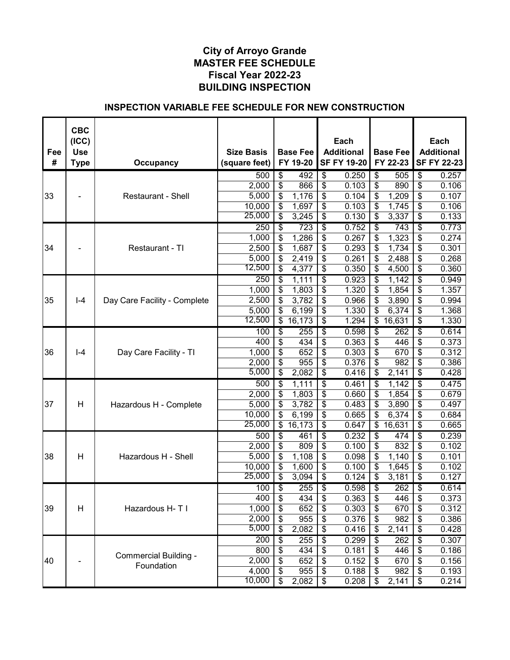| Fee | <b>CBC</b><br>(ICC)<br><b>Use</b> |                              | <b>Size Basis</b> |                          | <b>Base Fee</b> |                                        | Each<br><b>Additional</b> |                                  | <b>Base Fee</b>  |                                  | Each<br><b>Additional</b> |
|-----|-----------------------------------|------------------------------|-------------------|--------------------------|-----------------|----------------------------------------|---------------------------|----------------------------------|------------------|----------------------------------|---------------------------|
| #   | <b>Type</b>                       | <b>Occupancy</b>             | (square feet)     |                          | FY 19-20        |                                        | <b>SF FY 19-20</b>        |                                  | FY 22-23         |                                  | <b>SF FY 22-23</b>        |
|     |                                   |                              | 500               | $\overline{\$}$          | 492             | $\overline{\$}$                        | 0.250                     | \$                               | 505              | $\overline{\$}$                  | 0.257                     |
|     |                                   |                              | 2,000             | \$                       | 866             | \$                                     | 0.103                     | \$                               | 890              | $\overline{\mathcal{E}}$         | 0.106                     |
| 33  |                                   | <b>Restaurant - Shell</b>    | 5,000             | \$                       | 1,176           | \$                                     | 0.104                     | \$                               | 1,209            | \$                               | 0.107                     |
|     |                                   |                              | 10,000            | \$                       | 1,697           | \$                                     | 0.103                     | \$                               | 1,745            | \$                               | 0.106                     |
|     |                                   |                              | 25,000            | \$                       | 3,245           | \$                                     | 0.130                     | \$                               | 3,337            | \$                               | 0.133                     |
|     |                                   |                              | 250               | $\overline{\$}$          | 723             | \$                                     | 0.752                     | \$                               | $\overline{743}$ | $\overline{\boldsymbol{\theta}}$ | 0.773                     |
|     |                                   |                              | 1,000             | \$                       | 1,286           | \$                                     | 0.267                     | \$                               | 1,323            | \$                               | 0.274                     |
| 34  |                                   | Restaurant - TI              | 2,500             | \$                       | 1,687           | \$                                     | 0.293                     | \$                               | 1,734            | \$                               | 0.301                     |
|     |                                   |                              | 5,000             | \$                       | 2,419           | \$                                     | 0.261                     | \$                               | 2,488            | \$                               | 0.268                     |
|     |                                   |                              | 12,500            | \$                       | 4,377           | \$                                     | 0.350                     | \$                               | 4,500            | \$                               | 0.360                     |
|     |                                   |                              | $\overline{250}$  | \$                       | 1,111           | $\overline{\$}$                        | 0.923                     | \$                               | 1,142            | $\overline{\boldsymbol{\theta}}$ | 0.949                     |
|     |                                   |                              | 1,000             | \$                       | 1,803           | \$                                     | 1.320                     | \$                               | 1,854            | \$                               | 1.357                     |
| 35  | $I - 4$                           | Day Care Facility - Complete | 2,500             | \$                       | 3,782           | \$                                     | 0.966                     | \$                               | 3,890            | \$                               | 0.994                     |
|     |                                   |                              | 5,000             | \$                       | 6,199           | \$                                     | 1.330                     | \$                               | 6,374            | \$                               | 1.368                     |
|     |                                   |                              | 12,500            | $\overline{\mathcal{S}}$ | 16,173          | $\overline{\mathbf{3}}$                | 1.294                     |                                  | \$16,631         | \$                               | 1.330                     |
|     |                                   |                              | 100               | $\overline{\$}$          | 255             | $\overline{\$}$                        | 0.598                     | \$                               | 262              | $\overline{\$}$                  | 0.614                     |
|     |                                   |                              | 400               | $\overline{\$}$          | 434             | \$                                     | 0.363                     | \$                               | 446              | \$                               | 0.373                     |
| 36  | $I - 4$                           | Day Care Facility - TI       | 1,000             | $\overline{\mathbf{S}}$  | 652             | $\overline{\$}$                        | 0.303                     | \$                               | 670              | \$                               | 0.312                     |
|     |                                   |                              | 2,000             | \$                       | 955             | $\overline{\mathcal{S}}$               | 0.376                     | \$                               | 982              | \$                               | 0.386                     |
|     |                                   |                              | 5,000             | \$                       | 2,082           | $\overline{\mathbf{s}}$                | 0.416                     | \$                               | 2,141            | \$                               | 0.428                     |
|     |                                   |                              | 500               | \$                       | 1,111           | $\overline{\$}$                        | 0.461                     | \$                               | 1,142            | \$                               | 0.475                     |
|     |                                   |                              | 2,000             | \$                       | 1,803           | $\overline{\boldsymbol{\mathfrak{s}}}$ | 0.660                     | \$                               | 1,854            | \$                               | 0.679                     |
| 37  | H                                 | Hazardous H - Complete       | 5,000             | $\overline{\mathcal{E}}$ | 3,782           | \$                                     | 0.483                     | \$                               | 3,890            | \$                               | 0.497                     |
|     |                                   |                              | 10,000            | $\overline{\mathcal{E}}$ | 6,199           | \$                                     | 0.665                     | \$                               | 6,374            | \$                               | 0.684                     |
|     |                                   |                              | 25,000            | $\mathfrak{S}$           | 16,173          | $\overline{\mathbf{s}}$                | 0.647                     |                                  | \$16,631         | \$                               | 0.665                     |
|     |                                   |                              | 500               | $\overline{\$}$          | 461             | $\overline{\$}$                        | 0.232                     | \$                               | 474              | $\overline{\boldsymbol{\theta}}$ | 0.239                     |
|     |                                   |                              | 2,000             | \$                       | 809             | \$                                     | 0.100                     | \$                               | 832              | \$                               | 0.102                     |
| 38  | H                                 | Hazardous H - Shell          | 5,000             | \$                       | 1,108           | \$                                     | 0.098                     | \$                               | 1,140            | \$                               | 0.101                     |
|     |                                   |                              | 10,000            | \$                       | 1,600           | $\overline{\mathbf{3}}$                | 0.100                     | \$                               | 1,645            | \$                               | 0.102                     |
|     |                                   |                              | 25,000            | \$                       | 3,094           | \$                                     | 0.124                     | \$                               | 3,181            | \$                               | 0.127                     |
|     |                                   |                              | 100               | $\overline{\$}$          | 255             | $\overline{\mathfrak{s}}$              | 0.598                     | $\overline{\boldsymbol{\theta}}$ | 262              | $\overline{\$}$                  | 0.614                     |
|     |                                   |                              | 400               | \$                       | 434             | \$                                     | 0.363                     | \$                               | 446              | \$                               | 0.373                     |
| 39  | H                                 | Hazardous H-T I              | 1,000             | \$                       | 652             | $\boldsymbol{\theta}$                  | 0.303                     | \$                               | 670              | \$                               | 0.312                     |
|     |                                   |                              | 2,000             | $\overline{\mathcal{S}}$ | 955             | $\boldsymbol{\mathsf{\$}}$             | 0.376                     | \$                               | 982              | \$                               | 0.386                     |
|     |                                   |                              | 5,000             | \$                       | 2,082           | \$                                     | 0.416                     | \$                               | 2,141            | \$                               | 0.428                     |
|     |                                   |                              | 200               | $\overline{\$}$          | 255             | $\overline{\$}$                        | 0.299                     | \$                               | 262              | $\overline{\boldsymbol{\theta}}$ | 0.307                     |
|     |                                   | Commercial Building -        | 800               | \$                       | 434             | $\boldsymbol{\mathsf{S}}$              | 0.181                     | \$                               | 446              | \$                               | 0.186                     |
| 40  |                                   | Foundation                   | 2,000             | \$                       | 652             | $\boldsymbol{\mathsf{\$}}$             | 0.152                     | \$                               | 670              | \$                               | 0.156                     |
|     |                                   |                              | 4,000             | \$                       | 955             | $\boldsymbol{\mathsf{\$}}$             | 0.188                     | \$                               | 982              | \$                               | 0.193                     |
|     |                                   |                              | 10,000            | $\overline{\mathcal{S}}$ | 2,082           | \$                                     | 0.208                     | \$                               | 2,141            | \$                               | 0.214                     |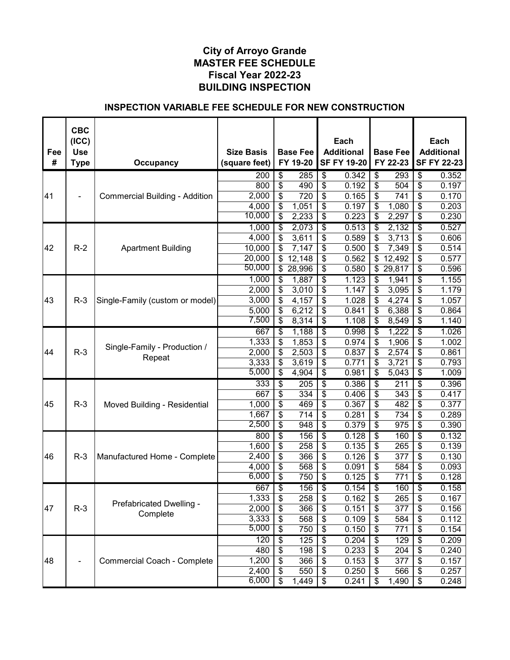| Fee | <b>CBC</b><br>(ICC)<br><b>Use</b> |                                       | <b>Size Basis</b> |                                | <b>Base Fee</b>  |                                  | Each<br><b>Additional</b> | <b>Base Fee</b>        |    | Each<br><b>Additional</b> |
|-----|-----------------------------------|---------------------------------------|-------------------|--------------------------------|------------------|----------------------------------|---------------------------|------------------------|----|---------------------------|
| #   | <b>Type</b>                       | Occupancy                             | (square feet)     |                                | FY 19-20         |                                  | <b>SF FY 19-20</b>        | FY 22-23               |    | <b>SF FY 22-23</b>        |
|     |                                   |                                       | 200               | \$                             | 285              | $\overline{\$}$                  | 0.342                     | \$<br>293              | \$ | 0.352                     |
|     |                                   |                                       | 800               | \$                             | 490              | $\overline{\mathbf{3}}$          | 0.192                     | \$<br>504              | \$ | 0.197                     |
| 41  |                                   | <b>Commercial Building - Addition</b> | 2,000             | \$                             | 720              | $\boldsymbol{\mathsf{S}}$        | 0.165                     | \$<br>741              | \$ | 0.170                     |
|     |                                   |                                       | 4,000             | \$                             | 1,051            | \$                               | 0.197                     | \$<br>1,080            | \$ | 0.203                     |
|     |                                   |                                       | 10,000            | \$                             | 2,233            | \$                               | 0.223                     | \$<br>2,297            | \$ | 0.230                     |
|     |                                   |                                       | 1,000             | \$                             | 2,073            | $\overline{\$}$                  | 0.513                     | \$<br>2,132            | \$ | 0.527                     |
|     |                                   |                                       | 4,000             | \$                             | 3,611            | \$                               | 0.589                     | \$<br>3,713            | \$ | 0.606                     |
| 42  | $R-2$                             | <b>Apartment Building</b>             | 10,000            | \$                             | 7,147            | \$                               | 0.500                     | \$<br>7,349            | \$ | 0.514                     |
|     |                                   |                                       | 20,000            | \$                             | 12,148           | \$                               | 0.562                     | \$<br>12,492           | \$ | 0.577                     |
|     |                                   |                                       | 50,000            | \$                             | 28,996           | \$                               | 0.580                     | \$<br>29,817           | \$ | 0.596                     |
|     |                                   |                                       | 1,000             | \$                             | 1,887            | $\overline{\mathcal{S}}$         | 1.123                     | \$<br>1,941            | \$ | 1.155                     |
|     |                                   |                                       | 2,000             | \$                             | 3,010            | $\boldsymbol{\mathsf{\$}}$       | 1.147                     | \$<br>3,095            | \$ | 1.179                     |
| 43  | $R-3$                             | Single-Family (custom or model)       | 3,000             | \$                             | 4,157            | \$                               | 1.028                     | \$<br>4,274            | \$ | 1.057                     |
|     |                                   |                                       | 5,000             | \$                             | 6,212            | $\boldsymbol{\mathsf{\$}}$       | 0.841                     | \$<br>6,388            | \$ | 0.864                     |
|     |                                   |                                       | 7,500             | $\overline{\mathbf{e}}$        | 8,314            | $\overline{\mathbf{3}}$          | 1.108                     | \$<br>8,549            | \$ | 1.140                     |
|     |                                   |                                       | 667               | \$                             | 1,188            | $\overline{\$}$                  | 0.998                     | \$<br>1,222            | \$ | 1.026                     |
|     |                                   | Single-Family - Production /          | 1,333             | $\overline{\$}$                | 1,853            | $\overline{\boldsymbol{\theta}}$ | 0.974                     | \$<br>1,906            | \$ | 1.002                     |
| 44  | $R-3$                             | Repeat                                | 2,000             | \$                             | 2,503            | $\overline{\mathbf{S}}$          | 0.837                     | \$<br>2,574            | \$ | 0.861                     |
|     |                                   |                                       | 3,333             | \$                             | 3,619            | \$                               | 0.771                     | \$<br>3,721            | \$ | 0.793                     |
|     |                                   |                                       | 5,000             | \$                             | 4,904            | \$                               | 0.981                     | \$<br>5,043            | \$ | 1.009                     |
|     |                                   |                                       | 333               | \$                             | $\overline{205}$ | $\overline{\$}$                  | 0.386                     | \$<br>211              | \$ | 0.396                     |
|     |                                   |                                       | 667               | \$                             | 334              | \$                               | 0.406                     | \$<br>343              | \$ | 0.417                     |
| 45  | $R-3$                             | Moved Building - Residential          | 1,000             | \$                             | 469              | \$                               | 0.367                     | \$<br>482              | \$ | 0.377                     |
|     |                                   |                                       | 1,667             | \$                             | 714              | \$                               | 0.281                     | \$<br>734              | \$ | 0.289                     |
|     |                                   |                                       | 2,500             | \$                             | 948              | $\overline{\mathbf{3}}$          | 0.379                     | \$<br>$\overline{975}$ | \$ | 0.390                     |
|     |                                   |                                       | 800               | \$                             | 156              | $\overline{\$}$                  | 0.128                     | \$<br>160              | \$ | 0.132                     |
|     |                                   |                                       | 1,600             | \$                             | 258              | \$                               | 0.135                     | \$<br>265              | \$ | 0.139                     |
| 46  | $R-3$                             | Manufactured Home - Complete          | 2,400             | \$                             | 366              | \$                               | 0.126                     | \$<br>377              | \$ | 0.130                     |
|     |                                   |                                       | 4,000<br>6,000    | \$                             | 568              | \$                               | 0.091                     | \$<br>584              | \$ | 0.093                     |
|     |                                   |                                       |                   | \$                             | 750              | $\overline{\mathbf{3}}$          | 0.125                     | \$<br>771              | \$ | 0.128                     |
|     |                                   |                                       | 667               | \$                             | 156              | $\overline{\$}$                  | 0.154                     | \$<br>160              | S  | 0.158                     |
|     |                                   | Prefabricated Dwelling -              | 1,333             | \$                             | 258              | \$                               | 0.162                     | \$<br>265              | \$ | 0.167                     |
| 47  | $R-3$                             | Complete                              | 2,000             | \$                             | 366              | \$                               | 0.151                     | \$<br>377              | \$ | 0.156                     |
|     |                                   |                                       | 3,333<br>5,000    | \$                             | 568              | \$                               | 0.109                     | \$<br>584              | \$ | 0.112                     |
|     |                                   |                                       |                   | \$                             | 750              | $\boldsymbol{\mathsf{S}}$        | 0.150                     | \$<br>771              | \$ | 0.154                     |
|     |                                   |                                       | 120               | \$                             | 125              | $\overline{\boldsymbol{\theta}}$ | 0.204                     | \$<br>129              | \$ | 0.209                     |
|     |                                   |                                       | 480               | \$                             | 198              | $\boldsymbol{\mathsf{\$}}$       | 0.233                     | \$<br>204              | \$ | 0.240                     |
| 48  |                                   | <b>Commercial Coach - Complete</b>    | 1,200             | \$                             | 366              | $\boldsymbol{\mathsf{S}}$        | 0.153                     | \$<br>377              | \$ | 0.157                     |
|     |                                   |                                       | 2,400<br>6,000    | \$<br>$\overline{\mathcal{S}}$ | 550              | $\boldsymbol{\mathsf{\$}}$       | 0.250                     | \$<br>566              | \$ | 0.257                     |
|     |                                   |                                       |                   |                                | 1,449            | $\boldsymbol{\theta}$            | 0.241                     | \$<br>1,490            | \$ | 0.248                     |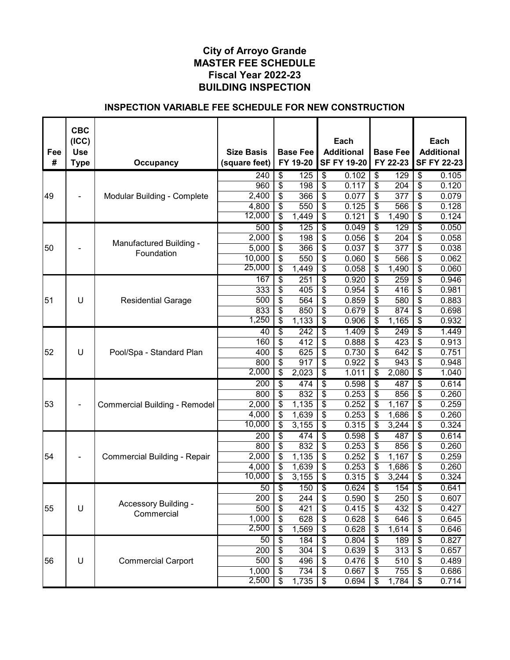| #<br>FY 19-20<br><b>SF FY 19-20</b><br>FY 22-23<br><b>SF FY 22-23</b><br><b>Type</b><br><b>Occupancy</b><br>(square feet)<br>$\overline{\$}$<br>\$<br>\$<br>$\overline{\$}$<br>240<br>125<br>0.102<br>129<br>0.105<br>\$<br>\$<br>$\overline{\mathcal{E}}$<br>\$<br>198<br>204<br>0.120<br>960<br>0.117<br>$\overline{2,}400$<br>\$<br>\$<br>\$<br>377<br>\$<br>0.079<br>49<br>366<br>0.077<br>Modular Building - Complete<br>\$<br>\$<br>\$<br>4,800<br>0.125<br>566<br>\$<br>0.128<br>550<br>12,000<br>\$<br>\$<br>0.121<br>0.124<br>1,449<br>\$<br>1,490<br>\$<br>\$<br>\$<br>\$<br>$\overline{\boldsymbol{\theta}}$<br>500<br>125<br>0.049<br>129<br>0.050<br>$\overline{\boldsymbol{\mathsf{S}}}$<br>\$<br>\$<br>\$<br>2,000<br>0.056<br>0.058<br>198<br>204<br>Manufactured Building -<br>\$<br>\$<br>\$<br>\$<br>5,000<br>366<br>0.037<br>377<br>0.038<br>50<br>Foundation<br>\$<br>\$<br>\$<br>10,000<br>550<br>566<br>\$<br>0.060<br>0.062<br>$\overline{\mathcal{S}}$<br>25,000<br>\$<br>\$<br>1,490<br>\$<br>1,449<br>0.058<br>0.060<br>$\overline{\$}$<br>167<br>\$<br>259<br>0.946<br>251<br>0.920<br>\$<br>\$<br>\$<br>\$<br>\$<br>\$<br>333<br>0.954<br>416<br>0.981<br>405<br>\$<br>\$<br>\$<br>580<br>\$<br>51<br>500<br>564<br>0.859<br>0.883<br>U<br><b>Residential Garage</b><br>833<br>\$<br>\$<br>\$<br>\$<br>850<br>0.679<br>874<br>0.698<br>1,250<br>\$<br>$\overline{\boldsymbol{\theta}}$<br>1,133<br>0.906<br>\$<br>1,165<br>$\frac{1}{2}$<br>0.932<br>$\overline{\$}$<br>\$<br>1.409<br>\$<br>$\overline{\$}$<br>40<br>$\overline{242}$<br>249<br>1.449<br>$\overline{\boldsymbol{\mathsf{S}}}$<br>\$<br>\$<br>$\overline{\mathcal{E}}$<br>160<br>412<br>0.888<br>423<br>0.913<br>$\overline{\boldsymbol{\mathsf{S}}}$<br>\$<br>\$<br>\$<br>400<br>625<br>0.730<br>642<br>0.751<br>U<br>Pool/Spa - Standard Plan<br>$\overline{\boldsymbol{\mathsf{s}}}$<br>$\overline{\mathcal{S}}$<br>\$<br>$\overline{\boldsymbol{\mathsf{S}}}$<br>0.922<br>943<br>0.948<br>800<br>917<br>2,000<br>\$<br>\$<br>1.011<br>\$<br>2,080<br>\$<br>1.040<br>2,023<br>\$<br>\$<br>\$<br>487<br>0.614<br>474<br>0.598<br>\$<br>200<br>\$<br>\$<br>856<br>832<br>0.253<br>\$<br>\$<br>0.260<br>800<br>\$<br>\$<br>\$<br>1,135<br>0.252<br>\$<br>1,167<br>0.259<br>2,000<br><b>Commercial Building - Remodel</b><br>\$<br>\$<br>\$<br>0.253<br>\$<br>0.260<br>4,000<br>1,639<br>1,686<br>10,000<br>\$<br>\$<br>\$<br>3,155<br>0.315<br>\$<br>3,244<br>0.324<br>$\overline{\$}$<br>\$<br>474<br>0.598<br>\$<br>487<br>$\overline{\boldsymbol{\theta}}$<br>0.614<br>200<br>800<br>\$<br>\$<br>832<br>0.253<br>\$<br>856<br>\$<br>0.260<br>\$<br>54<br>2,000<br>\$<br>0.252<br>\$<br>\$<br>0.259<br>1,135<br>1,167<br>Commercial Building - Repair<br>\$<br>\$<br>\$<br>\$<br>4,000<br>1,639<br>0.253<br>0.260<br>1,686<br>10,000<br>\$<br>\$<br>\$<br>\$<br>0.315<br>0.324<br>3,155<br>3,244<br>$\overline{\$}$<br>$\overline{\$}$<br>0.624<br>$\overline{\boldsymbol{\theta}}$<br>$\overline{\$}$<br>0.641<br>50<br>150<br>154<br>\$<br>200<br>244<br>\$<br>0.590<br>\$<br>250<br>\$<br>0.607<br>Accessory Building -<br>\$<br>55<br>U<br>500<br>421<br>\$<br>0.415<br>\$<br>432<br>\$<br>0.427<br>Commercial<br>\$<br>646<br>1,000<br>628<br>\$<br>\$<br>0.628<br>\$<br>0.645<br>2,500<br>\$<br>\$<br>0.628<br>1,614<br>1,569<br>\$<br>\$<br>0.646<br>50<br>184<br>\$<br>0.804<br>189<br>0.827<br>\$<br>\$<br>\$<br>313<br>200<br>\$<br>304<br>\$<br>0.639<br>\$<br>\$<br>0.657<br>510<br>56<br>500<br>\$<br>496<br>\$<br>0.476<br>U<br><b>Commercial Carport</b><br>\$<br>\$<br>0.489<br>\$<br>\$<br>755<br>1,000<br>734<br>0.667<br>0.686<br>\$<br>\$ | Fee | <b>CBC</b><br>(ICC)<br><b>Use</b> | <b>Size Basis</b> |                          | <b>Base Fee</b> |                           | Each<br><b>Additional</b> | <b>Base Fee</b> | Each<br><b>Additional</b> |
|--------------------------------------------------------------------------------------------------------------------------------------------------------------------------------------------------------------------------------------------------------------------------------------------------------------------------------------------------------------------------------------------------------------------------------------------------------------------------------------------------------------------------------------------------------------------------------------------------------------------------------------------------------------------------------------------------------------------------------------------------------------------------------------------------------------------------------------------------------------------------------------------------------------------------------------------------------------------------------------------------------------------------------------------------------------------------------------------------------------------------------------------------------------------------------------------------------------------------------------------------------------------------------------------------------------------------------------------------------------------------------------------------------------------------------------------------------------------------------------------------------------------------------------------------------------------------------------------------------------------------------------------------------------------------------------------------------------------------------------------------------------------------------------------------------------------------------------------------------------------------------------------------------------------------------------------------------------------------------------------------------------------------------------------------------------------------------------------------------------------------------------------------------------------------------------------------------------------------------------------------------------------------------------------------------------------------------------------------------------------------------------------------------------------------------------------------------------------------------------------------------------------------------------------------------------------------------------------------------------------------------------------------------------------------------------------------------------------------------------------------------------------------------------------------------------------------------------------------------------------------------------------------------------------------------------------------------------------------------------------------------------------------------------------------------------------------------------------------------------------------------------------------------------------------------------------------------------------------------------------------------------------------------------------------------------------------------------------------------------------------------------------------------------------------------------------------------------------------------------------------------------------------------------------------------------------------------------------------------------------------------------------------------------|-----|-----------------------------------|-------------------|--------------------------|-----------------|---------------------------|---------------------------|-----------------|---------------------------|
|                                                                                                                                                                                                                                                                                                                                                                                                                                                                                                                                                                                                                                                                                                                                                                                                                                                                                                                                                                                                                                                                                                                                                                                                                                                                                                                                                                                                                                                                                                                                                                                                                                                                                                                                                                                                                                                                                                                                                                                                                                                                                                                                                                                                                                                                                                                                                                                                                                                                                                                                                                                                                                                                                                                                                                                                                                                                                                                                                                                                                                                                                                                                                                                                                                                                                                                                                                                                                                                                                                                                                                                                                                                              |     |                                   |                   |                          |                 |                           |                           |                 |                           |
|                                                                                                                                                                                                                                                                                                                                                                                                                                                                                                                                                                                                                                                                                                                                                                                                                                                                                                                                                                                                                                                                                                                                                                                                                                                                                                                                                                                                                                                                                                                                                                                                                                                                                                                                                                                                                                                                                                                                                                                                                                                                                                                                                                                                                                                                                                                                                                                                                                                                                                                                                                                                                                                                                                                                                                                                                                                                                                                                                                                                                                                                                                                                                                                                                                                                                                                                                                                                                                                                                                                                                                                                                                                              |     |                                   |                   |                          |                 |                           |                           |                 |                           |
|                                                                                                                                                                                                                                                                                                                                                                                                                                                                                                                                                                                                                                                                                                                                                                                                                                                                                                                                                                                                                                                                                                                                                                                                                                                                                                                                                                                                                                                                                                                                                                                                                                                                                                                                                                                                                                                                                                                                                                                                                                                                                                                                                                                                                                                                                                                                                                                                                                                                                                                                                                                                                                                                                                                                                                                                                                                                                                                                                                                                                                                                                                                                                                                                                                                                                                                                                                                                                                                                                                                                                                                                                                                              |     |                                   |                   |                          |                 |                           |                           |                 |                           |
|                                                                                                                                                                                                                                                                                                                                                                                                                                                                                                                                                                                                                                                                                                                                                                                                                                                                                                                                                                                                                                                                                                                                                                                                                                                                                                                                                                                                                                                                                                                                                                                                                                                                                                                                                                                                                                                                                                                                                                                                                                                                                                                                                                                                                                                                                                                                                                                                                                                                                                                                                                                                                                                                                                                                                                                                                                                                                                                                                                                                                                                                                                                                                                                                                                                                                                                                                                                                                                                                                                                                                                                                                                                              |     |                                   |                   |                          |                 |                           |                           |                 |                           |
|                                                                                                                                                                                                                                                                                                                                                                                                                                                                                                                                                                                                                                                                                                                                                                                                                                                                                                                                                                                                                                                                                                                                                                                                                                                                                                                                                                                                                                                                                                                                                                                                                                                                                                                                                                                                                                                                                                                                                                                                                                                                                                                                                                                                                                                                                                                                                                                                                                                                                                                                                                                                                                                                                                                                                                                                                                                                                                                                                                                                                                                                                                                                                                                                                                                                                                                                                                                                                                                                                                                                                                                                                                                              |     |                                   |                   |                          |                 |                           |                           |                 |                           |
|                                                                                                                                                                                                                                                                                                                                                                                                                                                                                                                                                                                                                                                                                                                                                                                                                                                                                                                                                                                                                                                                                                                                                                                                                                                                                                                                                                                                                                                                                                                                                                                                                                                                                                                                                                                                                                                                                                                                                                                                                                                                                                                                                                                                                                                                                                                                                                                                                                                                                                                                                                                                                                                                                                                                                                                                                                                                                                                                                                                                                                                                                                                                                                                                                                                                                                                                                                                                                                                                                                                                                                                                                                                              |     |                                   |                   |                          |                 |                           |                           |                 |                           |
|                                                                                                                                                                                                                                                                                                                                                                                                                                                                                                                                                                                                                                                                                                                                                                                                                                                                                                                                                                                                                                                                                                                                                                                                                                                                                                                                                                                                                                                                                                                                                                                                                                                                                                                                                                                                                                                                                                                                                                                                                                                                                                                                                                                                                                                                                                                                                                                                                                                                                                                                                                                                                                                                                                                                                                                                                                                                                                                                                                                                                                                                                                                                                                                                                                                                                                                                                                                                                                                                                                                                                                                                                                                              |     |                                   |                   |                          |                 |                           |                           |                 |                           |
|                                                                                                                                                                                                                                                                                                                                                                                                                                                                                                                                                                                                                                                                                                                                                                                                                                                                                                                                                                                                                                                                                                                                                                                                                                                                                                                                                                                                                                                                                                                                                                                                                                                                                                                                                                                                                                                                                                                                                                                                                                                                                                                                                                                                                                                                                                                                                                                                                                                                                                                                                                                                                                                                                                                                                                                                                                                                                                                                                                                                                                                                                                                                                                                                                                                                                                                                                                                                                                                                                                                                                                                                                                                              |     |                                   |                   |                          |                 |                           |                           |                 |                           |
|                                                                                                                                                                                                                                                                                                                                                                                                                                                                                                                                                                                                                                                                                                                                                                                                                                                                                                                                                                                                                                                                                                                                                                                                                                                                                                                                                                                                                                                                                                                                                                                                                                                                                                                                                                                                                                                                                                                                                                                                                                                                                                                                                                                                                                                                                                                                                                                                                                                                                                                                                                                                                                                                                                                                                                                                                                                                                                                                                                                                                                                                                                                                                                                                                                                                                                                                                                                                                                                                                                                                                                                                                                                              |     |                                   |                   |                          |                 |                           |                           |                 |                           |
|                                                                                                                                                                                                                                                                                                                                                                                                                                                                                                                                                                                                                                                                                                                                                                                                                                                                                                                                                                                                                                                                                                                                                                                                                                                                                                                                                                                                                                                                                                                                                                                                                                                                                                                                                                                                                                                                                                                                                                                                                                                                                                                                                                                                                                                                                                                                                                                                                                                                                                                                                                                                                                                                                                                                                                                                                                                                                                                                                                                                                                                                                                                                                                                                                                                                                                                                                                                                                                                                                                                                                                                                                                                              |     |                                   |                   |                          |                 |                           |                           |                 |                           |
|                                                                                                                                                                                                                                                                                                                                                                                                                                                                                                                                                                                                                                                                                                                                                                                                                                                                                                                                                                                                                                                                                                                                                                                                                                                                                                                                                                                                                                                                                                                                                                                                                                                                                                                                                                                                                                                                                                                                                                                                                                                                                                                                                                                                                                                                                                                                                                                                                                                                                                                                                                                                                                                                                                                                                                                                                                                                                                                                                                                                                                                                                                                                                                                                                                                                                                                                                                                                                                                                                                                                                                                                                                                              |     |                                   |                   |                          |                 |                           |                           |                 |                           |
|                                                                                                                                                                                                                                                                                                                                                                                                                                                                                                                                                                                                                                                                                                                                                                                                                                                                                                                                                                                                                                                                                                                                                                                                                                                                                                                                                                                                                                                                                                                                                                                                                                                                                                                                                                                                                                                                                                                                                                                                                                                                                                                                                                                                                                                                                                                                                                                                                                                                                                                                                                                                                                                                                                                                                                                                                                                                                                                                                                                                                                                                                                                                                                                                                                                                                                                                                                                                                                                                                                                                                                                                                                                              |     |                                   |                   |                          |                 |                           |                           |                 |                           |
|                                                                                                                                                                                                                                                                                                                                                                                                                                                                                                                                                                                                                                                                                                                                                                                                                                                                                                                                                                                                                                                                                                                                                                                                                                                                                                                                                                                                                                                                                                                                                                                                                                                                                                                                                                                                                                                                                                                                                                                                                                                                                                                                                                                                                                                                                                                                                                                                                                                                                                                                                                                                                                                                                                                                                                                                                                                                                                                                                                                                                                                                                                                                                                                                                                                                                                                                                                                                                                                                                                                                                                                                                                                              |     |                                   |                   |                          |                 |                           |                           |                 |                           |
|                                                                                                                                                                                                                                                                                                                                                                                                                                                                                                                                                                                                                                                                                                                                                                                                                                                                                                                                                                                                                                                                                                                                                                                                                                                                                                                                                                                                                                                                                                                                                                                                                                                                                                                                                                                                                                                                                                                                                                                                                                                                                                                                                                                                                                                                                                                                                                                                                                                                                                                                                                                                                                                                                                                                                                                                                                                                                                                                                                                                                                                                                                                                                                                                                                                                                                                                                                                                                                                                                                                                                                                                                                                              |     |                                   |                   |                          |                 |                           |                           |                 |                           |
|                                                                                                                                                                                                                                                                                                                                                                                                                                                                                                                                                                                                                                                                                                                                                                                                                                                                                                                                                                                                                                                                                                                                                                                                                                                                                                                                                                                                                                                                                                                                                                                                                                                                                                                                                                                                                                                                                                                                                                                                                                                                                                                                                                                                                                                                                                                                                                                                                                                                                                                                                                                                                                                                                                                                                                                                                                                                                                                                                                                                                                                                                                                                                                                                                                                                                                                                                                                                                                                                                                                                                                                                                                                              |     |                                   |                   |                          |                 |                           |                           |                 |                           |
|                                                                                                                                                                                                                                                                                                                                                                                                                                                                                                                                                                                                                                                                                                                                                                                                                                                                                                                                                                                                                                                                                                                                                                                                                                                                                                                                                                                                                                                                                                                                                                                                                                                                                                                                                                                                                                                                                                                                                                                                                                                                                                                                                                                                                                                                                                                                                                                                                                                                                                                                                                                                                                                                                                                                                                                                                                                                                                                                                                                                                                                                                                                                                                                                                                                                                                                                                                                                                                                                                                                                                                                                                                                              |     |                                   |                   |                          |                 |                           |                           |                 |                           |
|                                                                                                                                                                                                                                                                                                                                                                                                                                                                                                                                                                                                                                                                                                                                                                                                                                                                                                                                                                                                                                                                                                                                                                                                                                                                                                                                                                                                                                                                                                                                                                                                                                                                                                                                                                                                                                                                                                                                                                                                                                                                                                                                                                                                                                                                                                                                                                                                                                                                                                                                                                                                                                                                                                                                                                                                                                                                                                                                                                                                                                                                                                                                                                                                                                                                                                                                                                                                                                                                                                                                                                                                                                                              |     |                                   |                   |                          |                 |                           |                           |                 |                           |
|                                                                                                                                                                                                                                                                                                                                                                                                                                                                                                                                                                                                                                                                                                                                                                                                                                                                                                                                                                                                                                                                                                                                                                                                                                                                                                                                                                                                                                                                                                                                                                                                                                                                                                                                                                                                                                                                                                                                                                                                                                                                                                                                                                                                                                                                                                                                                                                                                                                                                                                                                                                                                                                                                                                                                                                                                                                                                                                                                                                                                                                                                                                                                                                                                                                                                                                                                                                                                                                                                                                                                                                                                                                              | 52  |                                   |                   |                          |                 |                           |                           |                 |                           |
|                                                                                                                                                                                                                                                                                                                                                                                                                                                                                                                                                                                                                                                                                                                                                                                                                                                                                                                                                                                                                                                                                                                                                                                                                                                                                                                                                                                                                                                                                                                                                                                                                                                                                                                                                                                                                                                                                                                                                                                                                                                                                                                                                                                                                                                                                                                                                                                                                                                                                                                                                                                                                                                                                                                                                                                                                                                                                                                                                                                                                                                                                                                                                                                                                                                                                                                                                                                                                                                                                                                                                                                                                                                              |     |                                   |                   |                          |                 |                           |                           |                 |                           |
|                                                                                                                                                                                                                                                                                                                                                                                                                                                                                                                                                                                                                                                                                                                                                                                                                                                                                                                                                                                                                                                                                                                                                                                                                                                                                                                                                                                                                                                                                                                                                                                                                                                                                                                                                                                                                                                                                                                                                                                                                                                                                                                                                                                                                                                                                                                                                                                                                                                                                                                                                                                                                                                                                                                                                                                                                                                                                                                                                                                                                                                                                                                                                                                                                                                                                                                                                                                                                                                                                                                                                                                                                                                              |     |                                   |                   |                          |                 |                           |                           |                 |                           |
|                                                                                                                                                                                                                                                                                                                                                                                                                                                                                                                                                                                                                                                                                                                                                                                                                                                                                                                                                                                                                                                                                                                                                                                                                                                                                                                                                                                                                                                                                                                                                                                                                                                                                                                                                                                                                                                                                                                                                                                                                                                                                                                                                                                                                                                                                                                                                                                                                                                                                                                                                                                                                                                                                                                                                                                                                                                                                                                                                                                                                                                                                                                                                                                                                                                                                                                                                                                                                                                                                                                                                                                                                                                              |     |                                   |                   |                          |                 |                           |                           |                 |                           |
|                                                                                                                                                                                                                                                                                                                                                                                                                                                                                                                                                                                                                                                                                                                                                                                                                                                                                                                                                                                                                                                                                                                                                                                                                                                                                                                                                                                                                                                                                                                                                                                                                                                                                                                                                                                                                                                                                                                                                                                                                                                                                                                                                                                                                                                                                                                                                                                                                                                                                                                                                                                                                                                                                                                                                                                                                                                                                                                                                                                                                                                                                                                                                                                                                                                                                                                                                                                                                                                                                                                                                                                                                                                              |     |                                   |                   |                          |                 |                           |                           |                 |                           |
|                                                                                                                                                                                                                                                                                                                                                                                                                                                                                                                                                                                                                                                                                                                                                                                                                                                                                                                                                                                                                                                                                                                                                                                                                                                                                                                                                                                                                                                                                                                                                                                                                                                                                                                                                                                                                                                                                                                                                                                                                                                                                                                                                                                                                                                                                                                                                                                                                                                                                                                                                                                                                                                                                                                                                                                                                                                                                                                                                                                                                                                                                                                                                                                                                                                                                                                                                                                                                                                                                                                                                                                                                                                              | 53  |                                   |                   |                          |                 |                           |                           |                 |                           |
|                                                                                                                                                                                                                                                                                                                                                                                                                                                                                                                                                                                                                                                                                                                                                                                                                                                                                                                                                                                                                                                                                                                                                                                                                                                                                                                                                                                                                                                                                                                                                                                                                                                                                                                                                                                                                                                                                                                                                                                                                                                                                                                                                                                                                                                                                                                                                                                                                                                                                                                                                                                                                                                                                                                                                                                                                                                                                                                                                                                                                                                                                                                                                                                                                                                                                                                                                                                                                                                                                                                                                                                                                                                              |     |                                   |                   |                          |                 |                           |                           |                 |                           |
|                                                                                                                                                                                                                                                                                                                                                                                                                                                                                                                                                                                                                                                                                                                                                                                                                                                                                                                                                                                                                                                                                                                                                                                                                                                                                                                                                                                                                                                                                                                                                                                                                                                                                                                                                                                                                                                                                                                                                                                                                                                                                                                                                                                                                                                                                                                                                                                                                                                                                                                                                                                                                                                                                                                                                                                                                                                                                                                                                                                                                                                                                                                                                                                                                                                                                                                                                                                                                                                                                                                                                                                                                                                              |     |                                   |                   |                          |                 |                           |                           |                 |                           |
|                                                                                                                                                                                                                                                                                                                                                                                                                                                                                                                                                                                                                                                                                                                                                                                                                                                                                                                                                                                                                                                                                                                                                                                                                                                                                                                                                                                                                                                                                                                                                                                                                                                                                                                                                                                                                                                                                                                                                                                                                                                                                                                                                                                                                                                                                                                                                                                                                                                                                                                                                                                                                                                                                                                                                                                                                                                                                                                                                                                                                                                                                                                                                                                                                                                                                                                                                                                                                                                                                                                                                                                                                                                              |     |                                   |                   |                          |                 |                           |                           |                 |                           |
|                                                                                                                                                                                                                                                                                                                                                                                                                                                                                                                                                                                                                                                                                                                                                                                                                                                                                                                                                                                                                                                                                                                                                                                                                                                                                                                                                                                                                                                                                                                                                                                                                                                                                                                                                                                                                                                                                                                                                                                                                                                                                                                                                                                                                                                                                                                                                                                                                                                                                                                                                                                                                                                                                                                                                                                                                                                                                                                                                                                                                                                                                                                                                                                                                                                                                                                                                                                                                                                                                                                                                                                                                                                              |     |                                   |                   |                          |                 |                           |                           |                 |                           |
|                                                                                                                                                                                                                                                                                                                                                                                                                                                                                                                                                                                                                                                                                                                                                                                                                                                                                                                                                                                                                                                                                                                                                                                                                                                                                                                                                                                                                                                                                                                                                                                                                                                                                                                                                                                                                                                                                                                                                                                                                                                                                                                                                                                                                                                                                                                                                                                                                                                                                                                                                                                                                                                                                                                                                                                                                                                                                                                                                                                                                                                                                                                                                                                                                                                                                                                                                                                                                                                                                                                                                                                                                                                              |     |                                   |                   |                          |                 |                           |                           |                 |                           |
|                                                                                                                                                                                                                                                                                                                                                                                                                                                                                                                                                                                                                                                                                                                                                                                                                                                                                                                                                                                                                                                                                                                                                                                                                                                                                                                                                                                                                                                                                                                                                                                                                                                                                                                                                                                                                                                                                                                                                                                                                                                                                                                                                                                                                                                                                                                                                                                                                                                                                                                                                                                                                                                                                                                                                                                                                                                                                                                                                                                                                                                                                                                                                                                                                                                                                                                                                                                                                                                                                                                                                                                                                                                              |     |                                   |                   |                          |                 |                           |                           |                 |                           |
|                                                                                                                                                                                                                                                                                                                                                                                                                                                                                                                                                                                                                                                                                                                                                                                                                                                                                                                                                                                                                                                                                                                                                                                                                                                                                                                                                                                                                                                                                                                                                                                                                                                                                                                                                                                                                                                                                                                                                                                                                                                                                                                                                                                                                                                                                                                                                                                                                                                                                                                                                                                                                                                                                                                                                                                                                                                                                                                                                                                                                                                                                                                                                                                                                                                                                                                                                                                                                                                                                                                                                                                                                                                              |     |                                   |                   |                          |                 |                           |                           |                 |                           |
|                                                                                                                                                                                                                                                                                                                                                                                                                                                                                                                                                                                                                                                                                                                                                                                                                                                                                                                                                                                                                                                                                                                                                                                                                                                                                                                                                                                                                                                                                                                                                                                                                                                                                                                                                                                                                                                                                                                                                                                                                                                                                                                                                                                                                                                                                                                                                                                                                                                                                                                                                                                                                                                                                                                                                                                                                                                                                                                                                                                                                                                                                                                                                                                                                                                                                                                                                                                                                                                                                                                                                                                                                                                              |     |                                   |                   |                          |                 |                           |                           |                 |                           |
|                                                                                                                                                                                                                                                                                                                                                                                                                                                                                                                                                                                                                                                                                                                                                                                                                                                                                                                                                                                                                                                                                                                                                                                                                                                                                                                                                                                                                                                                                                                                                                                                                                                                                                                                                                                                                                                                                                                                                                                                                                                                                                                                                                                                                                                                                                                                                                                                                                                                                                                                                                                                                                                                                                                                                                                                                                                                                                                                                                                                                                                                                                                                                                                                                                                                                                                                                                                                                                                                                                                                                                                                                                                              |     |                                   |                   |                          |                 |                           |                           |                 |                           |
|                                                                                                                                                                                                                                                                                                                                                                                                                                                                                                                                                                                                                                                                                                                                                                                                                                                                                                                                                                                                                                                                                                                                                                                                                                                                                                                                                                                                                                                                                                                                                                                                                                                                                                                                                                                                                                                                                                                                                                                                                                                                                                                                                                                                                                                                                                                                                                                                                                                                                                                                                                                                                                                                                                                                                                                                                                                                                                                                                                                                                                                                                                                                                                                                                                                                                                                                                                                                                                                                                                                                                                                                                                                              |     |                                   |                   |                          |                 |                           |                           |                 |                           |
|                                                                                                                                                                                                                                                                                                                                                                                                                                                                                                                                                                                                                                                                                                                                                                                                                                                                                                                                                                                                                                                                                                                                                                                                                                                                                                                                                                                                                                                                                                                                                                                                                                                                                                                                                                                                                                                                                                                                                                                                                                                                                                                                                                                                                                                                                                                                                                                                                                                                                                                                                                                                                                                                                                                                                                                                                                                                                                                                                                                                                                                                                                                                                                                                                                                                                                                                                                                                                                                                                                                                                                                                                                                              |     |                                   |                   |                          |                 |                           |                           |                 |                           |
|                                                                                                                                                                                                                                                                                                                                                                                                                                                                                                                                                                                                                                                                                                                                                                                                                                                                                                                                                                                                                                                                                                                                                                                                                                                                                                                                                                                                                                                                                                                                                                                                                                                                                                                                                                                                                                                                                                                                                                                                                                                                                                                                                                                                                                                                                                                                                                                                                                                                                                                                                                                                                                                                                                                                                                                                                                                                                                                                                                                                                                                                                                                                                                                                                                                                                                                                                                                                                                                                                                                                                                                                                                                              |     |                                   |                   |                          |                 |                           |                           |                 |                           |
|                                                                                                                                                                                                                                                                                                                                                                                                                                                                                                                                                                                                                                                                                                                                                                                                                                                                                                                                                                                                                                                                                                                                                                                                                                                                                                                                                                                                                                                                                                                                                                                                                                                                                                                                                                                                                                                                                                                                                                                                                                                                                                                                                                                                                                                                                                                                                                                                                                                                                                                                                                                                                                                                                                                                                                                                                                                                                                                                                                                                                                                                                                                                                                                                                                                                                                                                                                                                                                                                                                                                                                                                                                                              |     |                                   |                   |                          |                 |                           |                           |                 |                           |
|                                                                                                                                                                                                                                                                                                                                                                                                                                                                                                                                                                                                                                                                                                                                                                                                                                                                                                                                                                                                                                                                                                                                                                                                                                                                                                                                                                                                                                                                                                                                                                                                                                                                                                                                                                                                                                                                                                                                                                                                                                                                                                                                                                                                                                                                                                                                                                                                                                                                                                                                                                                                                                                                                                                                                                                                                                                                                                                                                                                                                                                                                                                                                                                                                                                                                                                                                                                                                                                                                                                                                                                                                                                              |     |                                   |                   |                          |                 |                           |                           |                 |                           |
|                                                                                                                                                                                                                                                                                                                                                                                                                                                                                                                                                                                                                                                                                                                                                                                                                                                                                                                                                                                                                                                                                                                                                                                                                                                                                                                                                                                                                                                                                                                                                                                                                                                                                                                                                                                                                                                                                                                                                                                                                                                                                                                                                                                                                                                                                                                                                                                                                                                                                                                                                                                                                                                                                                                                                                                                                                                                                                                                                                                                                                                                                                                                                                                                                                                                                                                                                                                                                                                                                                                                                                                                                                                              |     |                                   |                   |                          |                 |                           |                           |                 |                           |
|                                                                                                                                                                                                                                                                                                                                                                                                                                                                                                                                                                                                                                                                                                                                                                                                                                                                                                                                                                                                                                                                                                                                                                                                                                                                                                                                                                                                                                                                                                                                                                                                                                                                                                                                                                                                                                                                                                                                                                                                                                                                                                                                                                                                                                                                                                                                                                                                                                                                                                                                                                                                                                                                                                                                                                                                                                                                                                                                                                                                                                                                                                                                                                                                                                                                                                                                                                                                                                                                                                                                                                                                                                                              |     |                                   | 2,500             | $\overline{\mathcal{S}}$ | 1,735           | $\boldsymbol{\mathsf{S}}$ | 0.694                     | \$<br>1,784     | \$<br>0.714               |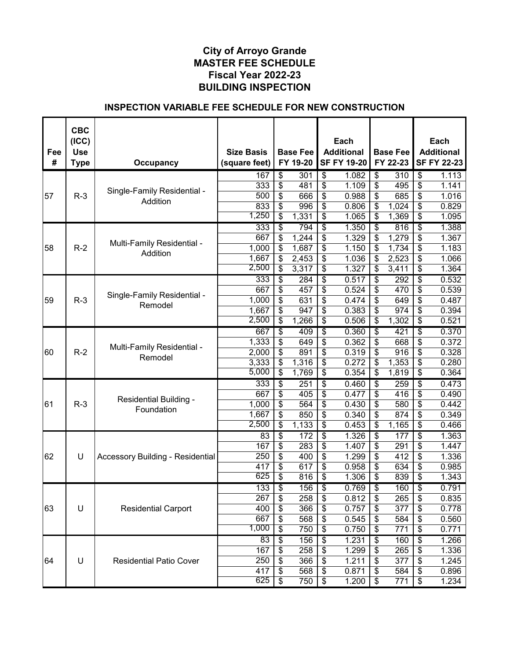| Fee | <b>CBC</b><br>(ICC)<br><b>Use</b> |                                         | <b>Size Basis</b> |                                      | <b>Base Fee</b> |                                      | Each<br><b>Additional</b> | <b>Base Fee</b>        |                                  | Each<br><b>Additional</b> |
|-----|-----------------------------------|-----------------------------------------|-------------------|--------------------------------------|-----------------|--------------------------------------|---------------------------|------------------------|----------------------------------|---------------------------|
| #   | <b>Type</b>                       | <b>Occupancy</b>                        | (square feet)     |                                      | FY 19-20        |                                      | <b>SF FY 19-20</b>        | FY 22-23               |                                  | <b>SF FY 22-23</b>        |
|     |                                   |                                         | 167               | $\overline{\$}$                      | 301             | \$                                   | 1.082                     | \$<br>$\overline{310}$ | $\overline{\$}$                  | 1.113                     |
|     |                                   | Single-Family Residential -             | 333               | \$                                   | 481             | \$                                   | 1.109                     | \$<br>495              | \$                               | 1.141                     |
| 57  | $R-3$                             | Addition                                | 500               | \$                                   | 666             | \$                                   | 0.988                     | \$<br>685              | \$                               | 1.016                     |
|     |                                   |                                         | 833               | \$                                   | 996             | \$                                   | 0.806                     | \$<br>1,024            | \$                               | 0.829                     |
|     |                                   |                                         | 1,250             | \$                                   | 1,331           | \$                                   | 1.065                     | \$<br>1,369            | \$                               | 1.095                     |
|     |                                   |                                         | 333               | \$                                   | 794             | $\overline{\$}$                      | 1.350                     | \$<br>816              | $\overline{\boldsymbol{\theta}}$ | 1.388                     |
|     |                                   | Multi-Family Residential -              | 667               | \$                                   | 1,244           | \$                                   | 1.329                     | \$<br>1,279            | \$                               | 1.367                     |
| 58  | $R-2$                             | Addition                                | 1,000             | \$                                   | 1,687           | \$                                   | 1.150                     | \$<br>1,734            | \$                               | 1.183                     |
|     |                                   |                                         | 1,667             | \$                                   | 2,453           | \$                                   | 1.036                     | \$<br>2,523            | \$                               | 1.066                     |
|     |                                   |                                         | 2,500             | \$                                   | 3,317           | \$                                   | 1.327                     | \$<br>3,411            | \$                               | 1.364                     |
|     |                                   |                                         | 333               | \$                                   | 284             | \$                                   | 0.517                     | \$<br>292              | \$                               | 0.532                     |
|     |                                   | Single-Family Residential -             | 667               | \$                                   | 457             | \$                                   | 0.524                     | \$<br>470              | \$                               | 0.539                     |
| 59  | $R-3$                             | Remodel                                 | 1,000             | \$                                   | 631             | \$                                   | 0.474                     | \$<br>649              | \$                               | 0.487                     |
|     |                                   |                                         | 1,667             | \$                                   | 947             | \$                                   | 0.383                     | \$<br>974              | \$                               | 0.394                     |
|     |                                   |                                         | 2,500             | \$                                   | 1,266           | $\overline{\boldsymbol{\theta}}$     | 0.506                     | \$<br>1,302            | $\frac{1}{2}$                    | 0.521                     |
|     |                                   |                                         | 667               | \$                                   | 409             | $\overline{\$}$                      | 0.360                     | \$<br>421              | $\overline{\$}$                  | 0.370                     |
|     |                                   | Multi-Family Residential -              | 1,333             | \$                                   | 649             | \$                                   | 0.362                     | \$<br>668              | \$                               | 0.372                     |
| 60  | $R-2$                             | Remodel                                 | 2,000             | \$                                   | 891             | $\overline{\boldsymbol{\mathsf{s}}}$ | 0.319                     | \$<br>916              | \$                               | 0.328                     |
|     |                                   |                                         | 3,333             | $\overline{\boldsymbol{\mathsf{s}}}$ | 1,316           | $\overline{\mathcal{S}}$             | 0.272                     | \$<br>1,353            | $\overline{\mathcal{S}}$         | 0.280                     |
|     |                                   |                                         | 5,000             | \$                                   | 1,769           | \$                                   | 0.354                     | \$<br>1,819            | \$                               | 0.364                     |
|     |                                   |                                         | 333               | \$                                   | 251             | \$                                   | 0.460                     | \$<br>259              | $\overline{\boldsymbol{\theta}}$ | 0.473                     |
|     |                                   |                                         | 667               | \$                                   | 405             | \$                                   | 0.477                     | \$<br>416              | \$                               | 0.490                     |
| 61  | $R-3$                             | Residential Building -                  | 1,000             | \$                                   | 564             | \$                                   | 0.430                     | \$<br>580              | \$                               | 0.442                     |
|     |                                   | Foundation                              | 1,667             | \$                                   | 850             | \$                                   | 0.340                     | \$<br>874              | \$                               | 0.349                     |
|     |                                   |                                         | 2,500             | \$                                   | 1,133           | \$                                   | 0.453                     | \$<br>1,165            | \$                               | 0.466                     |
|     |                                   |                                         | 83                | \$                                   | 172             | $\overline{\$}$                      | 1.326                     | \$<br>177              | $\overline{\boldsymbol{\theta}}$ | 1.363                     |
|     |                                   |                                         | 167               | \$                                   | 283             | \$                                   | 1.407                     | \$<br>291              | \$                               | 1.447                     |
| 62  | U                                 | <b>Accessory Building - Residential</b> | 250               | \$                                   | 400             | \$                                   | 1.299                     | \$<br>412              | \$                               | 1.336                     |
|     |                                   |                                         | 417               | \$                                   | 617             | \$                                   | 0.958                     | \$<br>634              | \$                               | 0.985                     |
|     |                                   |                                         | 625               | \$                                   | 816             | \$                                   | 1.306                     | \$<br>839              | \$                               | 1.343                     |
|     |                                   |                                         | 133               | $\overline{\$}$                      | 156             | $\overline{\$}$                      | 0.769                     | \$<br>160              | $\overline{\$}$                  | 0.791                     |
|     |                                   |                                         | 267               | \$                                   | 258             | \$                                   | 0.812                     | \$<br>265              | \$                               | 0.835                     |
| 63  | U                                 | <b>Residential Carport</b>              | 400               | \$                                   | 366             | \$                                   | 0.757                     | \$<br>377              | \$                               | 0.778                     |
|     |                                   |                                         | 667               | \$                                   | 568             | \$                                   | 0.545                     | \$<br>584              | \$                               | 0.560                     |
|     |                                   |                                         | 1,000             | \$                                   | 750             | \$                                   | 0.750                     | \$<br>771              | \$                               | 0.771                     |
|     |                                   |                                         | 83                | \$                                   | 156             | \$                                   | 1.231                     | \$<br>160              | \$                               | 1.266                     |
|     |                                   |                                         | 167               | \$                                   | 258             | \$                                   | 1.299                     | \$<br>265              | \$                               | 1.336                     |
| 64  | U                                 | <b>Residential Patio Cover</b>          | 250               | \$                                   | 366             | \$                                   | 1.211                     | \$<br>377              | \$                               | 1.245                     |
|     |                                   |                                         | 417               | \$                                   | 568             | \$                                   | 0.871                     | \$<br>584              | \$                               | 0.896                     |
|     |                                   |                                         | 625               | \$                                   | 750             | $\boldsymbol{\mathsf{S}}$            | 1.200                     | \$<br>771              | \$                               | 1.234                     |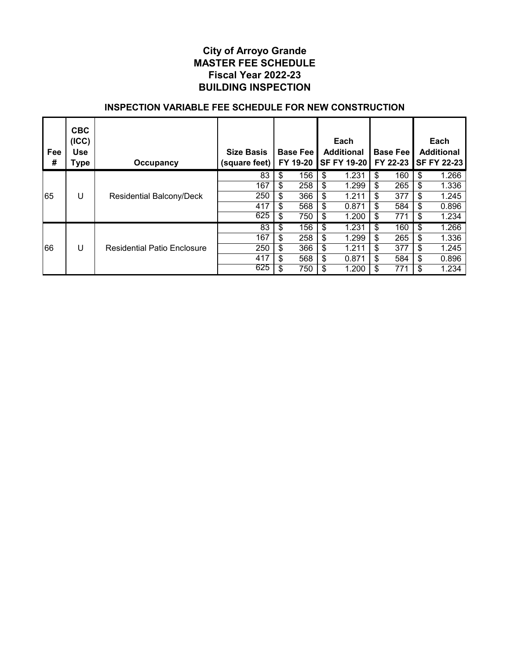| Fee<br># | <b>CBC</b><br>(ICC)<br><b>Use</b><br>Type | Occupancy                          | <b>Size Basis</b><br>(square feet) | <b>Base Fee</b><br>FY 19-20 |                           | Each<br><b>Additional</b><br><b>SF FY 19-20</b> | <b>Base Fee</b><br>FY 22-23 | Each<br><b>Additional</b><br><b>SF FY 22-23</b> |
|----------|-------------------------------------------|------------------------------------|------------------------------------|-----------------------------|---------------------------|-------------------------------------------------|-----------------------------|-------------------------------------------------|
|          |                                           |                                    | 83                                 | \$<br>156                   | \$                        | 1.231                                           | \$<br>160                   | \$<br>1.266                                     |
|          |                                           |                                    | 167                                | \$<br>258                   | \$                        | 1.299                                           | \$<br>265                   | \$<br>1.336                                     |
| 65       | U                                         | Residential Balcony/Deck           | 250                                | \$<br>366                   | $\boldsymbol{\mathsf{s}}$ | 1.211                                           | \$<br>377                   | \$<br>1.245                                     |
|          |                                           |                                    | 417                                | \$<br>568                   | \$                        | 0.871                                           | \$<br>584                   | \$<br>0.896                                     |
|          |                                           |                                    | 625                                | \$<br>750                   | \$                        | 1.200                                           | \$<br>771                   | \$<br>1.234                                     |
|          |                                           |                                    | 83                                 | \$<br>156                   | \$                        | 1.231                                           | \$<br>160                   | \$<br>1.266                                     |
|          |                                           |                                    | 167                                | \$<br>258                   | \$                        | 1.299                                           | \$<br>265                   | \$<br>1.336                                     |
| 66       | U                                         | <b>Residential Patio Enclosure</b> | 250                                | \$<br>366                   | \$                        | 1.211                                           | \$<br>377                   | \$<br>1.245                                     |
|          |                                           |                                    | 417                                | \$<br>568                   | \$                        | 0.871                                           | \$<br>584                   | \$<br>0.896                                     |
|          |                                           |                                    | 625                                | \$<br>750                   | \$                        | 1.200                                           | \$<br>771                   | 1.234                                           |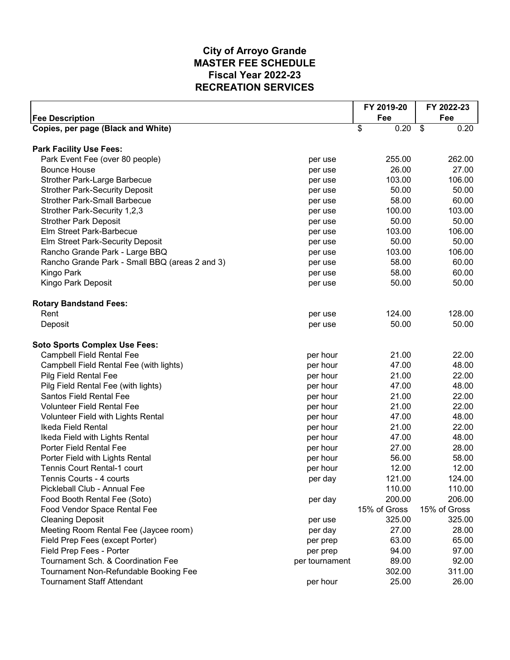|                                                |                | FY 2019-20   | FY 2022-23   |
|------------------------------------------------|----------------|--------------|--------------|
| <b>Fee Description</b>                         |                | Fee          | Fee          |
| Copies, per page (Black and White)             |                | \$<br>0.20   | \$<br>0.20   |
|                                                |                |              |              |
| <b>Park Facility Use Fees:</b>                 |                |              |              |
| Park Event Fee (over 80 people)                | per use        | 255.00       | 262.00       |
| <b>Bounce House</b>                            | per use        | 26.00        | 27.00        |
| <b>Strother Park-Large Barbecue</b>            | per use        | 103.00       | 106.00       |
| <b>Strother Park-Security Deposit</b>          | per use        | 50.00        | 50.00        |
| <b>Strother Park-Small Barbecue</b>            | per use        | 58.00        | 60.00        |
| Strother Park-Security 1,2,3                   | per use        | 100.00       | 103.00       |
| <b>Strother Park Deposit</b>                   | per use        | 50.00        | 50.00        |
| Elm Street Park-Barbecue                       | per use        | 103.00       | 106.00       |
| Elm Street Park-Security Deposit               | per use        | 50.00        | 50.00        |
| Rancho Grande Park - Large BBQ                 | per use        | 103.00       | 106.00       |
| Rancho Grande Park - Small BBQ (areas 2 and 3) | per use        | 58.00        | 60.00        |
| Kingo Park                                     | per use        | 58.00        | 60.00        |
| Kingo Park Deposit                             | per use        | 50.00        | 50.00        |
| <b>Rotary Bandstand Fees:</b>                  |                |              |              |
| Rent                                           | per use        | 124.00       | 128.00       |
| Deposit                                        | per use        | 50.00        | 50.00        |
|                                                |                |              |              |
| <b>Soto Sports Complex Use Fees:</b>           |                |              |              |
| <b>Campbell Field Rental Fee</b>               | per hour       | 21.00        | 22.00        |
| Campbell Field Rental Fee (with lights)        | per hour       | 47.00        | 48.00        |
| Pilg Field Rental Fee                          | per hour       | 21.00        | 22.00        |
| Pilg Field Rental Fee (with lights)            | per hour       | 47.00        | 48.00        |
| <b>Santos Field Rental Fee</b>                 | per hour       | 21.00        | 22.00        |
| <b>Volunteer Field Rental Fee</b>              | per hour       | 21.00        | 22.00        |
| Volunteer Field with Lights Rental             | per hour       | 47.00        | 48.00        |
| Ikeda Field Rental                             | per hour       | 21.00        | 22.00        |
| Ikeda Field with Lights Rental                 | per hour       | 47.00        | 48.00        |
| Porter Field Rental Fee                        | per hour       | 27.00        | 28.00        |
| Porter Field with Lights Rental                | per hour       | 56.00        | 58.00        |
| Tennis Court Rental-1 court                    | per hour       | 12.00        | 12.00        |
| Tennis Courts - 4 courts                       | per day        | 121.00       | 124.00       |
| Pickleball Club - Annual Fee                   |                | 110.00       | 110.00       |
| Food Booth Rental Fee (Soto)                   | per day        | 200.00       | 206.00       |
| Food Vendor Space Rental Fee                   |                | 15% of Gross | 15% of Gross |
| <b>Cleaning Deposit</b>                        | per use        | 325.00       | 325.00       |
| Meeting Room Rental Fee (Jaycee room)          | per day        | 27.00        | 28.00        |
| Field Prep Fees (except Porter)                | per prep       | 63.00        | 65.00        |
| Field Prep Fees - Porter                       | per prep       | 94.00        | 97.00        |
| Tournament Sch. & Coordination Fee             | per tournament | 89.00        | 92.00        |
| Tournament Non-Refundable Booking Fee          |                | 302.00       | 311.00       |
| <b>Tournament Staff Attendant</b>              | per hour       | 25.00        | 26.00        |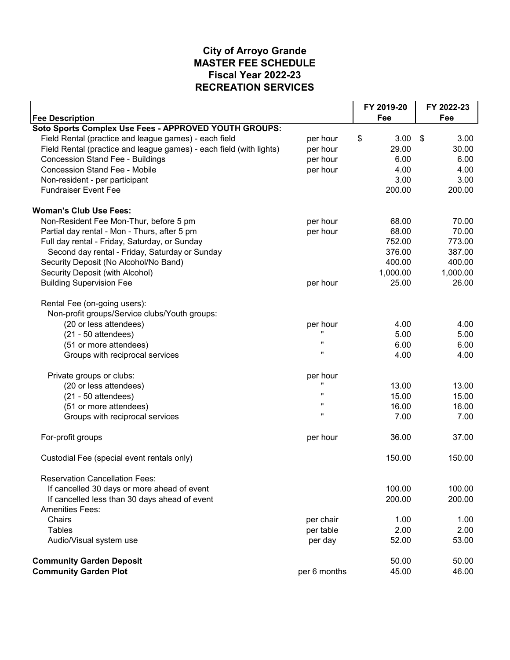|                                                                     |              | FY 2019-20 | FY 2022-23 |  |
|---------------------------------------------------------------------|--------------|------------|------------|--|
| <b>Fee Description</b>                                              |              | Fee        | Fee        |  |
| Soto Sports Complex Use Fees - APPROVED YOUTH GROUPS:               |              |            |            |  |
| Field Rental (practice and league games) - each field               | per hour     | \$<br>3.00 | \$<br>3.00 |  |
| Field Rental (practice and league games) - each field (with lights) | per hour     | 29.00      | 30.00      |  |
| <b>Concession Stand Fee - Buildings</b>                             | per hour     | 6.00       | 6.00       |  |
| <b>Concession Stand Fee - Mobile</b>                                | per hour     | 4.00       | 4.00       |  |
| Non-resident - per participant                                      |              | 3.00       | 3.00       |  |
| <b>Fundraiser Event Fee</b>                                         |              | 200.00     | 200.00     |  |
| <b>Woman's Club Use Fees:</b>                                       |              |            |            |  |
| Non-Resident Fee Mon-Thur, before 5 pm                              | per hour     | 68.00      | 70.00      |  |
| Partial day rental - Mon - Thurs, after 5 pm                        | per hour     | 68.00      | 70.00      |  |
| Full day rental - Friday, Saturday, or Sunday                       |              | 752.00     | 773.00     |  |
| Second day rental - Friday, Saturday or Sunday                      |              | 376.00     | 387.00     |  |
| Security Deposit (No Alcohol/No Band)                               |              | 400.00     | 400.00     |  |
| Security Deposit (with Alcohol)                                     |              | 1,000.00   | 1,000.00   |  |
| <b>Building Supervision Fee</b>                                     | per hour     | 25.00      | 26.00      |  |
| Rental Fee (on-going users):                                        |              |            |            |  |
| Non-profit groups/Service clubs/Youth groups:                       |              |            |            |  |
| (20 or less attendees)                                              | per hour     | 4.00       | 4.00       |  |
| $(21 - 50$ attendees)                                               |              | 5.00       | 5.00       |  |
| (51 or more attendees)                                              | π            | 6.00       | 6.00       |  |
| Groups with reciprocal services                                     | $\mathbf{u}$ | 4.00       | 4.00       |  |
| Private groups or clubs:                                            | per hour     |            |            |  |
| (20 or less attendees)                                              |              | 13.00      | 13.00      |  |
| $(21 - 50$ attendees)                                               | $\mathbf{u}$ | 15.00      | 15.00      |  |
| (51 or more attendees)                                              | π            | 16.00      | 16.00      |  |
| Groups with reciprocal services                                     | $\mathbf{u}$ | 7.00       | 7.00       |  |
| For-profit groups                                                   | per hour     | 36.00      | 37.00      |  |
| Custodial Fee (special event rentals only)                          |              | 150.00     | 150.00     |  |
| <b>Reservation Cancellation Fees:</b>                               |              |            |            |  |
| If cancelled 30 days or more ahead of event                         |              | 100.00     | 100.00     |  |
| If cancelled less than 30 days ahead of event                       |              | 200.00     | 200.00     |  |
| <b>Amenities Fees:</b>                                              |              |            |            |  |
| Chairs                                                              | per chair    | 1.00       | 1.00       |  |
| <b>Tables</b>                                                       | per table    | 2.00       | 2.00       |  |
| Audio/Visual system use                                             | per day      | 52.00      | 53.00      |  |
| <b>Community Garden Deposit</b>                                     |              | 50.00      | 50.00      |  |
| <b>Community Garden Plot</b>                                        | per 6 months | 45.00      | 46.00      |  |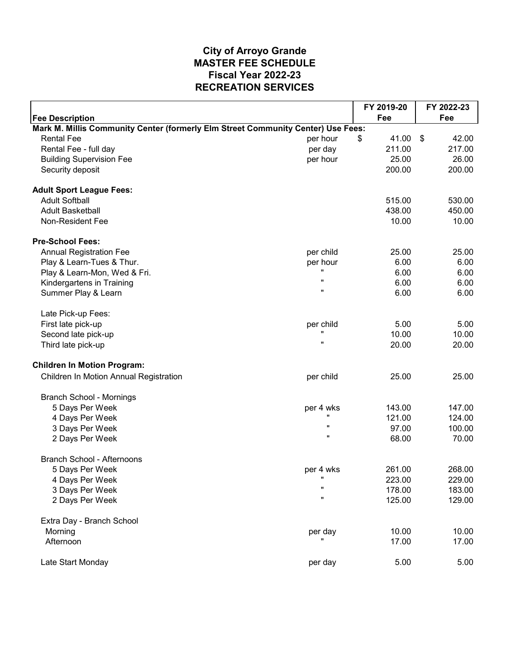|                                                                                  |              | FY 2019-20  | FY 2022-23  |  |
|----------------------------------------------------------------------------------|--------------|-------------|-------------|--|
| <b>Fee Description</b>                                                           |              | Fee         | Fee         |  |
| Mark M. Millis Community Center (formerly Elm Street Community Center) Use Fees: |              |             |             |  |
| <b>Rental Fee</b>                                                                | per hour     | \$<br>41.00 | \$<br>42.00 |  |
| Rental Fee - full day                                                            | per day      | 211.00      | 217.00      |  |
| <b>Building Supervision Fee</b>                                                  | per hour     | 25.00       | 26.00       |  |
| Security deposit                                                                 |              | 200.00      | 200.00      |  |
| <b>Adult Sport League Fees:</b>                                                  |              |             |             |  |
| <b>Adult Softball</b>                                                            |              | 515.00      | 530.00      |  |
| <b>Adult Basketball</b>                                                          |              | 438.00      | 450.00      |  |
| Non-Resident Fee                                                                 |              | 10.00       | 10.00       |  |
| <b>Pre-School Fees:</b>                                                          |              |             |             |  |
| <b>Annual Registration Fee</b>                                                   | per child    | 25.00       | 25.00       |  |
| Play & Learn-Tues & Thur.                                                        | per hour     | 6.00        | 6.00        |  |
| Play & Learn-Mon, Wed & Fri.                                                     | ,,           | 6.00        | 6.00        |  |
| Kindergartens in Training                                                        | $\mathbf{u}$ | 6.00        | 6.00        |  |
| Summer Play & Learn                                                              | Ħ            | 6.00        | 6.00        |  |
| Late Pick-up Fees:                                                               |              |             |             |  |
| First late pick-up                                                               | per child    | 5.00        | 5.00        |  |
| Second late pick-up                                                              | $\mathbf{u}$ | 10.00       | 10.00       |  |
| Third late pick-up                                                               | $\mathbf{u}$ | 20.00       | 20.00       |  |
| <b>Children In Motion Program:</b>                                               |              |             |             |  |
| Children In Motion Annual Registration                                           | per child    | 25.00       | 25.00       |  |
| <b>Branch School - Mornings</b>                                                  |              |             |             |  |
| 5 Days Per Week                                                                  | per 4 wks    | 143.00      | 147.00      |  |
| 4 Days Per Week                                                                  |              | 121.00      | 124.00      |  |
| 3 Days Per Week                                                                  | $\mathbf{u}$ | 97.00       | 100.00      |  |
| 2 Days Per Week                                                                  | $\mathbf{u}$ | 68.00       | 70.00       |  |
| <b>Branch School - Afternoons</b>                                                |              |             |             |  |
| 5 Days Per Week                                                                  | per 4 wks    | 261.00      | 268.00      |  |
| 4 Days Per Week                                                                  | Ħ            | 223.00      | 229.00      |  |
| 3 Days Per Week                                                                  | π            | 178.00      | 183.00      |  |
| 2 Days Per Week                                                                  | Ħ            | 125.00      | 129.00      |  |
| Extra Day - Branch School                                                        |              |             |             |  |
| Morning                                                                          | per day      | 10.00       | 10.00       |  |
| Afternoon                                                                        |              | 17.00       | 17.00       |  |
| Late Start Monday                                                                | per day      | 5.00        | 5.00        |  |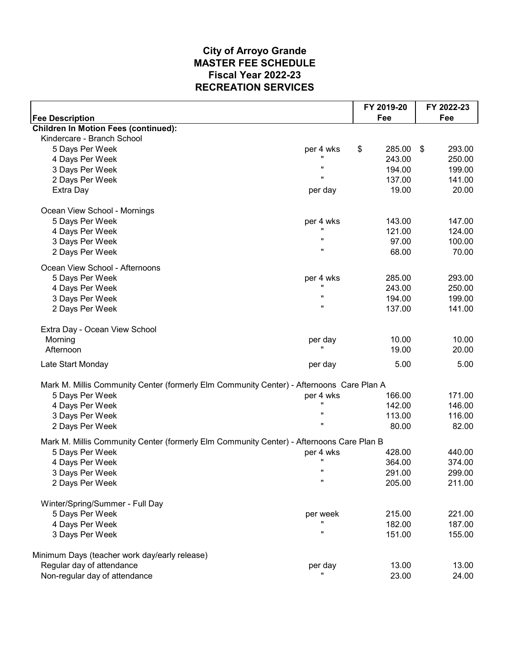|                                                                                          |                    | FY 2019-20   | FY 2022-23   |
|------------------------------------------------------------------------------------------|--------------------|--------------|--------------|
| <b>Fee Description</b>                                                                   |                    | Fee          | Fee          |
| <b>Children In Motion Fees (continued):</b>                                              |                    |              |              |
| Kindercare - Branch School                                                               |                    |              |              |
| 5 Days Per Week                                                                          | per 4 wks          | \$<br>285.00 | 293.00<br>\$ |
| 4 Days Per Week                                                                          |                    | 243.00       | 250.00       |
| 3 Days Per Week                                                                          | π                  | 194.00       | 199.00       |
| 2 Days Per Week                                                                          | π                  | 137.00       | 141.00       |
| Extra Day                                                                                | per day            | 19.00        | 20.00        |
| Ocean View School - Mornings                                                             |                    |              |              |
| 5 Days Per Week                                                                          | per 4 wks          | 143.00       | 147.00       |
| 4 Days Per Week                                                                          |                    | 121.00       | 124.00       |
| 3 Days Per Week                                                                          | $\mathbf{u}$       | 97.00        | 100.00       |
| 2 Days Per Week                                                                          | $\mathbf{u}$       | 68.00        | 70.00        |
| Ocean View School - Afternoons                                                           |                    |              |              |
| 5 Days Per Week                                                                          | per 4 wks          | 285.00       | 293.00       |
| 4 Days Per Week                                                                          | $\mathbf{u}$       | 243.00       | 250.00       |
| 3 Days Per Week                                                                          | π                  | 194.00       | 199.00       |
| 2 Days Per Week                                                                          | $\mathbf{u}$       | 137.00       | 141.00       |
| Extra Day - Ocean View School                                                            |                    |              |              |
| Morning                                                                                  | per day            | 10.00        | 10.00        |
| Afternoon                                                                                |                    | 19.00        | 20.00        |
| Late Start Monday                                                                        | per day            | 5.00         | 5.00         |
| Mark M. Millis Community Center (formerly Elm Community Center) - Afternoons Care Plan A |                    |              |              |
| 5 Days Per Week                                                                          | per 4 wks          | 166.00       | 171.00       |
| 4 Days Per Week                                                                          | $\mathbf{u}$       | 142.00       | 146.00       |
| 3 Days Per Week                                                                          | π                  | 113.00       | 116.00       |
| 2 Days Per Week                                                                          | $\mathbf{u}$       | 80.00        | 82.00        |
| Mark M. Millis Community Center (formerly Elm Community Center) - Afternoons Care Plan B |                    |              |              |
| 5 Days Per Week                                                                          | per 4 wks          | 428.00       | 440.00       |
| 4 Days Per Week                                                                          | $\mathbf{u}$       | 364.00       | 374.00       |
| 3 Days Per Week                                                                          | $\pmb{\mathsf{u}}$ | 291.00       | 299.00       |
| 2 Days Per Week                                                                          | $\mathbf{u}$       | 205.00       | 211.00       |
| Winter/Spring/Summer - Full Day                                                          |                    |              |              |
| 5 Days Per Week                                                                          | per week           | 215.00       | 221.00       |
| 4 Days Per Week                                                                          |                    | 182.00       | 187.00       |
| 3 Days Per Week                                                                          | $\mathbf{u}$       | 151.00       | 155.00       |
| Minimum Days (teacher work day/early release)                                            |                    |              |              |
| Regular day of attendance                                                                | per day            | 13.00        | 13.00        |
| Non-regular day of attendance                                                            |                    | 23.00        | 24.00        |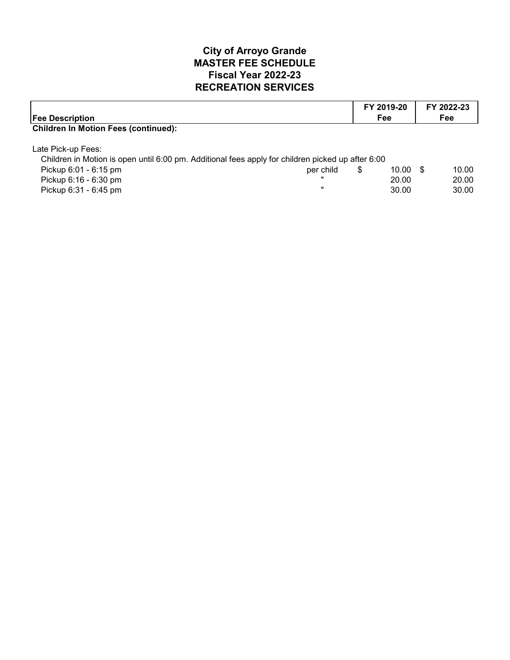| <b>Fee Description</b>                                                                            |              | FY 2019-20<br>Fee |       | FY 2022-23<br><b>Fee</b> |       |
|---------------------------------------------------------------------------------------------------|--------------|-------------------|-------|--------------------------|-------|
| <b>Children In Motion Fees (continued):</b>                                                       |              |                   |       |                          |       |
| Late Pick-up Fees:                                                                                |              |                   |       |                          |       |
| Children in Motion is open until 6:00 pm. Additional fees apply for children picked up after 6:00 |              |                   |       |                          |       |
| Pickup 6:01 - 6:15 pm                                                                             | per child    | \$                | 10.00 | - \$                     | 10.00 |
| Pickup 6:16 - 6:30 pm                                                                             |              |                   | 20.00 |                          | 20.00 |
| Pickup 6:31 - 6:45 pm                                                                             | $\mathbf{u}$ |                   | 30.00 |                          | 30.00 |